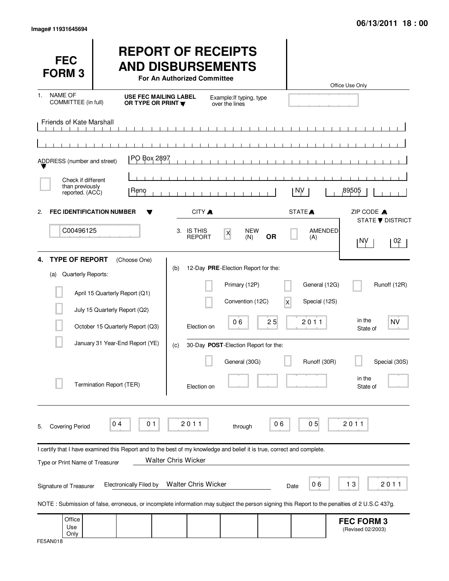| <b>FEC</b><br><b>FORM3</b>                               |                                                                                                                                                                                | <b>REPORT OF RECEIPTS</b><br><b>AND DISBURSEMENTS</b><br>For An Authorized Committee |                                                                                                                                         |                               |                                                        | Office Use Only                        |                                            |
|----------------------------------------------------------|--------------------------------------------------------------------------------------------------------------------------------------------------------------------------------|--------------------------------------------------------------------------------------|-----------------------------------------------------------------------------------------------------------------------------------------|-------------------------------|--------------------------------------------------------|----------------------------------------|--------------------------------------------|
| <b>NAME OF</b><br>1.<br>COMMITTEE (in full)              | <b>USE FEC MAILING LABEL</b><br>OR TYPE OR PRINT W                                                                                                                             |                                                                                      | Example: If typing, type<br>over the lines                                                                                              |                               |                                                        |                                        |                                            |
| Friends of Kate Marshall<br>- 11                         |                                                                                                                                                                                | <b>Contract</b>                                                                      | $\blacksquare$<br>$\pm$ $\pm$<br>$\blacksquare$                                                                                         | $\sim$ 1.<br>$\blacksquare$   |                                                        |                                        |                                            |
| ADDRESS (number and street)                              | PO Box 2897                                                                                                                                                                    |                                                                                      |                                                                                                                                         |                               |                                                        |                                        |                                            |
| Check if different<br>than previously<br>reported. (ACC) | Reno                                                                                                                                                                           |                                                                                      |                                                                                                                                         |                               | NV.                                                    | ,89505                                 |                                            |
| <b>FEC IDENTIFICATION NUMBER</b><br>2.                   |                                                                                                                                                                                | CITY A                                                                               |                                                                                                                                         |                               | STATE <sup>A</sup>                                     | ZIP CODE A<br>STATE <b>V</b> DISTRICT  |                                            |
| C00496125                                                |                                                                                                                                                                                | 3. IS THIS<br><b>REPORT</b>                                                          | <b>NEW</b><br>$\boldsymbol{\mathsf{X}}$<br>(N)                                                                                          | <b>OR</b>                     | AMENDED<br>(A)                                         | 1 N.N                                  | 02                                         |
| <b>TYPE OF REPORT</b><br>4.<br>Quarterly Reports:<br>(a) | (Choose One)<br>April 15 Quarterly Report (Q1)<br>July 15 Quarterly Report (Q2)<br>October 15 Quarterly Report (Q3)<br>January 31 Year-End Report (YE)                         | (b)<br>Election on<br>(c)                                                            | 12-Day PRE-Election Report for the:<br>Primary (12P)<br>Convention (12C)<br>06<br>30-Day POST-Election Report for the:<br>General (30G) | $\overline{\mathsf{x}}$<br>25 | General (12G)<br>Special (12S)<br>2011<br>Runoff (30R) | in the<br>State of                     | Runoff (12R)<br><b>NV</b><br>Special (30S) |
|                                                          | Termination Report (TER)                                                                                                                                                       | Election on                                                                          |                                                                                                                                         |                               |                                                        | in the<br>State of                     |                                            |
| <b>Covering Period</b><br>5.                             | 01<br>04                                                                                                                                                                       | 2011                                                                                 | through                                                                                                                                 | 06                            | 0 <sub>5</sub>                                         | 2011                                   |                                            |
| Type or Print Name of Treasurer                          | I certify that I have examined this Report and to the best of my knowledge and belief it is true, correct and complete.                                                        | <b>Walter Chris Wicker</b>                                                           |                                                                                                                                         |                               |                                                        |                                        |                                            |
| Signature of Treasurer                                   | <b>Electronically Filed by</b><br>NOTE: Submission of false, erroneous, or incomplete information may subject the person signing this Report to the penalties of 2 U.S.C 437g. | Walter Chris Wicker                                                                  |                                                                                                                                         | Date                          | 06                                                     | 13                                     | 2011                                       |
| Office<br>Use<br>Only                                    |                                                                                                                                                                                |                                                                                      |                                                                                                                                         |                               |                                                        | <b>FEC FORM 3</b><br>(Revised 02/2003) |                                            |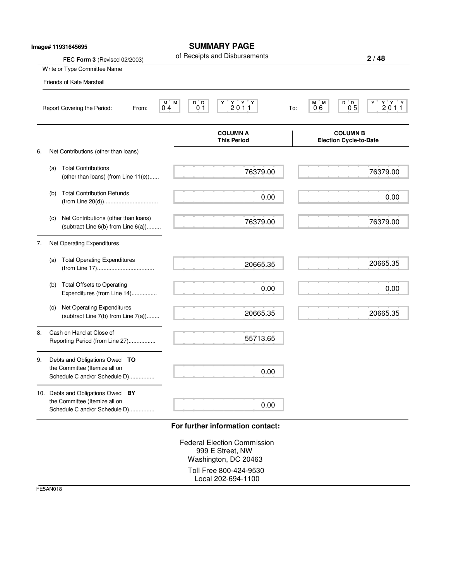|    |     | Image# 11931645695                                                                                  | <b>SUMMARY PAGE</b>                                                                                                                                                                       |                                                       |
|----|-----|-----------------------------------------------------------------------------------------------------|-------------------------------------------------------------------------------------------------------------------------------------------------------------------------------------------|-------------------------------------------------------|
|    |     | FEC Form 3 (Revised 02/2003)                                                                        | of Receipts and Disbursements                                                                                                                                                             | 2/48                                                  |
|    |     | Write or Type Committee Name                                                                        |                                                                                                                                                                                           |                                                       |
|    |     | Friends of Kate Marshall                                                                            |                                                                                                                                                                                           |                                                       |
|    |     | Report Covering the Period:<br>From:                                                                | М<br>D D<br>Υ<br>$\begin{array}{c} \mathsf{Y} \quad \mathsf{Y} \quad \mathsf{Y} \\ \mathsf{2} \; \mathsf{0} \; \mathsf{1} \; \mathsf{1} \end{array}$<br>M.<br>04<br>0 <sub>1</sub><br>To: | $Y'Y'Y$<br>2011<br>D D<br>M M<br>0 <sub>5</sub><br>06 |
|    |     |                                                                                                     | <b>COLUMN A</b><br><b>This Period</b>                                                                                                                                                     | <b>COLUMN B</b><br><b>Election Cycle-to-Date</b>      |
| 6. |     | Net Contributions (other than loans)                                                                |                                                                                                                                                                                           |                                                       |
|    | (a) | <b>Total Contributions</b><br>(other than loans) (from Line 11(e))                                  | 76379.00                                                                                                                                                                                  | 76379.00                                              |
|    | (b) | <b>Total Contribution Refunds</b>                                                                   | 0.00                                                                                                                                                                                      | 0.00                                                  |
|    | (c) | Net Contributions (other than loans)<br>(subtract Line 6(b) from Line 6(a))                         | 76379.00                                                                                                                                                                                  | 76379.00                                              |
| 7. |     | Net Operating Expenditures                                                                          |                                                                                                                                                                                           |                                                       |
|    | (a) | <b>Total Operating Expenditures</b>                                                                 | 20665.35                                                                                                                                                                                  | 20665.35                                              |
|    | (b) | <b>Total Offsets to Operating</b><br>Expenditures (from Line 14)                                    | 0.00                                                                                                                                                                                      | 0.00                                                  |
|    | (c) | Net Operating Expenditures<br>(subtract Line 7(b) from Line 7(a))                                   | 20665.35                                                                                                                                                                                  | 20665.35                                              |
| 8. |     | Cash on Hand at Close of<br>Reporting Period (from Line 27)                                         | 55713.65                                                                                                                                                                                  |                                                       |
| 9. |     | Debts and Obligations Owed TO<br>the Committee (Itemize all on<br>Schedule C and/or Schedule D)     | 0.00                                                                                                                                                                                      |                                                       |
|    |     | 10. Debts and Obligations Owed BY<br>the Committee (Itemize all on<br>Schedule C and/or Schedule D) | 0.00                                                                                                                                                                                      |                                                       |

Federal Election Commission 999 E Street, NW Washington, DC 20463 Toll Free 800-424-9530 Local 202-694-1100

FE5AN018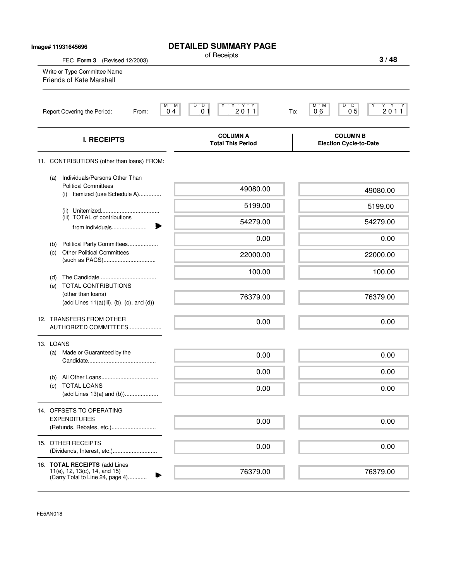| Image# 11931645696 |                                                                                                          | <b>DETAILED SUMMARY PAGE</b><br>of Receipts                                         |                                                                             |
|--------------------|----------------------------------------------------------------------------------------------------------|-------------------------------------------------------------------------------------|-----------------------------------------------------------------------------|
|                    | FEC Form 3 (Revised 12/2003)<br>Write or Type Committee Name<br>Friends of Kate Marshall                 |                                                                                     | 3/48                                                                        |
|                    | Report Covering the Period:<br>From:                                                                     | $Y'$ $Y'$ $Y'$<br>M<br>$D^{\prime}$ , $D$<br>M<br>Υ<br>2011<br>0 <sub>1</sub><br>04 | Y'Y'Y<br>$D^{\prime}$ $D$<br>М<br>'M<br>0 <sub>5</sub><br>2011<br>06<br>To: |
|                    | <b>I. RECEIPTS</b>                                                                                       | <b>COLUMN A</b><br><b>Total This Period</b>                                         | <b>COLUMN B</b><br><b>Election Cycle-to-Date</b>                            |
|                    | 11. CONTRIBUTIONS (other than loans) FROM:                                                               |                                                                                     |                                                                             |
|                    | Individuals/Persons Other Than<br>(a)<br><b>Political Committees</b><br>Itemized (use Schedule A)<br>(i) | 49080.00                                                                            | 49080.00                                                                    |
|                    |                                                                                                          | 5199.00                                                                             | 5199.00                                                                     |
|                    | (iii) TOTAL of contributions<br>from individuals                                                         | 54279.00                                                                            | 54279.00                                                                    |
|                    | Political Party Committees<br>(b)                                                                        | 0.00                                                                                | 0.00                                                                        |
|                    | <b>Other Political Committees</b><br>(c)                                                                 | 22000.00                                                                            | 22000.00                                                                    |
|                    | (d)<br>(e) TOTAL CONTRIBUTIONS                                                                           | 100.00                                                                              | 100.00                                                                      |
|                    | (other than loans)<br>$(\text{add Lines } 11(a)(iii), (b), (c), \text{and } (d))$                        | 76379.00                                                                            | 76379.00                                                                    |
|                    | 12. TRANSFERS FROM OTHER<br>AUTHORIZED COMMITTEES                                                        | 0.00                                                                                | 0.00                                                                        |
|                    | 13. LOANS                                                                                                |                                                                                     |                                                                             |
|                    | Made or Guaranteed by the<br>(a)                                                                         | 0.00                                                                                | 0.00                                                                        |
|                    | (b)                                                                                                      | 0.00                                                                                | 0.00                                                                        |
|                    | <b>TOTAL LOANS</b><br>(C)<br>(add Lines 13(a) and (b))                                                   | 0.00                                                                                | 0.00                                                                        |
|                    | 14. OFFSETS TO OPERATING                                                                                 |                                                                                     |                                                                             |
|                    | <b>EXPENDITURES</b>                                                                                      | 0.00                                                                                | 0.00                                                                        |
|                    | 15. OTHER RECEIPTS                                                                                       | 0.00                                                                                | 0.00                                                                        |
|                    | 16. TOTAL RECEIPTS (add Lines<br>11(e), 12, 13(c), 14, and 15)<br>(Carry Total to Line 24, page 4)       | 76379.00                                                                            | 76379.00                                                                    |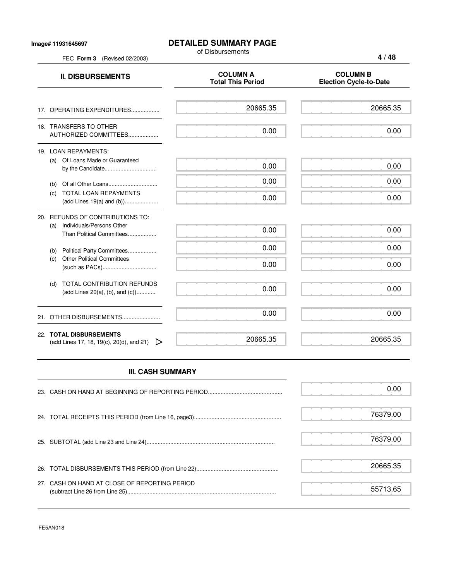FEC **Form 3** (Revised 02/2003)

## **DETAILED SUMMARY PAGE**

of Disbursements

**4 / 48**

| <b>II. DISBURSEMENTS</b>                                                       | <b>COLUMN A</b><br><b>Total This Period</b> | <b>COLUMN B</b><br><b>Election Cycle-to-Date</b> |
|--------------------------------------------------------------------------------|---------------------------------------------|--------------------------------------------------|
| 17. OPERATING EXPENDITURES                                                     | 20665.35                                    | 20665.35                                         |
| 18. TRANSFERS TO OTHER<br>AUTHORIZED COMMITTEES                                | 0.00                                        | 0.00                                             |
| 19. LOAN REPAYMENTS:<br>Of Loans Made or Guaranteed<br>(a)                     | 0.00                                        | 0.00                                             |
| (b)                                                                            | 0.00                                        | 0.00                                             |
| <b>TOTAL LOAN REPAYMENTS</b><br>(c)                                            | 0.00                                        | 0.00                                             |
| 20. REFUNDS OF CONTRIBUTIONS TO:                                               |                                             |                                                  |
| Individuals/Persons Other<br>(a)<br>Than Political Committees                  | 0.00                                        | 0.00                                             |
| Political Party Committees<br>(b)                                              | 0.00                                        | 0.00                                             |
| <b>Other Political Committees</b><br>(c)                                       | 0.00                                        | 0.00                                             |
| <b>TOTAL CONTRIBUTION REFUNDS</b><br>(d)<br>(add Lines 20(a), (b), and $(c)$ ) | 0.00                                        | 0.00                                             |
| 21. OTHER DISBURSEMENTS                                                        | 0.00                                        | 0.00                                             |
| 22. TOTAL DISBURSEMENTS<br>(add Lines 17, 18, 19(c), 20(d), and 21)            | 20665.35                                    | 20665.35                                         |

## **III. CASH SUMMARY**

|                                               | 0.00     |  |
|-----------------------------------------------|----------|--|
|                                               | 76379.00 |  |
|                                               | 76379.00 |  |
|                                               | 20665.35 |  |
| 27. CASH ON HAND AT CLOSE OF REPORTING PERIOD | 55713.65 |  |

FE5AN018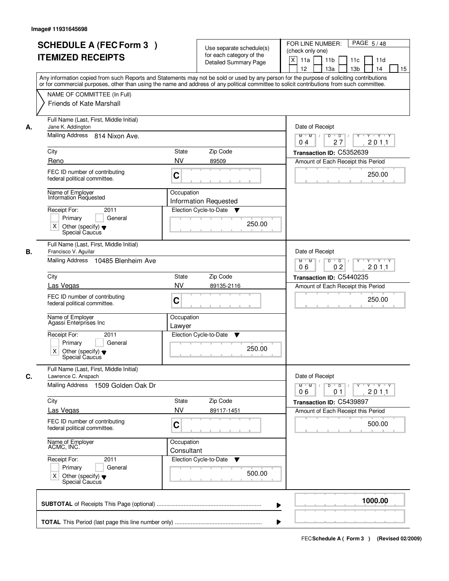| <b>SCHEDULE A (FEC Form 3)</b><br><b>ITEMIZED RECEIPTS</b>                                                       | Use separate schedule(s)<br>for each category of the<br><b>Detailed Summary Page</b><br>Any information copied from such Reports and Statements may not be sold or used by any person for the purpose of soliciting contributions | PAGE 5/48<br>FOR LINE NUMBER:<br>(check only one)<br>X<br>11 <sub>b</sub><br>11a<br>11 <sub>c</sub><br>11d<br>12<br>13 <sub>b</sub><br>13a<br>14<br>15                                                                                                                                                                                                                                                                                                                                        |
|------------------------------------------------------------------------------------------------------------------|-----------------------------------------------------------------------------------------------------------------------------------------------------------------------------------------------------------------------------------|-----------------------------------------------------------------------------------------------------------------------------------------------------------------------------------------------------------------------------------------------------------------------------------------------------------------------------------------------------------------------------------------------------------------------------------------------------------------------------------------------|
| NAME OF COMMITTEE (In Full)<br>Friends of Kate Marshall                                                          | or for commercial purposes, other than using the name and address of any political committee to solicit contributions from such committee.                                                                                        |                                                                                                                                                                                                                                                                                                                                                                                                                                                                                               |
| Full Name (Last, First, Middle Initial)<br>Jane K. Addington<br>А.<br>Mailing Address 814 Nixon Ave.             |                                                                                                                                                                                                                                   | Date of Receipt<br>$D$ $D$<br>Y<br>$Y - Y - Y - Y$<br>$M$ $M$ /<br>27<br>201.1<br>0 <sub>4</sub>                                                                                                                                                                                                                                                                                                                                                                                              |
| City                                                                                                             | <b>State</b><br>Zip Code                                                                                                                                                                                                          | Transaction ID: C5352639                                                                                                                                                                                                                                                                                                                                                                                                                                                                      |
| Reno                                                                                                             | <b>NV</b><br>89509                                                                                                                                                                                                                | Amount of Each Receipt this Period                                                                                                                                                                                                                                                                                                                                                                                                                                                            |
| FEC ID number of contributing<br>federal political committee.                                                    | C                                                                                                                                                                                                                                 | 250.00                                                                                                                                                                                                                                                                                                                                                                                                                                                                                        |
| Name of Employer<br>Information Requested                                                                        | Occupation<br><b>Information Requested</b>                                                                                                                                                                                        |                                                                                                                                                                                                                                                                                                                                                                                                                                                                                               |
| Receipt For:<br>2011<br>Primary<br>General<br>$\times$<br>Other (specify) $\blacktriangledown$<br>Special Caucus | Election Cycle-to-Date<br>v<br>250.00                                                                                                                                                                                             |                                                                                                                                                                                                                                                                                                                                                                                                                                                                                               |
| Full Name (Last, First, Middle Initial)<br>Francisco V. Aguilar<br>В.<br>Mailing Address 10485 Blenheim Ave      |                                                                                                                                                                                                                                   | Date of Receipt                                                                                                                                                                                                                                                                                                                                                                                                                                                                               |
|                                                                                                                  |                                                                                                                                                                                                                                   | $M$ $M$ /<br>D<br>$\overline{D}$ /<br>$Y$ <sup><math>\top</math></sup><br>Y Y Y Y<br>0 <sub>2</sub><br>201.1<br>06                                                                                                                                                                                                                                                                                                                                                                            |
| City                                                                                                             | Zip Code<br>State                                                                                                                                                                                                                 | Transaction ID: C5440235                                                                                                                                                                                                                                                                                                                                                                                                                                                                      |
| Las Vegas                                                                                                        | <b>NV</b><br>89135-2116                                                                                                                                                                                                           | Amount of Each Receipt this Period                                                                                                                                                                                                                                                                                                                                                                                                                                                            |
| FEC ID number of contributing<br>federal political committee.                                                    | C                                                                                                                                                                                                                                 | 250.00                                                                                                                                                                                                                                                                                                                                                                                                                                                                                        |
| Name of Employer<br>Agassi Enterprises Inc                                                                       | Occupation<br>Lawyer                                                                                                                                                                                                              |                                                                                                                                                                                                                                                                                                                                                                                                                                                                                               |
| Receipt For:<br>2011<br>Primary<br>General                                                                       | Election Cycle-to-Date<br>v                                                                                                                                                                                                       |                                                                                                                                                                                                                                                                                                                                                                                                                                                                                               |
| X<br>Other (specify) $\blacktriangledown$<br>Special Caucus                                                      | 250.00                                                                                                                                                                                                                            |                                                                                                                                                                                                                                                                                                                                                                                                                                                                                               |
| Full Name (Last, First, Middle Initial)<br>C.<br>Lawrence C. Anspach                                             |                                                                                                                                                                                                                                   | Date of Receipt                                                                                                                                                                                                                                                                                                                                                                                                                                                                               |
| Mailing Address 1509 Golden Oak Dr                                                                               |                                                                                                                                                                                                                                   | $M$ $M$ $M$<br>$D$ $D$ $l$<br>$\begin{array}{c} \begin{array}{c} \mathsf{p} \mathsf{p} \mathsf{p} \mathsf{p} \mathsf{p} \mathsf{p} \mathsf{p} \mathsf{p} \mathsf{p} \mathsf{p} \mathsf{p} \mathsf{p} \mathsf{p} \mathsf{p} \mathsf{p} \mathsf{p} \mathsf{p} \mathsf{p} \mathsf{p} \mathsf{p} \mathsf{p} \mathsf{p} \mathsf{p} \mathsf{p} \mathsf{p} \mathsf{p} \mathsf{p} \mathsf{p} \mathsf{p} \mathsf{p} \mathsf{p} \mathsf{p} \mathsf{p} \mathsf{p} \math$<br>2011<br>06<br>0 <sub>1</sub> |
| City                                                                                                             | Zip Code<br>State                                                                                                                                                                                                                 | Transaction ID: C5439897                                                                                                                                                                                                                                                                                                                                                                                                                                                                      |
| Las Vegas                                                                                                        | <b>NV</b><br>89117-1451                                                                                                                                                                                                           | Amount of Each Receipt this Period                                                                                                                                                                                                                                                                                                                                                                                                                                                            |
| FEC ID number of contributing<br>federal political committee.                                                    | C                                                                                                                                                                                                                                 | 500.00                                                                                                                                                                                                                                                                                                                                                                                                                                                                                        |
| Name of Employer<br>ACMC, INC.                                                                                   | Occupation<br>Consultant                                                                                                                                                                                                          |                                                                                                                                                                                                                                                                                                                                                                                                                                                                                               |
| Receipt For:<br>2011                                                                                             | Election Cycle-to-Date ▼                                                                                                                                                                                                          |                                                                                                                                                                                                                                                                                                                                                                                                                                                                                               |
| Primary<br>General<br>Other (specify) v<br>Special Caucus<br>X                                                   | 500.00                                                                                                                                                                                                                            |                                                                                                                                                                                                                                                                                                                                                                                                                                                                                               |
|                                                                                                                  |                                                                                                                                                                                                                                   | 1000.00                                                                                                                                                                                                                                                                                                                                                                                                                                                                                       |
|                                                                                                                  |                                                                                                                                                                                                                                   |                                                                                                                                                                                                                                                                                                                                                                                                                                                                                               |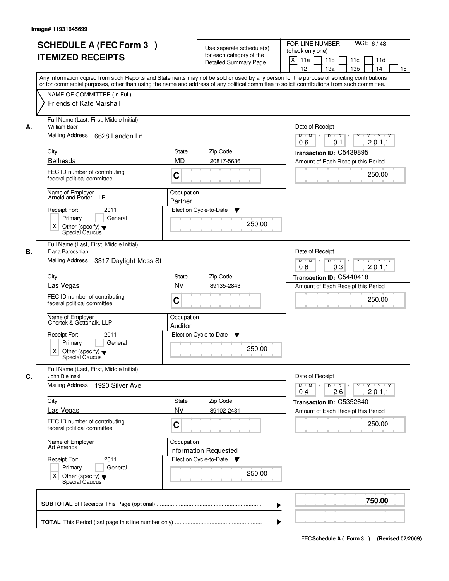|    | <b>SCHEDULE A (FEC Form 3)</b><br><b>ITEMIZED RECEIPTS</b>                                                                                                                                            |                           | Use separate schedule(s)<br>for each category of the<br><b>Detailed Summary Page</b> | PAGE 6/48<br>FOR LINE NUMBER:<br>(check only one)<br>X<br>11 <sub>b</sub><br>11a<br>11 <sub>c</sub><br>11d<br>12<br>14<br>13a<br>13 <sub>b</sub><br>15<br>Any information copied from such Reports and Statements may not be sold or used by any person for the purpose of soliciting contributions |
|----|-------------------------------------------------------------------------------------------------------------------------------------------------------------------------------------------------------|---------------------------|--------------------------------------------------------------------------------------|-----------------------------------------------------------------------------------------------------------------------------------------------------------------------------------------------------------------------------------------------------------------------------------------------------|
|    | or for commercial purposes, other than using the name and address of any political committee to solicit contributions from such committee.<br>NAME OF COMMITTEE (In Full)<br>Friends of Kate Marshall |                           |                                                                                      |                                                                                                                                                                                                                                                                                                     |
| А. | Full Name (Last, First, Middle Initial)<br><b>William Baer</b><br>Mailing Address<br>6628 Landon Ln                                                                                                   |                           |                                                                                      | Date of Receipt<br>$M$ $M$ /<br>$D$ $D$ $I$<br>Y<br>Y Y Y Y                                                                                                                                                                                                                                         |
|    |                                                                                                                                                                                                       |                           |                                                                                      | 201.1<br>06<br>01                                                                                                                                                                                                                                                                                   |
|    | City<br>Bethesda                                                                                                                                                                                      | State<br><b>MD</b>        | Zip Code<br>20817-5636                                                               | Transaction ID: C5439895<br>Amount of Each Receipt this Period                                                                                                                                                                                                                                      |
|    | FEC ID number of contributing<br>federal political committee.                                                                                                                                         | C                         |                                                                                      | 250.00                                                                                                                                                                                                                                                                                              |
|    | Name of Employer<br>Arnold and Porter, LLP                                                                                                                                                            | Occupation<br>Partner     |                                                                                      |                                                                                                                                                                                                                                                                                                     |
|    | Receipt For:<br>2011<br>Primary<br>General<br>$\times$<br>Other (specify) $\blacktriangledown$<br>Special Caucus                                                                                      |                           | Election Cycle-to-Date<br>▼<br>250.00                                                |                                                                                                                                                                                                                                                                                                     |
| В. | Full Name (Last, First, Middle Initial)<br>Dana Barooshian<br>Mailing Address<br>3317 Daylight Moss St                                                                                                |                           |                                                                                      | Date of Receipt<br>$M$ $M$ /<br>D<br>$\overline{D}$ /<br>$Y + Y + Y$                                                                                                                                                                                                                                |
|    |                                                                                                                                                                                                       |                           |                                                                                      | 03<br>201.1<br>06                                                                                                                                                                                                                                                                                   |
|    | City<br>Las Vegas                                                                                                                                                                                     | <b>State</b><br><b>NV</b> | Zip Code<br>89135-2843                                                               | Transaction ID: C5440418<br>Amount of Each Receipt this Period                                                                                                                                                                                                                                      |
|    | FEC ID number of contributing<br>federal political committee.                                                                                                                                         | C                         |                                                                                      | 250.00                                                                                                                                                                                                                                                                                              |
|    | Name of Employer<br>Chortek & Gottshalk, LLP                                                                                                                                                          | Occupation<br>Auditor     |                                                                                      |                                                                                                                                                                                                                                                                                                     |
|    | Receipt For:<br>2011<br>Primary<br>General<br>Χ<br>Other (specify) $\blacktriangledown$<br>Special Caucus                                                                                             |                           | Election Cycle-to-Date<br>▼<br>250.00                                                |                                                                                                                                                                                                                                                                                                     |
| C. | Full Name (Last, First, Middle Initial)<br>John Bielinski                                                                                                                                             |                           |                                                                                      | Date of Receipt                                                                                                                                                                                                                                                                                     |
|    | <b>Mailing Address</b><br>1920 Silver Ave                                                                                                                                                             |                           |                                                                                      | $M = M$<br>$D$ $D$ $I$<br>ץ ייץ יידץ י<br>2011<br>04<br>26                                                                                                                                                                                                                                          |
|    | City                                                                                                                                                                                                  | <b>State</b>              | Zip Code                                                                             | Transaction ID: C5352640                                                                                                                                                                                                                                                                            |
|    | Las Vegas<br>FEC ID number of contributing<br>federal political committee.                                                                                                                            | <b>NV</b><br>C            | 89102-2431                                                                           | Amount of Each Receipt this Period<br>250.00                                                                                                                                                                                                                                                        |
|    | Name of Employer<br>Ad America                                                                                                                                                                        | Occupation                | <b>Information Requested</b>                                                         |                                                                                                                                                                                                                                                                                                     |
|    | Receipt For:<br>2011<br>Primary<br>General<br>Other (specify) v<br>Special Caucus<br>Χ                                                                                                                |                           | Election Cycle-to-Date ▼<br>250.00                                                   |                                                                                                                                                                                                                                                                                                     |
|    |                                                                                                                                                                                                       |                           |                                                                                      | 750.00                                                                                                                                                                                                                                                                                              |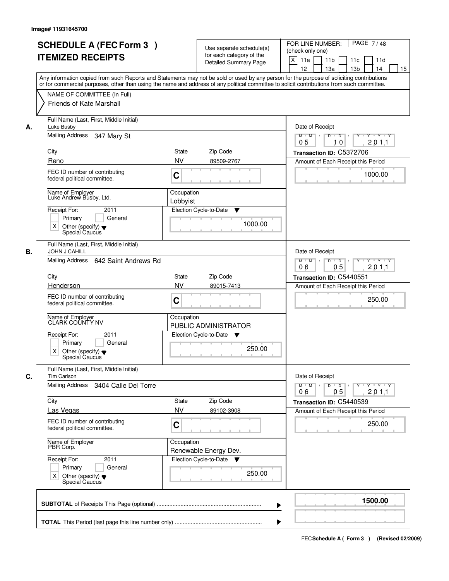| <b>ITEMIZED RECEIPTS</b>                                                                      | <b>SCHEDULE A (FEC Form 3)</b>                                  |                           | Use separate schedule(s)<br>for each category of the<br><b>Detailed Summary Page</b> | PAGE 7/48<br>FOR LINE NUMBER:<br>(check only one)<br>X<br>11 <sub>b</sub><br>11a<br>11 <sub>c</sub><br>11d<br>12<br>14<br>13a<br>13 <sub>b</sub><br>15<br>Any information copied from such Reports and Statements may not be sold or used by any person for the purpose of soliciting contributions |
|-----------------------------------------------------------------------------------------------|-----------------------------------------------------------------|---------------------------|--------------------------------------------------------------------------------------|-----------------------------------------------------------------------------------------------------------------------------------------------------------------------------------------------------------------------------------------------------------------------------------------------------|
| Friends of Kate Marshall                                                                      | NAME OF COMMITTEE (In Full)                                     |                           |                                                                                      | or for commercial purposes, other than using the name and address of any political committee to solicit contributions from such committee.                                                                                                                                                          |
| Luke Busby<br>А.<br>Mailing Address                                                           | Full Name (Last, First, Middle Initial)<br>347 Mary St          |                           |                                                                                      | Date of Receipt<br>$D$ $D$ $I$<br>Y<br>Y Y Y Y<br>$M$ $M$ /                                                                                                                                                                                                                                         |
|                                                                                               |                                                                 |                           |                                                                                      | 201.1<br>0 <sub>5</sub><br>10                                                                                                                                                                                                                                                                       |
| City<br>Reno                                                                                  |                                                                 | <b>State</b><br><b>NV</b> | Zip Code<br>89509-2767                                                               | Transaction ID: C5372706                                                                                                                                                                                                                                                                            |
| FEC ID number of contributing<br>federal political committee.                                 |                                                                 | C                         |                                                                                      | Amount of Each Receipt this Period<br>1000.00                                                                                                                                                                                                                                                       |
| Name of Employer<br>Luke Andrew Busby, Ltd.                                                   |                                                                 | Occupation<br>Lobbyist    |                                                                                      |                                                                                                                                                                                                                                                                                                     |
| Receipt For:<br>Primary<br>$\times$<br>Other (specify) $\blacktriangledown$<br>Special Caucus | 2011<br>General                                                 |                           | Election Cycle-to-Date<br>▼<br>1000.00                                               |                                                                                                                                                                                                                                                                                                     |
| JOHN J CAHILL<br>В.<br>Mailing Address                                                        | Full Name (Last, First, Middle Initial)<br>642 Saint Andrews Rd |                           |                                                                                      | Date of Receipt<br>$M$ $M$ /<br>D<br>$\overline{D}$ /<br>$Y + Y + Y$                                                                                                                                                                                                                                |
|                                                                                               |                                                                 |                           |                                                                                      | 05<br>201.1<br>06                                                                                                                                                                                                                                                                                   |
| City<br>Henderson                                                                             |                                                                 | <b>State</b><br><b>NV</b> | Zip Code<br>89015-7413                                                               | Transaction ID: C5440551<br>Amount of Each Receipt this Period                                                                                                                                                                                                                                      |
| FEC ID number of contributing<br>federal political committee.                                 |                                                                 | C                         |                                                                                      | 250.00                                                                                                                                                                                                                                                                                              |
| Name of Employer<br>CLARK COUNTY NV                                                           |                                                                 | Occupation                | PUBLIC ADMINISTRATOR                                                                 |                                                                                                                                                                                                                                                                                                     |
| Receipt For:<br>Primary<br>Χ<br>Other (specify) $\blacktriangledown$<br>Special Caucus        | 2011<br>General                                                 |                           | Election Cycle-to-Date<br>v<br>250.00                                                |                                                                                                                                                                                                                                                                                                     |
| C.<br><b>Tim Carlson</b>                                                                      | Full Name (Last, First, Middle Initial)                         |                           |                                                                                      | Date of Receipt                                                                                                                                                                                                                                                                                     |
|                                                                                               | Mailing Address 3404 Calle Del Torre                            |                           |                                                                                      | $M = M$<br>$D$ $D$ $I$<br>יץ די אַ די אַ די אַ<br>2011<br>06<br>05                                                                                                                                                                                                                                  |
| City                                                                                          |                                                                 | State                     | Zip Code                                                                             | Transaction ID: C5440539                                                                                                                                                                                                                                                                            |
| Las Vegas                                                                                     |                                                                 | <b>NV</b>                 | 89102-3908                                                                           | Amount of Each Receipt this Period                                                                                                                                                                                                                                                                  |
| FEC ID number of contributing<br>federal political committee.                                 |                                                                 | C                         |                                                                                      | 250.00                                                                                                                                                                                                                                                                                              |
| Name of Employer<br>PBR Corp.                                                                 |                                                                 | Occupation                | Renewable Energy Dev.                                                                |                                                                                                                                                                                                                                                                                                     |
| Receipt For:<br>Primary<br>Other (specify) v<br>Special Caucus<br>Χ                           | 2011<br>General                                                 |                           | Election Cycle-to-Date ▼<br>250.00                                                   |                                                                                                                                                                                                                                                                                                     |
|                                                                                               |                                                                 |                           |                                                                                      | 1500.00                                                                                                                                                                                                                                                                                             |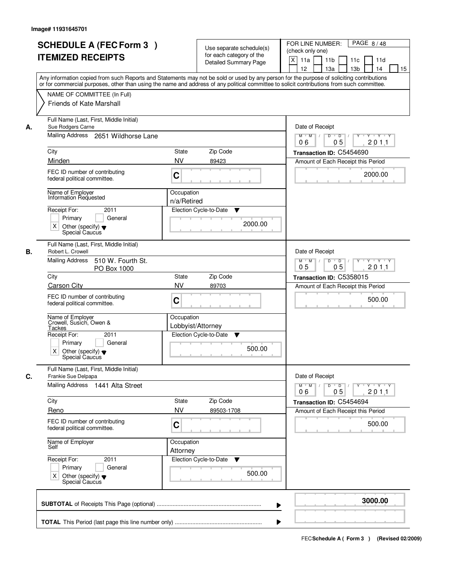|    | <b>SCHEDULE A (FEC Form 3)</b><br><b>ITEMIZED RECEIPTS</b>                                                                                                         | Use separate schedule(s)<br>for each category of the<br><b>Detailed Summary Page</b>                                                                                                                                                                                                    | PAGE 8/48<br>FOR LINE NUMBER:<br>(check only one)<br>$\times$<br>11 <sub>b</sub><br>11a<br>11c<br>11d<br>12<br>13a<br>13 <sub>b</sub><br>14<br>15 |
|----|--------------------------------------------------------------------------------------------------------------------------------------------------------------------|-----------------------------------------------------------------------------------------------------------------------------------------------------------------------------------------------------------------------------------------------------------------------------------------|---------------------------------------------------------------------------------------------------------------------------------------------------|
|    | NAME OF COMMITTEE (In Full)<br>Friends of Kate Marshall                                                                                                            | Any information copied from such Reports and Statements may not be sold or used by any person for the purpose of soliciting contributions<br>or for commercial purposes, other than using the name and address of any political committee to solicit contributions from such committee. |                                                                                                                                                   |
| А. | Full Name (Last, First, Middle Initial)<br>Sue Rodgers Carne<br>Mailing Address 2651 Wildhorse Lane<br>City                                                        | <b>State</b><br>Zip Code                                                                                                                                                                                                                                                                | Date of Receipt<br>$Y - Y - Y$<br>$M$ $M$<br>D<br>$\overline{D}$<br>Y<br>05<br>201.1<br>06<br>Transaction ID: C5454690                            |
|    | Minden<br>FEC ID number of contributing<br>federal political committee.                                                                                            | <b>NV</b><br>89423<br>C                                                                                                                                                                                                                                                                 | Amount of Each Receipt this Period<br>2000.00                                                                                                     |
|    | Name of Employer<br>Information Requested<br>Receipt For:<br>2011<br>Primary<br>General<br>$\times$<br>Other (specify) $\blacktriangledown$<br>Special Caucus      | Occupation<br>n/a/Retired<br>Election Cycle-to-Date<br>▼<br>2000.00                                                                                                                                                                                                                     |                                                                                                                                                   |
| В. | Full Name (Last, First, Middle Initial)<br>Robert L. Crowell<br>Mailing Address<br>510 W. Fourth St.<br>PO Box 1000<br>City                                        | Zip Code<br><b>State</b>                                                                                                                                                                                                                                                                | Date of Receipt<br>$M$ $M$ /<br>D<br>$\overline{D}$<br>Y<br>$Y + Y + Y$<br>05<br>0 <sub>5</sub><br>201.1<br>Transaction ID: C5358015              |
|    | <b>Carson City</b><br>FEC ID number of contributing<br>federal political committee.                                                                                | <b>NV</b><br>89703<br>C                                                                                                                                                                                                                                                                 | Amount of Each Receipt this Period<br>500.00                                                                                                      |
|    | Name of Employer<br>Crowell, Susich, Owen &<br>Tackes<br>Receipt For:<br>2011<br>Primary<br>General<br>X<br>Other (specify) $\blacktriangledown$<br>Special Caucus | Occupation<br>Lobbyist/Attorney<br>Election Cycle-to-Date<br>v<br>500.00                                                                                                                                                                                                                |                                                                                                                                                   |
| C. | Full Name (Last, First, Middle Initial)<br>Frankie Sue Delpapa<br>Mailing Address 1441 Alta Street                                                                 |                                                                                                                                                                                                                                                                                         | Date of Receipt<br>$M$ $M$ <sup><math>\prime</math></sup><br>$D$ $D$ $/$<br>yuryuryury                                                            |
|    | City<br>Reno<br>FEC ID number of contributing<br>federal political committee.                                                                                      | Zip Code<br>State<br><b>NV</b><br>89503-1708<br>C                                                                                                                                                                                                                                       | 2011<br>06<br>05<br>Transaction ID: C5454694<br>Amount of Each Receipt this Period<br>500.00                                                      |
|    | Name of Employer<br>Self                                                                                                                                           | Occupation<br>Attorney                                                                                                                                                                                                                                                                  |                                                                                                                                                   |
|    | Receipt For:<br>2011<br>Primary<br>General<br>Other (specify) v<br>Special Caucus<br>Χ                                                                             | Election Cycle-to-Date<br>v<br>500.00                                                                                                                                                                                                                                                   |                                                                                                                                                   |
|    |                                                                                                                                                                    |                                                                                                                                                                                                                                                                                         | 3000.00                                                                                                                                           |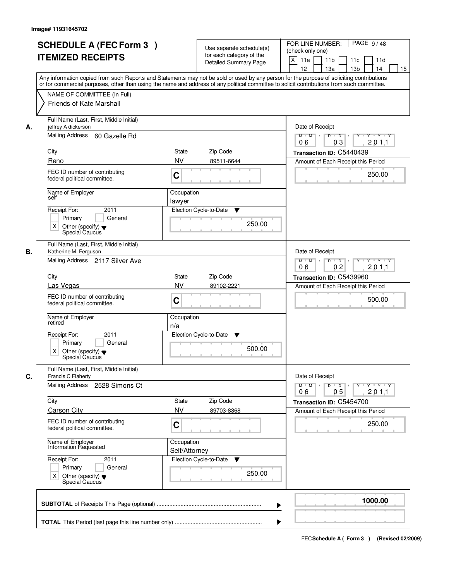| <b>SCHEDULE A (FEC Form 3)</b><br><b>ITEMIZED RECEIPTS</b>                                                       | Use separate schedule(s)<br>for each category of the<br><b>Detailed Summary Page</b><br>Any information copied from such Reports and Statements may not be sold or used by any person for the purpose of soliciting contributions | PAGE 9/48<br>FOR LINE NUMBER:<br>(check only one)<br>$\boldsymbol{\mathsf{X}}$<br>11 <sub>b</sub><br>11a<br>11 <sub>c</sub><br>11d<br>12<br>13 <sub>b</sub><br>14<br>13a<br>15 |
|------------------------------------------------------------------------------------------------------------------|-----------------------------------------------------------------------------------------------------------------------------------------------------------------------------------------------------------------------------------|--------------------------------------------------------------------------------------------------------------------------------------------------------------------------------|
| NAME OF COMMITTEE (In Full)<br>Friends of Kate Marshall                                                          | or for commercial purposes, other than using the name and address of any political committee to solicit contributions from such committee.                                                                                        |                                                                                                                                                                                |
| Full Name (Last, First, Middle Initial)<br>jeffrey A dickerson<br>А.<br>Mailing Address 60 Gazelle Rd<br>City    | <b>State</b><br>Zip Code                                                                                                                                                                                                          | Date of Receipt<br>$D$ $D$ $I$<br>$Y$ <sup>U</sup><br>$Y - Y - Y - Y$<br>$M$ $M$ /<br>03<br>201.1<br>06<br>Transaction ID: C5440439                                            |
| Reno                                                                                                             | <b>NV</b><br>89511-6644                                                                                                                                                                                                           | Amount of Each Receipt this Period                                                                                                                                             |
| FEC ID number of contributing<br>federal political committee.                                                    | C                                                                                                                                                                                                                                 | 250.00                                                                                                                                                                         |
| Name of Employer<br>self                                                                                         | Occupation<br>lawyer                                                                                                                                                                                                              |                                                                                                                                                                                |
| 2011<br>Receipt For:<br>Primary<br>General<br>$\times$<br>Other (specify) $\blacktriangledown$<br>Special Caucus | Election Cycle-to-Date<br>▼<br>250.00                                                                                                                                                                                             |                                                                                                                                                                                |
| Full Name (Last, First, Middle Initial)<br>Katherine M. Ferguson<br>В.<br>Mailing Address 2117 Silver Ave        |                                                                                                                                                                                                                                   | Date of Receipt<br>$M$ $M$ /<br>D<br>$\overline{D}$ /<br>$Y$ <sup>U</sup><br>$Y \dashv Y \dashv Y$<br>0 <sub>2</sub><br>201.1<br>06                                            |
| City                                                                                                             | Zip Code<br>State                                                                                                                                                                                                                 | Transaction ID: C5439960                                                                                                                                                       |
| Las Vegas                                                                                                        | <b>NV</b><br>89102-2221                                                                                                                                                                                                           | Amount of Each Receipt this Period                                                                                                                                             |
| FEC ID number of contributing<br>federal political committee.                                                    | C                                                                                                                                                                                                                                 | 500.00                                                                                                                                                                         |
| Name of Employer<br>retired                                                                                      | Occupation<br>n/a                                                                                                                                                                                                                 |                                                                                                                                                                                |
| Receipt For:<br>2011<br>Primary<br>General<br>Χ<br>Other (specify) $\blacktriangledown$<br>Special Caucus        | Election Cycle-to-Date<br>v<br>500.00                                                                                                                                                                                             |                                                                                                                                                                                |
| Full Name (Last, First, Middle Initial)<br>C.<br>Francis C Flaherty                                              |                                                                                                                                                                                                                                   | Date of Receipt                                                                                                                                                                |
| Mailing Address<br>2528 Simons Ct                                                                                |                                                                                                                                                                                                                                   | $M$ $M$ $M$<br>$D$ $D$ $l$<br><u> Y FY FY FY </u><br>2011<br>06<br>05                                                                                                          |
| City                                                                                                             | Zip Code<br>State<br><b>NV</b>                                                                                                                                                                                                    | Transaction ID: C5454700                                                                                                                                                       |
| <b>Carson City</b><br>FEC ID number of contributing<br>federal political committee.                              | 89703-8368<br>C                                                                                                                                                                                                                   | Amount of Each Receipt this Period<br>250.00                                                                                                                                   |
| Name of Employer<br>Information Requested                                                                        | Occupation<br>Self/Attorney                                                                                                                                                                                                       |                                                                                                                                                                                |
| Receipt For:<br>2011<br>Primary<br>General<br>Other (specify) v<br>Special Caucus<br>X                           | Election Cycle-to-Date<br>v<br>250.00                                                                                                                                                                                             |                                                                                                                                                                                |
|                                                                                                                  |                                                                                                                                                                                                                                   | 1000.00                                                                                                                                                                        |
|                                                                                                                  |                                                                                                                                                                                                                                   |                                                                                                                                                                                |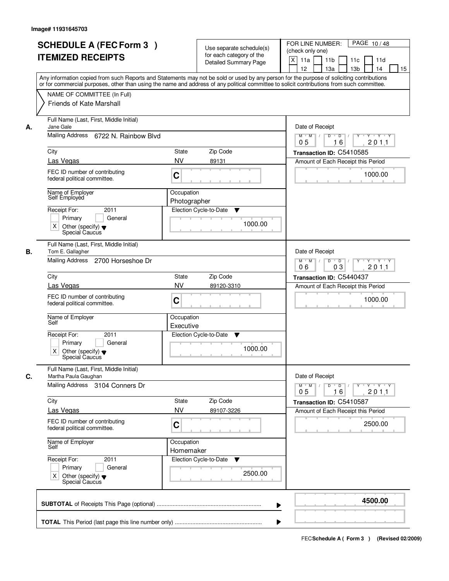|    | <b>SCHEDULE A (FEC Form 3)</b><br><b>ITEMIZED RECEIPTS</b><br>Any information copied from such Reports and Statements may not be sold or used by any person for the purpose of soliciting contributions<br>or for commercial purposes, other than using the name and address of any political committee to solicit contributions from such committee. |                            | Use separate schedule(s)<br>for each category of the<br><b>Detailed Summary Page</b> | PAGE 10/48<br>FOR LINE NUMBER:<br>(check only one)<br>X<br>11 <sub>b</sub><br>11a<br>11c<br>11d<br>12<br>13 <sub>b</sub><br>13a<br>14<br>15 |
|----|-------------------------------------------------------------------------------------------------------------------------------------------------------------------------------------------------------------------------------------------------------------------------------------------------------------------------------------------------------|----------------------------|--------------------------------------------------------------------------------------|---------------------------------------------------------------------------------------------------------------------------------------------|
|    | NAME OF COMMITTEE (In Full)<br>Friends of Kate Marshall                                                                                                                                                                                                                                                                                               |                            |                                                                                      |                                                                                                                                             |
| А. | Full Name (Last, First, Middle Initial)<br>Jane Gale<br>Mailing Address 6722 N. Rainbow Blvd                                                                                                                                                                                                                                                          |                            |                                                                                      | Date of Receipt<br>$M$ $M$<br>$D$ $D$ $/$<br>$\overline{Y}$<br>Y Y Y Y                                                                      |
|    |                                                                                                                                                                                                                                                                                                                                                       |                            |                                                                                      | 0 <sub>5</sub><br>201.1<br>16                                                                                                               |
|    | City<br>Las Vegas                                                                                                                                                                                                                                                                                                                                     | State<br><b>NV</b>         | Zip Code<br>89131                                                                    | Transaction ID: C5410585<br>Amount of Each Receipt this Period                                                                              |
|    | FEC ID number of contributing<br>federal political committee.                                                                                                                                                                                                                                                                                         | C                          |                                                                                      | 1000.00                                                                                                                                     |
|    | Name of Employer<br>Self Employed                                                                                                                                                                                                                                                                                                                     | Occupation<br>Photographer |                                                                                      |                                                                                                                                             |
|    | 2011<br>Receipt For:<br>Primary<br>General<br>$\times$<br>Other (specify) $\blacktriangledown$<br>Special Caucus                                                                                                                                                                                                                                      |                            | Election Cycle-to-Date<br>▼<br>1000.00                                               |                                                                                                                                             |
| В. | Full Name (Last, First, Middle Initial)<br>Tom E. Gallagher                                                                                                                                                                                                                                                                                           |                            |                                                                                      | Date of Receipt                                                                                                                             |
|    | Mailing Address 2700 Horseshoe Dr                                                                                                                                                                                                                                                                                                                     |                            |                                                                                      | Ÿ<br>$\mathsf{Y} \dashv \neg \mathsf{Y} \dashv \neg \mathsf{Y}$<br>$M$ $M$ /<br>D<br>$\overline{\phantom{0}}$ D<br>03<br>201.1<br>06        |
|    | City                                                                                                                                                                                                                                                                                                                                                  | State                      | Zip Code                                                                             | Transaction ID: C5440437                                                                                                                    |
|    | Las Vegas<br>FEC ID number of contributing<br>federal political committee.                                                                                                                                                                                                                                                                            | <b>NV</b><br>C             | 89120-3310                                                                           | Amount of Each Receipt this Period<br>1000.00                                                                                               |
|    | Name of Employer<br>Self                                                                                                                                                                                                                                                                                                                              | Occupation<br>Executive    |                                                                                      |                                                                                                                                             |
|    | Receipt For:<br>2011<br>Primary<br>General<br>Χ<br>Other (specify) $\blacktriangledown$<br>Special Caucus                                                                                                                                                                                                                                             |                            | Election Cycle-to-Date<br>v<br>1000.00                                               |                                                                                                                                             |
| C. | Full Name (Last, First, Middle Initial)<br>Martha Paula Gaughan<br>Mailing Address 3104 Conners Dr                                                                                                                                                                                                                                                    |                            |                                                                                      | Date of Receipt<br>$D$ $D$ $l$<br>$M$ $M$ /<br>Y Y Y Y Y                                                                                    |
|    |                                                                                                                                                                                                                                                                                                                                                       |                            |                                                                                      | 201.1<br>05<br>16                                                                                                                           |
|    | City<br>Las Vegas                                                                                                                                                                                                                                                                                                                                     | State<br><b>NV</b>         | Zip Code<br>89107-3226                                                               | Transaction ID: C5410587<br>Amount of Each Receipt this Period                                                                              |
|    | FEC ID number of contributing<br>federal political committee.                                                                                                                                                                                                                                                                                         | C                          |                                                                                      | 2500.00                                                                                                                                     |
|    | Name of Employer<br>Self                                                                                                                                                                                                                                                                                                                              | Occupation<br>Homemaker    |                                                                                      |                                                                                                                                             |
|    | Receipt For:<br>2011<br>Primary<br>General<br>Other (specify) v<br>Special Caucus<br>X.                                                                                                                                                                                                                                                               |                            | Election Cycle-to-Date<br>v<br>2500.00                                               |                                                                                                                                             |
|    |                                                                                                                                                                                                                                                                                                                                                       |                            | ▶                                                                                    | 4500.00                                                                                                                                     |
|    |                                                                                                                                                                                                                                                                                                                                                       |                            |                                                                                      |                                                                                                                                             |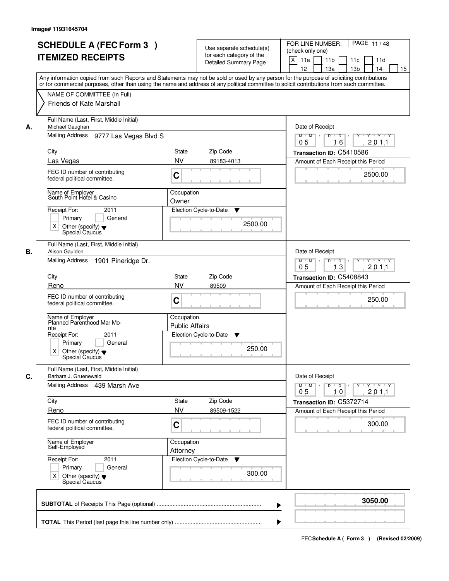|    | <b>SCHEDULE A (FEC Form 3)</b><br><b>ITEMIZED RECEIPTS</b><br>Any information copied from such Reports and Statements may not be sold or used by any person for the purpose of soliciting contributions | Use separate schedule(s)<br>for each category of the<br><b>Detailed Summary Page</b> | PAGE 11/48<br>FOR LINE NUMBER:<br>(check only one)<br>$\boldsymbol{\mathsf{X}}$<br>11 <sub>b</sub><br>11a<br>11 <sub>c</sub><br>11d<br>12<br>13 <sub>b</sub><br>13a<br>14<br>15 |
|----|---------------------------------------------------------------------------------------------------------------------------------------------------------------------------------------------------------|--------------------------------------------------------------------------------------|---------------------------------------------------------------------------------------------------------------------------------------------------------------------------------|
|    | or for commercial purposes, other than using the name and address of any political committee to solicit contributions from such committee.<br>NAME OF COMMITTEE (In Full)<br>Friends of Kate Marshall   |                                                                                      |                                                                                                                                                                                 |
| А. | Full Name (Last, First, Middle Initial)<br>Michael Gaughan<br>Mailing Address 9777 Las Vegas Blvd S                                                                                                     |                                                                                      | Date of Receipt<br>$D$ $D$ $I$<br>Y<br>$Y - Y - Y - Y$<br>$M$ $M$ /<br>0 <sub>5</sub><br>16<br>201.1                                                                            |
|    | City                                                                                                                                                                                                    | <b>State</b><br>Zip Code                                                             | Transaction ID: C5410586                                                                                                                                                        |
|    | Las Vegas                                                                                                                                                                                               | <b>NV</b><br>89183-4013                                                              | Amount of Each Receipt this Period                                                                                                                                              |
|    | FEC ID number of contributing<br>federal political committee.                                                                                                                                           | C                                                                                    | 2500.00                                                                                                                                                                         |
|    | Name of Employer<br>South Point Hotel & Casino                                                                                                                                                          | Occupation<br>Owner                                                                  |                                                                                                                                                                                 |
|    | Receipt For:<br>2011<br>Primary<br>General<br>$\times$<br>Other (specify) $\blacktriangledown$<br>Special Caucus                                                                                        | Election Cycle-to-Date<br>▼<br>2500.00                                               |                                                                                                                                                                                 |
| В. | Full Name (Last, First, Middle Initial)<br>Alison Gaulden<br>Mailing Address<br>1901 Pineridge Dr.                                                                                                      |                                                                                      | Date of Receipt<br>$M$ $M$ /<br>D<br>$\overline{D}$<br>Y<br>$Y + Y + Y$                                                                                                         |
|    |                                                                                                                                                                                                         |                                                                                      | 13<br>201.1<br>05                                                                                                                                                               |
|    | City                                                                                                                                                                                                    | Zip Code<br>State                                                                    | Transaction ID: C5408843                                                                                                                                                        |
|    | Reno<br>FEC ID number of contributing<br>federal political committee.                                                                                                                                   | <b>NV</b><br>89509<br>C                                                              | Amount of Each Receipt this Period<br>250.00                                                                                                                                    |
|    | Name of Employer<br>Planned Parenthood Mar Mo-<br>nte                                                                                                                                                   | Occupation<br><b>Public Affairs</b>                                                  |                                                                                                                                                                                 |
|    | Receipt For:<br>2011                                                                                                                                                                                    | Election Cycle-to-Date<br>v                                                          |                                                                                                                                                                                 |
|    | General<br>Primary<br>Χ<br>Other (specify) $\blacktriangledown$<br>Special Caucus                                                                                                                       | 250.00                                                                               |                                                                                                                                                                                 |
| C. | Full Name (Last, First, Middle Initial)<br>Barbara J. Gruenewald                                                                                                                                        |                                                                                      | Date of Receipt                                                                                                                                                                 |
|    | Mailing Address 439 Marsh Ave                                                                                                                                                                           |                                                                                      | $M$ $M$<br>$D$ $D$ $I$<br>2011<br>0 <sub>5</sub><br>10                                                                                                                          |
|    | City                                                                                                                                                                                                    | State<br>Zip Code                                                                    | Transaction ID: C5372714                                                                                                                                                        |
|    | Reno                                                                                                                                                                                                    | <b>NV</b><br>89509-1522                                                              | Amount of Each Receipt this Period                                                                                                                                              |
|    | FEC ID number of contributing<br>federal political committee.                                                                                                                                           | C                                                                                    | 300.00                                                                                                                                                                          |
|    | Name of Employer<br>Self-Employed                                                                                                                                                                       | Occupation<br>Attorney                                                               |                                                                                                                                                                                 |
|    | Receipt For:<br>2011<br>Primary<br>General<br>Other (specify) v<br>Special Caucus<br>X                                                                                                                  | Election Cycle-to-Date<br>v<br>300.00                                                |                                                                                                                                                                                 |
|    |                                                                                                                                                                                                         |                                                                                      | 3050.00                                                                                                                                                                         |
|    |                                                                                                                                                                                                         |                                                                                      |                                                                                                                                                                                 |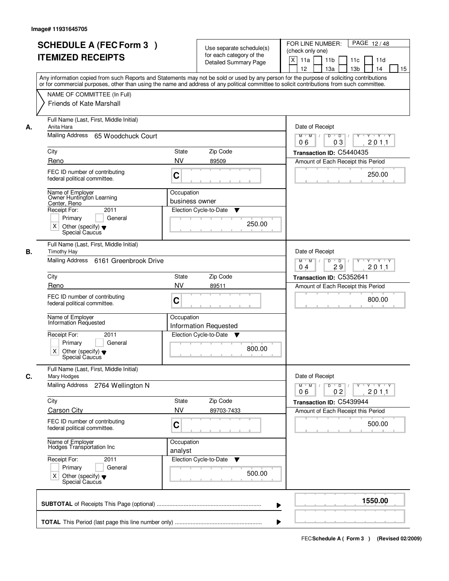| <b>SCHEDULE A (FEC Form 3)</b><br><b>ITEMIZED RECEIPTS</b>                                           | Use separate schedule(s)<br>for each category of the<br><b>Detailed Summary Page</b><br>Any information copied from such Reports and Statements may not be sold or used by any person for the purpose of soliciting contributions<br>or for commercial purposes, other than using the name and address of any political committee to solicit contributions from such committee. | PAGE 12/48<br>FOR LINE NUMBER:<br>(check only one)<br>X<br>11 <sub>b</sub><br>11a<br>11 <sub>c</sub><br>11d<br>12<br>13 <sub>b</sub><br>13a<br>14<br>15 |
|------------------------------------------------------------------------------------------------------|---------------------------------------------------------------------------------------------------------------------------------------------------------------------------------------------------------------------------------------------------------------------------------------------------------------------------------------------------------------------------------|---------------------------------------------------------------------------------------------------------------------------------------------------------|
| NAME OF COMMITTEE (In Full)<br>Friends of Kate Marshall                                              |                                                                                                                                                                                                                                                                                                                                                                                 |                                                                                                                                                         |
| Full Name (Last, First, Middle Initial)<br>Anita Hara<br>А.<br>Mailing Address<br>65 Woodchuck Court |                                                                                                                                                                                                                                                                                                                                                                                 | Date of Receipt<br>$D$ $D$ $1$<br>Y<br>$Y - Y - Y - Y$<br>$M$ $M$ /                                                                                     |
| City                                                                                                 | <b>State</b><br>Zip Code                                                                                                                                                                                                                                                                                                                                                        | 03<br>201.1<br>06<br>Transaction ID: C5440435                                                                                                           |
| Reno                                                                                                 | <b>NV</b><br>89509                                                                                                                                                                                                                                                                                                                                                              | Amount of Each Receipt this Period                                                                                                                      |
| FEC ID number of contributing<br>federal political committee.                                        | C                                                                                                                                                                                                                                                                                                                                                                               | 250.00                                                                                                                                                  |
| Name of Employer<br>Owner Huntington Learning<br>Center, Reno                                        | Occupation<br>business owner                                                                                                                                                                                                                                                                                                                                                    |                                                                                                                                                         |
| 2011<br>Receipt For:<br>Primary<br>General                                                           | Election Cycle-to-Date<br>▼<br>250.00                                                                                                                                                                                                                                                                                                                                           |                                                                                                                                                         |
| $\times$<br>Other (specify) $\blacktriangledown$<br>Special Caucus                                   |                                                                                                                                                                                                                                                                                                                                                                                 |                                                                                                                                                         |
| Full Name (Last, First, Middle Initial)<br>В.<br><b>Timothy Hay</b>                                  |                                                                                                                                                                                                                                                                                                                                                                                 | Date of Receipt                                                                                                                                         |
| Mailing Address 6161 Greenbrook Drive                                                                |                                                                                                                                                                                                                                                                                                                                                                                 | $M$ $M$ /<br>D<br>$\overline{\phantom{0}}$ D<br>$Y + Y + Y$<br>29<br>201.1<br>04                                                                        |
| City                                                                                                 | Zip Code<br>State                                                                                                                                                                                                                                                                                                                                                               | Transaction ID: C5352641                                                                                                                                |
| Reno                                                                                                 | <b>NV</b><br>89511                                                                                                                                                                                                                                                                                                                                                              | Amount of Each Receipt this Period                                                                                                                      |
| FEC ID number of contributing<br>federal political committee.                                        | C                                                                                                                                                                                                                                                                                                                                                                               | 800.00                                                                                                                                                  |
| Name of Employer<br>Information Requested                                                            | Occupation<br>Information Requested                                                                                                                                                                                                                                                                                                                                             |                                                                                                                                                         |
| Receipt For:<br>2011                                                                                 | Election Cycle-to-Date<br>v                                                                                                                                                                                                                                                                                                                                                     |                                                                                                                                                         |
| General<br>Primary<br>Χ<br>Other (specify) $\blacktriangledown$<br>Special Caucus                    | 800.00                                                                                                                                                                                                                                                                                                                                                                          |                                                                                                                                                         |
| Full Name (Last, First, Middle Initial)<br>C.<br>Mary Hodges                                         |                                                                                                                                                                                                                                                                                                                                                                                 | Date of Receipt                                                                                                                                         |
| Mailing Address<br>2764 Wellington N                                                                 |                                                                                                                                                                                                                                                                                                                                                                                 | $M$ $M$ $M$<br>$D$ $D$ $I$<br>y y y y y<br>2011<br>06<br>0 <sub>2</sub>                                                                                 |
| City                                                                                                 | Zip Code<br>State                                                                                                                                                                                                                                                                                                                                                               | Transaction ID: C5439944                                                                                                                                |
| <b>Carson City</b>                                                                                   | <b>NV</b><br>89703-7433                                                                                                                                                                                                                                                                                                                                                         | Amount of Each Receipt this Period                                                                                                                      |
| FEC ID number of contributing<br>federal political committee.                                        | C                                                                                                                                                                                                                                                                                                                                                                               | 500.00                                                                                                                                                  |
| Name of Employer<br>Hodges Transportation Inc                                                        | Occupation<br>analyst                                                                                                                                                                                                                                                                                                                                                           |                                                                                                                                                         |
| Receipt For:<br>2011                                                                                 | Election Cycle-to-Date<br>▼                                                                                                                                                                                                                                                                                                                                                     |                                                                                                                                                         |
| Primary<br>General<br>Other (specify) $\blacktriangledown$<br>Χ<br>Special Caucus                    | 500.00                                                                                                                                                                                                                                                                                                                                                                          |                                                                                                                                                         |
|                                                                                                      |                                                                                                                                                                                                                                                                                                                                                                                 | 1550.00                                                                                                                                                 |
|                                                                                                      |                                                                                                                                                                                                                                                                                                                                                                                 |                                                                                                                                                         |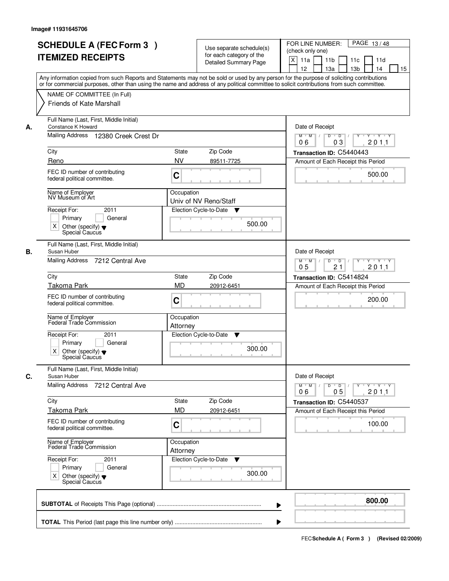| <b>SCHEDULE A (FEC Form 3)</b><br><b>ITEMIZED RECEIPTS</b>                                                       | Use separate schedule(s)<br>for each category of the<br><b>Detailed Summary Page</b><br>Any information copied from such Reports and Statements may not be sold or used by any person for the purpose of soliciting contributions | PAGE 13/48<br>FOR LINE NUMBER:<br>(check only one)<br>$\boldsymbol{\mathsf{X}}$<br>11 <sub>b</sub><br>11a<br>11 <sub>c</sub><br>11d<br>12<br>13 <sub>b</sub><br>14<br>13a<br>15 |
|------------------------------------------------------------------------------------------------------------------|-----------------------------------------------------------------------------------------------------------------------------------------------------------------------------------------------------------------------------------|---------------------------------------------------------------------------------------------------------------------------------------------------------------------------------|
| NAME OF COMMITTEE (In Full)<br>Friends of Kate Marshall                                                          | or for commercial purposes, other than using the name and address of any political committee to solicit contributions from such committee.                                                                                        |                                                                                                                                                                                 |
| Full Name (Last, First, Middle Initial)<br>Constance K Howard<br>А.<br>Mailing Address 12380 Creek Crest Dr      |                                                                                                                                                                                                                                   | Date of Receipt<br>$D$ $D$ $I$<br>Y<br>$Y - Y - Y - Y$<br>$M$ $M$ /<br>03<br>201.1<br>06                                                                                        |
| City                                                                                                             | <b>State</b><br>Zip Code                                                                                                                                                                                                          | Transaction ID: C5440443                                                                                                                                                        |
| Reno                                                                                                             | <b>NV</b><br>89511-7725                                                                                                                                                                                                           | Amount of Each Receipt this Period                                                                                                                                              |
| FEC ID number of contributing<br>federal political committee.                                                    | C                                                                                                                                                                                                                                 | 500.00                                                                                                                                                                          |
| Name of Employer<br>NV Museum of Art                                                                             | Occupation<br>Univ of NV Reno/Staff                                                                                                                                                                                               |                                                                                                                                                                                 |
| Receipt For:<br>2011<br>Primary<br>General<br>$\times$<br>Other (specify) $\blacktriangledown$<br>Special Caucus | Election Cycle-to-Date<br>v<br>500.00                                                                                                                                                                                             |                                                                                                                                                                                 |
| Full Name (Last, First, Middle Initial)<br>Susan Huber<br>В.<br>Mailing Address 7212 Central Ave                 |                                                                                                                                                                                                                                   | Date of Receipt<br>$M$ $M$ /<br>D<br>$\overline{D}$ /<br>$Y$ <sup><math>\top</math></sup><br>Y Y Y Y                                                                            |
|                                                                                                                  |                                                                                                                                                                                                                                   | 0 <sub>5</sub><br>21<br>201.1                                                                                                                                                   |
| City                                                                                                             | Zip Code<br>State<br><b>MD</b>                                                                                                                                                                                                    | Transaction ID: C5414824                                                                                                                                                        |
| Takoma Park<br>FEC ID number of contributing<br>federal political committee.                                     | 20912-6451<br>C                                                                                                                                                                                                                   | Amount of Each Receipt this Period<br>200.00                                                                                                                                    |
| Name of Employer<br>Federal Trade Commission                                                                     | Occupation<br>Attorney                                                                                                                                                                                                            |                                                                                                                                                                                 |
| Receipt For:<br>2011                                                                                             | Election Cycle-to-Date<br>▼                                                                                                                                                                                                       |                                                                                                                                                                                 |
| Primary<br>General<br>Χ<br>Other (specify) $\blacktriangledown$<br>Special Caucus                                | 300.00                                                                                                                                                                                                                            |                                                                                                                                                                                 |
| Full Name (Last, First, Middle Initial)<br>C.<br>Susan Huber                                                     |                                                                                                                                                                                                                                   | Date of Receipt                                                                                                                                                                 |
| <b>Mailing Address</b><br>7212 Central Ave                                                                       |                                                                                                                                                                                                                                   | $M$ $M$ $M$<br>$D$ $D$ $I$<br>y y y y y y<br>2011<br>06<br>05                                                                                                                   |
| City<br>Takoma Park                                                                                              | Zip Code<br>State<br><b>MD</b>                                                                                                                                                                                                    | Transaction ID: C5440537                                                                                                                                                        |
| FEC ID number of contributing<br>federal political committee.                                                    | 20912-6451<br>C                                                                                                                                                                                                                   | Amount of Each Receipt this Period<br>100.00                                                                                                                                    |
| Name of Employer<br>Federal Trade Commission                                                                     | Occupation<br>Attorney                                                                                                                                                                                                            |                                                                                                                                                                                 |
| Receipt For:<br>2011<br>Primary<br>General<br>Other (specify) v<br>Special Caucus<br>X                           | Election Cycle-to-Date<br>v<br>300.00                                                                                                                                                                                             |                                                                                                                                                                                 |
|                                                                                                                  |                                                                                                                                                                                                                                   |                                                                                                                                                                                 |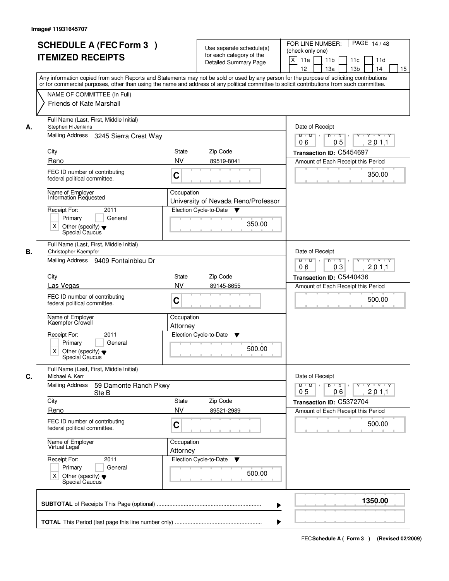|    | <b>SCHEDULE A (FEC Form 3)</b><br><b>ITEMIZED RECEIPTS</b>                                                                                                                                                                                                                              |                        | Use separate schedule(s)<br>for each category of the<br><b>Detailed Summary Page</b> | PAGE 14/48<br>FOR LINE NUMBER:<br>(check only one)<br>X<br>11 <sub>b</sub><br>11a<br>11c<br>11d |
|----|-----------------------------------------------------------------------------------------------------------------------------------------------------------------------------------------------------------------------------------------------------------------------------------------|------------------------|--------------------------------------------------------------------------------------|-------------------------------------------------------------------------------------------------|
|    | Any information copied from such Reports and Statements may not be sold or used by any person for the purpose of soliciting contributions<br>or for commercial purposes, other than using the name and address of any political committee to solicit contributions from such committee. |                        |                                                                                      | 12<br>13 <sub>b</sub><br>13a<br>14<br>15                                                        |
|    | NAME OF COMMITTEE (In Full)<br>Friends of Kate Marshall                                                                                                                                                                                                                                 |                        |                                                                                      |                                                                                                 |
| А. | Full Name (Last, First, Middle Initial)<br>Stephen H Jenkins                                                                                                                                                                                                                            |                        |                                                                                      | Date of Receipt                                                                                 |
|    | Mailing Address 3245 Sierra Crest Way                                                                                                                                                                                                                                                   |                        |                                                                                      | $M$ $M$<br>$D$ $D$ $/$<br>$Y$ <sup><math>\top</math></sup><br>Y Y Y Y<br>05<br>201.1<br>06      |
|    | City                                                                                                                                                                                                                                                                                    | State                  | Zip Code                                                                             | Transaction ID: C5454697                                                                        |
|    | Reno                                                                                                                                                                                                                                                                                    | <b>NV</b>              | 89519-8041                                                                           | Amount of Each Receipt this Period                                                              |
|    | FEC ID number of contributing<br>federal political committee.                                                                                                                                                                                                                           | C                      |                                                                                      | 350.00                                                                                          |
|    | Name of Employer<br>Information Requested                                                                                                                                                                                                                                               | Occupation             | University of Nevada Reno/Professor                                                  |                                                                                                 |
|    | Receipt For:<br>2011                                                                                                                                                                                                                                                                    | Election Cycle-to-Date | ▼                                                                                    |                                                                                                 |
|    | Primary<br>General<br>$\times$<br>Other (specify) $\blacktriangledown$<br>Special Caucus                                                                                                                                                                                                |                        | 350.00                                                                               |                                                                                                 |
| В. | Full Name (Last, First, Middle Initial)<br>Christopher Kaempfer                                                                                                                                                                                                                         |                        |                                                                                      | Date of Receipt                                                                                 |
|    | Mailing Address 9409 Fontainbleu Dr                                                                                                                                                                                                                                                     |                        |                                                                                      | Ÿ<br>$M$ $M$ /<br>D<br>$\overline{D}$ /<br>Y Y Y Y<br>03<br>201.1<br>06                         |
|    | City                                                                                                                                                                                                                                                                                    | <b>State</b>           | Zip Code                                                                             | Transaction ID: C5440436                                                                        |
|    | Las Vegas                                                                                                                                                                                                                                                                               | <b>NV</b>              | 89145-8655                                                                           | Amount of Each Receipt this Period                                                              |
|    | FEC ID number of contributing<br>federal political committee.                                                                                                                                                                                                                           | C                      |                                                                                      | 500.00                                                                                          |
|    | Name of Employer<br>Kaempfer Crowell                                                                                                                                                                                                                                                    | Occupation<br>Attorney |                                                                                      |                                                                                                 |
|    | Receipt For:<br>2011<br>General<br>Primary                                                                                                                                                                                                                                              | Election Cycle-to-Date | v                                                                                    |                                                                                                 |
|    | X<br>Other (specify) $\blacktriangledown$<br>Special Caucus                                                                                                                                                                                                                             |                        | 500.00                                                                               |                                                                                                 |
| C. | Full Name (Last, First, Middle Initial)<br>Michael A. Kerr                                                                                                                                                                                                                              |                        |                                                                                      | Date of Receipt                                                                                 |
|    | <b>Mailing Address</b><br>59 Damonte Ranch Pkwy<br>Ste B                                                                                                                                                                                                                                |                        |                                                                                      | $D$ $D$ $/$<br>$M$ $M$ /<br>$Y$ <sup>U</sup><br>Y 'Y 'Y<br>201.1<br>05<br>06                    |
|    | City<br>Reno                                                                                                                                                                                                                                                                            | State<br><b>NV</b>     | Zip Code<br>89521-2989                                                               | Transaction ID: C5372704                                                                        |
|    | FEC ID number of contributing<br>federal political committee.                                                                                                                                                                                                                           | C                      |                                                                                      | Amount of Each Receipt this Period<br>500.00                                                    |
|    |                                                                                                                                                                                                                                                                                         |                        |                                                                                      |                                                                                                 |
|    | Name of Employer<br>Virtual Legal                                                                                                                                                                                                                                                       | Occupation<br>Attorney |                                                                                      |                                                                                                 |
|    | Receipt For:<br>2011                                                                                                                                                                                                                                                                    | Election Cycle-to-Date | v                                                                                    |                                                                                                 |
|    | Primary<br>General<br>Other (specify) v<br>Special Caucus<br>X.                                                                                                                                                                                                                         |                        | 500.00                                                                               |                                                                                                 |
|    |                                                                                                                                                                                                                                                                                         |                        |                                                                                      | 1350.00                                                                                         |
|    |                                                                                                                                                                                                                                                                                         |                        |                                                                                      |                                                                                                 |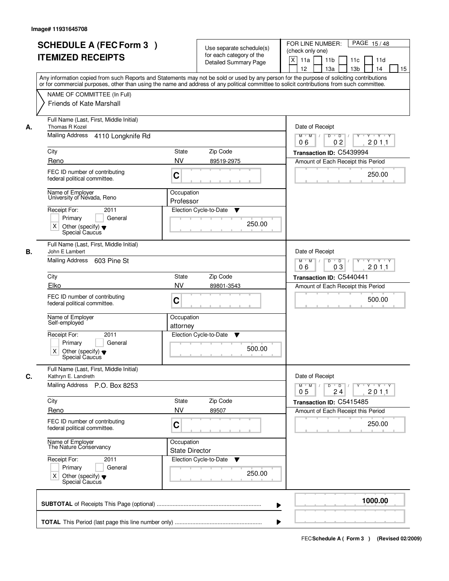| <b>ITEMIZED RECEIPTS</b>                                                                                                                        | <b>SCHEDULE A (FEC Form 3)</b>                                               |                                     | Use separate schedule(s)<br>for each category of the<br><b>Detailed Summary Page</b> | FOR LINE NUMBER:<br>(check only one)<br>$\boldsymbol{\mathsf{X}}$<br>11 <sub>b</sub><br>11a<br>11 <sub>c</sub><br>12<br>13 <sub>b</sub><br>13a<br>Any information copied from such Reports and Statements may not be sold or used by any person for the purpose of soliciting contributions | PAGE 15/48<br>11d<br>14<br>15 |
|-------------------------------------------------------------------------------------------------------------------------------------------------|------------------------------------------------------------------------------|-------------------------------------|--------------------------------------------------------------------------------------|---------------------------------------------------------------------------------------------------------------------------------------------------------------------------------------------------------------------------------------------------------------------------------------------|-------------------------------|
| Friends of Kate Marshall                                                                                                                        | NAME OF COMMITTEE (In Full)                                                  |                                     |                                                                                      | or for commercial purposes, other than using the name and address of any political committee to solicit contributions from such committee.                                                                                                                                                  |                               |
| Thomas R Kozel<br>А.                                                                                                                            | Full Name (Last, First, Middle Initial)<br>Mailing Address 4110 Longknife Rd |                                     |                                                                                      | Date of Receipt<br>$D$ $D$ $1$<br>Y<br>$M$ $M$ /<br>02<br>06                                                                                                                                                                                                                                | $Y - Y - Y - Y$<br>201.1      |
| City<br>Reno                                                                                                                                    |                                                                              | <b>State</b><br><b>NV</b>           | Zip Code<br>89519-2975                                                               | Transaction ID: C5439994<br>Amount of Each Receipt this Period                                                                                                                                                                                                                              |                               |
| FEC ID number of contributing<br>federal political committee.                                                                                   |                                                                              | C                                   |                                                                                      |                                                                                                                                                                                                                                                                                             | 250.00                        |
| Name of Employer<br>University of Nevada, Reno<br>Receipt For:<br>Primary<br>$\times$<br>Other (specify) $\blacktriangledown$<br>Special Caucus | 2011<br>General                                                              | Occupation<br>Professor             | Election Cycle-to-Date<br>▼<br>250.00                                                |                                                                                                                                                                                                                                                                                             |                               |
| John E Lambert<br>В.<br>Mailing Address                                                                                                         | Full Name (Last, First, Middle Initial)<br>603 Pine St                       |                                     |                                                                                      | Date of Receipt<br>$M$ $M$ /<br>D<br>$\overline{D}$<br>Y<br>03<br>06                                                                                                                                                                                                                        | Y Y Y Y<br>201.1              |
| City<br>Elko                                                                                                                                    |                                                                              | State<br><b>NV</b>                  | Zip Code<br>89801-3543                                                               | Transaction ID: C5440441                                                                                                                                                                                                                                                                    |                               |
| FEC ID number of contributing<br>federal political committee.                                                                                   |                                                                              | C                                   |                                                                                      | Amount of Each Receipt this Period                                                                                                                                                                                                                                                          | 500.00                        |
| Name of Employer<br>Self-employed                                                                                                               |                                                                              | Occupation<br>attorney              |                                                                                      |                                                                                                                                                                                                                                                                                             |                               |
| Receipt For:<br>Primary<br>Χ<br>Other (specify) $\blacktriangledown$<br>Special Caucus                                                          | 2011<br>General                                                              |                                     | Election Cycle-to-Date<br>▼<br>500.00                                                |                                                                                                                                                                                                                                                                                             |                               |
| C.<br>Kathryn E. Landreth                                                                                                                       | Full Name (Last, First, Middle Initial)<br>Mailing Address P.O. Box 8253     |                                     |                                                                                      | Date of Receipt                                                                                                                                                                                                                                                                             |                               |
| City                                                                                                                                            |                                                                              | State                               | Zip Code                                                                             | $M$ $M$<br>$D$ $D$ $l$<br>0 <sub>5</sub><br>24                                                                                                                                                                                                                                              | y y y y y y<br>2011           |
| Reno                                                                                                                                            |                                                                              | <b>NV</b>                           | 89507                                                                                | Transaction ID: C5415485<br>Amount of Each Receipt this Period                                                                                                                                                                                                                              |                               |
| FEC ID number of contributing<br>federal political committee.                                                                                   |                                                                              | C                                   |                                                                                      |                                                                                                                                                                                                                                                                                             | 250.00                        |
| Name of Employer<br>The Nature Conservancy                                                                                                      |                                                                              | Occupation<br><b>State Director</b> |                                                                                      |                                                                                                                                                                                                                                                                                             |                               |
| Receipt For:<br>Primary<br>Other (specify) v<br>Special Caucus<br>X                                                                             | 2011<br>General                                                              |                                     | Election Cycle-to-Date<br>v<br>250.00                                                |                                                                                                                                                                                                                                                                                             |                               |
|                                                                                                                                                 |                                                                              |                                     |                                                                                      |                                                                                                                                                                                                                                                                                             | 1000.00                       |
|                                                                                                                                                 |                                                                              |                                     |                                                                                      |                                                                                                                                                                                                                                                                                             |                               |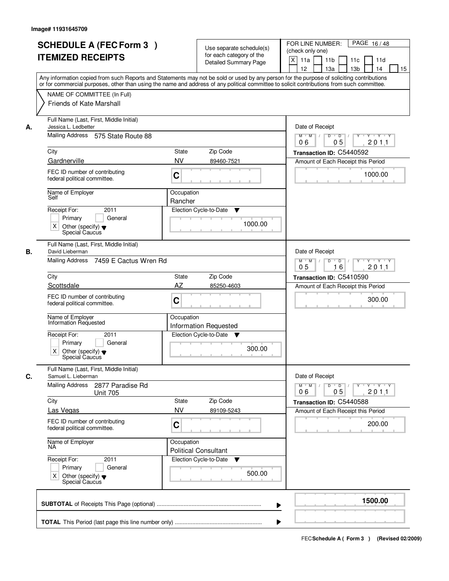|    | <b>SCHEDULE A (FEC Form 3)</b><br><b>ITEMIZED RECEIPTS</b>                               | Use separate schedule(s)<br>for each category of the<br><b>Detailed Summary Page</b>                                                       | PAGE 16/48<br>FOR LINE NUMBER:<br>(check only one)<br>X<br>11 <sub>b</sub><br>11a<br>11 <sub>c</sub><br>11d<br>12<br>13 <sub>b</sub><br>14<br>13a<br>15<br>Any information copied from such Reports and Statements may not be sold or used by any person for the purpose of soliciting contributions |
|----|------------------------------------------------------------------------------------------|--------------------------------------------------------------------------------------------------------------------------------------------|------------------------------------------------------------------------------------------------------------------------------------------------------------------------------------------------------------------------------------------------------------------------------------------------------|
|    | NAME OF COMMITTEE (In Full)<br>Friends of Kate Marshall                                  | or for commercial purposes, other than using the name and address of any political committee to solicit contributions from such committee. |                                                                                                                                                                                                                                                                                                      |
| А. | Full Name (Last, First, Middle Initial)<br>Jessica L. Ledbetter                          |                                                                                                                                            | Date of Receipt                                                                                                                                                                                                                                                                                      |
|    | Mailing Address 575 State Route 88                                                       |                                                                                                                                            | $M$ $M$<br>$D$ $D$<br>Y Y Y Y<br>Y<br>05<br>201.1<br>06                                                                                                                                                                                                                                              |
|    | City                                                                                     | <b>State</b><br>Zip Code                                                                                                                   | Transaction ID: C5440592                                                                                                                                                                                                                                                                             |
|    | Gardnerville                                                                             | <b>NV</b><br>89460-7521                                                                                                                    | Amount of Each Receipt this Period                                                                                                                                                                                                                                                                   |
|    | FEC ID number of contributing<br>federal political committee.                            | C                                                                                                                                          | 1000.00                                                                                                                                                                                                                                                                                              |
|    | Name of Employer<br>Self                                                                 | Occupation<br>Rancher                                                                                                                      |                                                                                                                                                                                                                                                                                                      |
|    | Receipt For:<br>2011                                                                     | Election Cycle-to-Date<br>▼                                                                                                                |                                                                                                                                                                                                                                                                                                      |
|    | Primary<br>General<br>$\times$<br>Other (specify) $\blacktriangledown$<br>Special Caucus | 1000.00                                                                                                                                    |                                                                                                                                                                                                                                                                                                      |
| В. | Full Name (Last, First, Middle Initial)<br>David Lieberman                               |                                                                                                                                            | Date of Receipt                                                                                                                                                                                                                                                                                      |
|    | Mailing Address 7459 E Cactus Wren Rd                                                    | $M$ $M$ /<br>D<br>$\Box$ D $\Box$ /<br>$Y + Y + Y$<br>16<br>0 <sub>5</sub><br>201.1                                                        |                                                                                                                                                                                                                                                                                                      |
|    | City                                                                                     | Zip Code<br><b>State</b>                                                                                                                   | Transaction ID: C5410590                                                                                                                                                                                                                                                                             |
|    | Scottsdale                                                                               | AZ<br>85250-4603                                                                                                                           | Amount of Each Receipt this Period                                                                                                                                                                                                                                                                   |
|    | FEC ID number of contributing<br>federal political committee.                            | C                                                                                                                                          | 300.00                                                                                                                                                                                                                                                                                               |
|    | Name of Employer<br><b>Information Requested</b>                                         | Occupation<br>Information Requested                                                                                                        |                                                                                                                                                                                                                                                                                                      |
|    | Receipt For:<br>2011<br>Primary<br>General                                               | Election Cycle-to-Date<br>v                                                                                                                |                                                                                                                                                                                                                                                                                                      |
|    | Χ<br>Other (specify) $\blacktriangledown$<br>Special Caucus                              | 300.00                                                                                                                                     |                                                                                                                                                                                                                                                                                                      |
|    | Full Name (Last, First, Middle Initial)<br>Samuel L. Lieberman                           |                                                                                                                                            | Date of Receipt                                                                                                                                                                                                                                                                                      |
|    | <b>Mailing Address</b><br>2877 Paradise Rd<br><b>Unit 705</b>                            |                                                                                                                                            | $M = M$<br>$D$ $D$ $I$<br>үшүшүшү<br>2011<br>06<br>05                                                                                                                                                                                                                                                |
|    | City                                                                                     | Zip Code<br><b>State</b>                                                                                                                   | Transaction ID: C5440588                                                                                                                                                                                                                                                                             |
|    | Las Vegas                                                                                | <b>NV</b><br>89109-5243                                                                                                                    | Amount of Each Receipt this Period                                                                                                                                                                                                                                                                   |
|    | FEC ID number of contributing<br>federal political committee.                            | C                                                                                                                                          | 200.00                                                                                                                                                                                                                                                                                               |
|    | Name of Employer<br>NA                                                                   | Occupation<br><b>Political Consultant</b>                                                                                                  |                                                                                                                                                                                                                                                                                                      |
|    | Receipt For:<br>2011                                                                     | Election Cycle-to-Date<br>v                                                                                                                |                                                                                                                                                                                                                                                                                                      |
|    | Primary<br>General<br>Other (specify) v<br>Special Caucus<br>Χ                           | 500.00                                                                                                                                     |                                                                                                                                                                                                                                                                                                      |
|    |                                                                                          |                                                                                                                                            | 1500.00                                                                                                                                                                                                                                                                                              |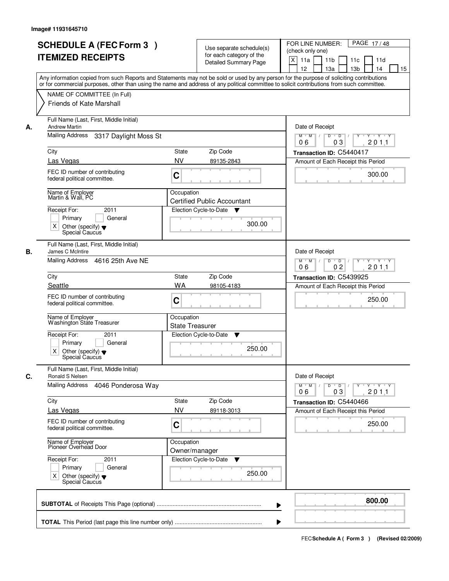| <b>SCHEDULE A (FEC Form 3)</b><br><b>ITEMIZED RECEIPTS</b>                                                        | Use separate schedule(s)<br>for each category of the<br><b>Detailed Summary Page</b><br>Any information copied from such Reports and Statements may not be sold or used by any person for the purpose of soliciting contributions | PAGE 17/48<br>FOR LINE NUMBER:<br>(check only one)<br>X<br>11 <sub>b</sub><br>11a<br>11 <sub>c</sub><br>11d<br>12<br>13 <sub>b</sub><br>13a<br>14<br>15 |
|-------------------------------------------------------------------------------------------------------------------|-----------------------------------------------------------------------------------------------------------------------------------------------------------------------------------------------------------------------------------|---------------------------------------------------------------------------------------------------------------------------------------------------------|
| NAME OF COMMITTEE (In Full)<br>Friends of Kate Marshall                                                           | or for commercial purposes, other than using the name and address of any political committee to solicit contributions from such committee.                                                                                        |                                                                                                                                                         |
| Full Name (Last, First, Middle Initial)<br><b>Andrew Martin</b><br>А.<br>Mailing Address<br>3317 Daylight Moss St |                                                                                                                                                                                                                                   | Date of Receipt<br>$D$ $D$ $1$<br>Y<br>$Y - Y - Y - Y$<br>$M$ $M$ /<br>03<br>201.1<br>06                                                                |
| City                                                                                                              | <b>State</b><br>Zip Code                                                                                                                                                                                                          | Transaction ID: C5440417                                                                                                                                |
| Las Vegas                                                                                                         | <b>NV</b><br>89135-2843                                                                                                                                                                                                           | Amount of Each Receipt this Period                                                                                                                      |
| FEC ID number of contributing<br>federal political committee.                                                     | C                                                                                                                                                                                                                                 | 300.00                                                                                                                                                  |
| Name of Employer<br>Martin & Wall, PC                                                                             | Occupation<br><b>Certified Public Accountant</b>                                                                                                                                                                                  |                                                                                                                                                         |
| Receipt For:<br>2011<br>Primary<br>General<br>$\times$<br>Other (specify) $\blacktriangledown$<br>Special Caucus  | Election Cycle-to-Date<br>v<br>300.00                                                                                                                                                                                             |                                                                                                                                                         |
| Full Name (Last, First, Middle Initial)<br>James C McIntire<br>В.                                                 |                                                                                                                                                                                                                                   | Date of Receipt                                                                                                                                         |
| Mailing Address 4616 25th Ave NE                                                                                  |                                                                                                                                                                                                                                   | $M$ $M$ /<br>D<br>$\overline{D}$ /<br>Y<br>Y Y Y Y<br>0 <sub>2</sub><br>201.1<br>06                                                                     |
| City                                                                                                              | Zip Code<br>State                                                                                                                                                                                                                 | Transaction ID: C5439925                                                                                                                                |
| Seattle                                                                                                           | <b>WA</b><br>98105-4183                                                                                                                                                                                                           | Amount of Each Receipt this Period                                                                                                                      |
| FEC ID number of contributing<br>federal political committee.                                                     | C                                                                                                                                                                                                                                 | 250.00                                                                                                                                                  |
| Name of Employer<br>Washington State Treasurer                                                                    | Occupation<br><b>State Treasurer</b>                                                                                                                                                                                              |                                                                                                                                                         |
| Receipt For:<br>2011                                                                                              | Election Cycle-to-Date<br>v                                                                                                                                                                                                       |                                                                                                                                                         |
| General<br>Primary<br>Χ<br>Other (specify) $\blacktriangledown$<br>Special Caucus                                 | 250.00                                                                                                                                                                                                                            |                                                                                                                                                         |
| Full Name (Last, First, Middle Initial)<br>C.<br>Ronald S Nelsen                                                  |                                                                                                                                                                                                                                   | Date of Receipt                                                                                                                                         |
| Mailing Address<br>4046 Ponderosa Way                                                                             |                                                                                                                                                                                                                                   | $M$ $M$ $M$<br>$D$ $D$ $/$<br>yuryuryury<br>2011<br>06<br>03                                                                                            |
| City                                                                                                              | Zip Code<br>State                                                                                                                                                                                                                 | Transaction ID: C5440466                                                                                                                                |
| Las Vegas                                                                                                         | <b>NV</b><br>89118-3013                                                                                                                                                                                                           | Amount of Each Receipt this Period                                                                                                                      |
| FEC ID number of contributing<br>federal political committee.                                                     | C                                                                                                                                                                                                                                 | 250.00                                                                                                                                                  |
| Name of Employer<br>Pioneer Overhead Door                                                                         | Occupation<br>Owner/manager                                                                                                                                                                                                       |                                                                                                                                                         |
| Receipt For:<br>2011                                                                                              | Election Cycle-to-Date<br>v                                                                                                                                                                                                       |                                                                                                                                                         |
| Primary<br>General<br>Other (specify) v<br>Special Caucus<br>X                                                    | 250.00                                                                                                                                                                                                                            |                                                                                                                                                         |
|                                                                                                                   |                                                                                                                                                                                                                                   | 800.00                                                                                                                                                  |
|                                                                                                                   |                                                                                                                                                                                                                                   |                                                                                                                                                         |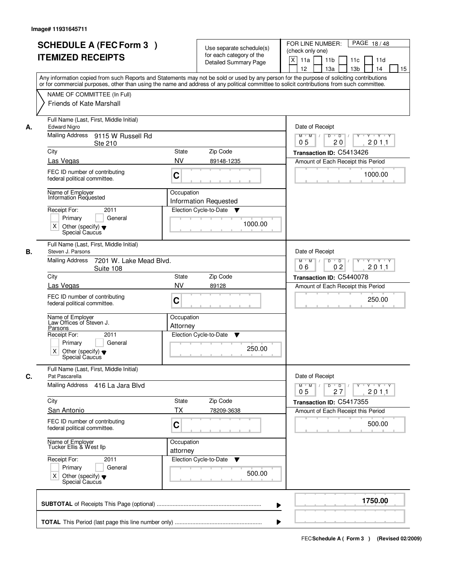| <b>ITEMIZED RECEIPTS</b>                                                           | <b>SCHEDULE A (FEC Form 3)</b>                               |                           | Use separate schedule(s)<br>for each category of the<br><b>Detailed Summary Page</b> | PAGE 18/48<br>FOR LINE NUMBER:<br>(check only one)<br>X<br>11 <sub>b</sub><br>11a<br>11 <sub>c</sub><br>11d<br>12<br>13 <sub>b</sub><br>14<br>13a<br>15<br>Any information copied from such Reports and Statements may not be sold or used by any person for the purpose of soliciting contributions |
|------------------------------------------------------------------------------------|--------------------------------------------------------------|---------------------------|--------------------------------------------------------------------------------------|------------------------------------------------------------------------------------------------------------------------------------------------------------------------------------------------------------------------------------------------------------------------------------------------------|
|                                                                                    | NAME OF COMMITTEE (In Full)<br>Friends of Kate Marshall      |                           |                                                                                      | or for commercial purposes, other than using the name and address of any political committee to solicit contributions from such committee.                                                                                                                                                           |
| <b>Edward Nigro</b><br>А.<br><b>Mailing Address</b>                                | Full Name (Last, First, Middle Initial)<br>9115 W Russell Rd |                           |                                                                                      | Date of Receipt<br>$D$ $D$<br>Y Y Y Y<br>$M$ $M$ /<br>Y                                                                                                                                                                                                                                              |
|                                                                                    | Ste 210                                                      |                           |                                                                                      | 20<br>201.1<br>0 <sub>5</sub>                                                                                                                                                                                                                                                                        |
| City<br>Las Vegas                                                                  |                                                              | <b>State</b><br><b>NV</b> | Zip Code<br>89148-1235                                                               | Transaction ID: C5413426<br>Amount of Each Receipt this Period                                                                                                                                                                                                                                       |
| federal political committee.                                                       | FEC ID number of contributing                                | C                         |                                                                                      | 1000.00                                                                                                                                                                                                                                                                                              |
| Name of Employer<br>Information Requested<br>Receipt For:<br>Primary               | 2011<br>General                                              | Occupation                | <b>Information Requested</b><br>Election Cycle-to-Date<br>v                          |                                                                                                                                                                                                                                                                                                      |
| $\times$<br>Special Caucus                                                         | Other (specify) $\blacktriangledown$                         |                           | 1000.00                                                                              |                                                                                                                                                                                                                                                                                                      |
|                                                                                    | Full Name (Last, First, Middle Initial)                      |                           |                                                                                      |                                                                                                                                                                                                                                                                                                      |
| Steven J. Parsons<br>В.<br><b>Mailing Address</b>                                  | 7201 W. Lake Mead Blvd.<br>Suite 108                         |                           |                                                                                      | Date of Receipt<br>$M$ $M$ /<br>D<br>$\overline{D}$ /<br>$Y + Y + Y$<br>06<br>0 <sub>2</sub><br>201.1                                                                                                                                                                                                |
| City                                                                               | Zip Code<br><b>State</b>                                     |                           |                                                                                      | Transaction ID: C5440078                                                                                                                                                                                                                                                                             |
| Las Vegas                                                                          |                                                              | <b>NV</b>                 | 89128                                                                                | Amount of Each Receipt this Period                                                                                                                                                                                                                                                                   |
| federal political committee.                                                       | FEC ID number of contributing                                | C                         |                                                                                      | 250.00                                                                                                                                                                                                                                                                                               |
| Name of Employer<br>Law Offices of Steven J.<br>Parsons<br>Receipt For:<br>Primary | 2011<br>General                                              | Occupation<br>Attorney    | Election Cycle-to-Date<br>▼                                                          |                                                                                                                                                                                                                                                                                                      |
| X<br>Special Caucus                                                                | Other (specify) $\blacktriangledown$                         |                           | 250.00                                                                               |                                                                                                                                                                                                                                                                                                      |
| C.<br>Pat Pascarella                                                               | Full Name (Last, First, Middle Initial)                      |                           |                                                                                      | Date of Receipt                                                                                                                                                                                                                                                                                      |
| Mailing Address                                                                    | 416 La Jara Blvd                                             |                           |                                                                                      | $M = M$<br>$D$ $D$ $/$<br>ץ ייץ יידץ י<br>2011<br>0 <sub>5</sub><br>27                                                                                                                                                                                                                               |
| City                                                                               |                                                              | <b>State</b>              | Zip Code                                                                             | Transaction ID: C5417355                                                                                                                                                                                                                                                                             |
| <b>San Antonio</b><br>federal political committee.                                 | FEC ID number of contributing                                | ТX<br>C                   | 78209-3638                                                                           | Amount of Each Receipt this Period<br>500.00                                                                                                                                                                                                                                                         |
| Name of Employer<br>Tucker Ellis & West llp                                        |                                                              | Occupation<br>attorney    |                                                                                      |                                                                                                                                                                                                                                                                                                      |
| Receipt For:<br>Primary<br>Χ<br>Special Caucus                                     | 2011<br>General<br>Other (specify) $\blacktriangledown$      |                           | Election Cycle-to-Date<br>v<br>500.00                                                |                                                                                                                                                                                                                                                                                                      |
|                                                                                    |                                                              |                           |                                                                                      | 1750.00                                                                                                                                                                                                                                                                                              |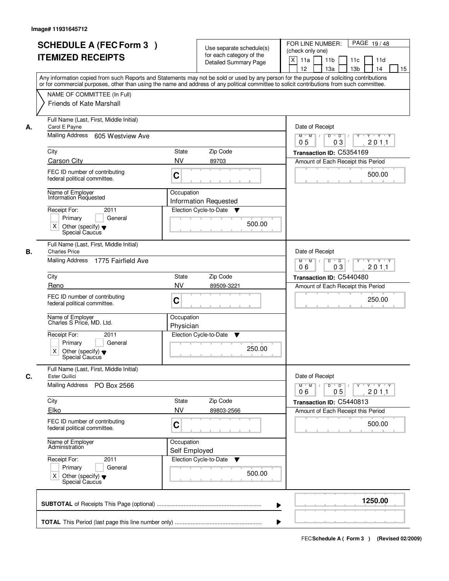|    | <b>SCHEDULE A (FEC Form 3)</b><br><b>ITEMIZED RECEIPTS</b><br>Any information copied from such Reports and Statements may not be sold or used by any person for the purpose of soliciting contributions<br>or for commercial purposes, other than using the name and address of any political committee to solicit contributions from such committee. |                             | Use separate schedule(s)<br>for each category of the<br><b>Detailed Summary Page</b> | PAGE 19/48<br>FOR LINE NUMBER:<br>(check only one)<br>X<br>11 <sub>b</sub><br>11a<br>11c<br>11d<br>12<br>13 <sub>b</sub><br>13a<br>14<br>15 |
|----|-------------------------------------------------------------------------------------------------------------------------------------------------------------------------------------------------------------------------------------------------------------------------------------------------------------------------------------------------------|-----------------------------|--------------------------------------------------------------------------------------|---------------------------------------------------------------------------------------------------------------------------------------------|
|    | NAME OF COMMITTEE (In Full)<br>Friends of Kate Marshall                                                                                                                                                                                                                                                                                               |                             |                                                                                      |                                                                                                                                             |
| А. | Full Name (Last, First, Middle Initial)<br>Carol E Payne<br>Mailing Address<br>605 Westview Ave                                                                                                                                                                                                                                                       |                             |                                                                                      | Date of Receipt<br>$D$ $D$ $/$<br>$Y$ <sup><math>\top</math></sup><br>Y Y Y Y<br>$M$ $M$ /                                                  |
|    | City                                                                                                                                                                                                                                                                                                                                                  | State                       | Zip Code                                                                             | 0 <sub>5</sub><br>201.1<br>03<br>Transaction ID: C5354169                                                                                   |
|    | <b>Carson City</b>                                                                                                                                                                                                                                                                                                                                    | <b>NV</b>                   | 89703                                                                                | Amount of Each Receipt this Period                                                                                                          |
|    | FEC ID number of contributing<br>federal political committee.                                                                                                                                                                                                                                                                                         | C                           |                                                                                      | 500.00                                                                                                                                      |
|    | Name of Employer<br>Information Requested                                                                                                                                                                                                                                                                                                             | Occupation                  | <b>Information Requested</b>                                                         |                                                                                                                                             |
|    | Receipt For:<br>2011<br>Primary<br>General<br>$\times$<br>Other (specify) $\blacktriangledown$<br>Special Caucus                                                                                                                                                                                                                                      |                             | Election Cycle-to-Date<br>▼<br>500.00                                                |                                                                                                                                             |
| В. | Full Name (Last, First, Middle Initial)<br><b>Charles Price</b><br>Mailing Address 1775 Fairfield Ave                                                                                                                                                                                                                                                 |                             |                                                                                      | Date of Receipt<br>Y<br>$M$ $M$ /<br>D<br>$\overline{D}$ /<br>Y Y Y Y                                                                       |
|    |                                                                                                                                                                                                                                                                                                                                                       |                             |                                                                                      | 201.1<br>03<br>06                                                                                                                           |
|    | City                                                                                                                                                                                                                                                                                                                                                  | <b>State</b><br><b>NV</b>   | Zip Code                                                                             | Transaction ID: C5440480                                                                                                                    |
|    | Reno<br>FEC ID number of contributing<br>federal political committee.                                                                                                                                                                                                                                                                                 | C                           | 89509-3221                                                                           | Amount of Each Receipt this Period<br>250.00                                                                                                |
|    | Name of Employer<br>Charles S Price, MD. Ltd.                                                                                                                                                                                                                                                                                                         | Occupation<br>Physician     |                                                                                      |                                                                                                                                             |
|    | Receipt For:<br>2011                                                                                                                                                                                                                                                                                                                                  |                             | Election Cycle-to-Date<br>v                                                          |                                                                                                                                             |
|    | Primary<br>General<br>X<br>Other (specify) $\blacktriangledown$<br>Special Caucus                                                                                                                                                                                                                                                                     |                             | 250.00                                                                               |                                                                                                                                             |
| C. | Full Name (Last, First, Middle Initial)<br><b>Ester Quilici</b>                                                                                                                                                                                                                                                                                       |                             |                                                                                      | Date of Receipt                                                                                                                             |
|    | Mailing Address<br>PO Box 2566                                                                                                                                                                                                                                                                                                                        |                             |                                                                                      | $D$ $D$ $/$<br>$M$ $M$ /<br>$Y$ <sup>-1</sup><br>$Y + Y + Y$<br>201.1<br>06<br>05                                                           |
|    | City                                                                                                                                                                                                                                                                                                                                                  | State                       | Zip Code                                                                             | Transaction ID: C5440813                                                                                                                    |
|    | Elko                                                                                                                                                                                                                                                                                                                                                  | <b>NV</b>                   | 89803-2566                                                                           | Amount of Each Receipt this Period                                                                                                          |
|    | FEC ID number of contributing<br>federal political committee.                                                                                                                                                                                                                                                                                         | C                           |                                                                                      | 500.00                                                                                                                                      |
|    | Name of Employer<br>Administration                                                                                                                                                                                                                                                                                                                    | Occupation<br>Self Employed |                                                                                      |                                                                                                                                             |
|    | Receipt For:<br>2011<br>Primary<br>General<br>Other (specify) v<br>Special Caucus<br>X                                                                                                                                                                                                                                                                |                             | Election Cycle-to-Date<br>v<br>500.00                                                |                                                                                                                                             |
|    |                                                                                                                                                                                                                                                                                                                                                       |                             | ▶                                                                                    | 1250.00                                                                                                                                     |
|    |                                                                                                                                                                                                                                                                                                                                                       |                             |                                                                                      |                                                                                                                                             |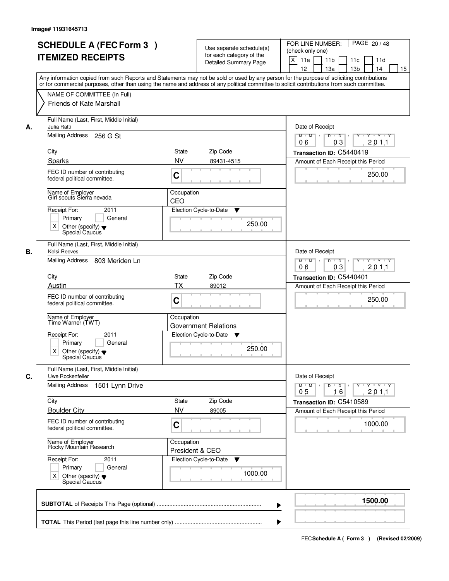|    | <b>SCHEDULE A (FEC Form 3)</b><br><b>ITEMIZED RECEIPTS</b>                               | Use separate schedule(s)<br>for each category of the<br><b>Detailed Summary Page</b><br>Any information copied from such Reports and Statements may not be sold or used by any person for the purpose of soliciting contributions | PAGE 20 / 48<br>FOR LINE NUMBER:<br>(check only one)<br>$\boldsymbol{\mathsf{X}}$<br>11 <sub>b</sub><br>11a<br>11 <sub>c</sub><br>11d<br>12<br>13 <sub>b</sub><br>13a<br>14<br>15 |
|----|------------------------------------------------------------------------------------------|-----------------------------------------------------------------------------------------------------------------------------------------------------------------------------------------------------------------------------------|-----------------------------------------------------------------------------------------------------------------------------------------------------------------------------------|
|    | NAME OF COMMITTEE (In Full)<br>Friends of Kate Marshall                                  | or for commercial purposes, other than using the name and address of any political committee to solicit contributions from such committee.                                                                                        |                                                                                                                                                                                   |
| А. | Full Name (Last, First, Middle Initial)<br>Julia Ratti<br>Mailing Address 256 G St       |                                                                                                                                                                                                                                   | Date of Receipt<br>$D$ $D$ $I$<br>Y<br>$Y - Y - Y - Y$<br>$M$ $M$ /<br>03<br>201.1<br>06                                                                                          |
|    | City                                                                                     | <b>State</b><br>Zip Code                                                                                                                                                                                                          | Transaction ID: C5440419                                                                                                                                                          |
|    | Sparks                                                                                   | <b>NV</b><br>89431-4515                                                                                                                                                                                                           | Amount of Each Receipt this Period                                                                                                                                                |
|    | FEC ID number of contributing<br>federal political committee.                            | C                                                                                                                                                                                                                                 | 250.00                                                                                                                                                                            |
|    | Name of Employer<br>Girl scouts Sierra nevada                                            | Occupation<br>CEO                                                                                                                                                                                                                 |                                                                                                                                                                                   |
|    | Receipt For:<br>2011                                                                     | Election Cycle-to-Date<br>▼                                                                                                                                                                                                       |                                                                                                                                                                                   |
|    | Primary<br>General<br>$\times$<br>Other (specify) $\blacktriangledown$<br>Special Caucus | 250.00                                                                                                                                                                                                                            |                                                                                                                                                                                   |
| В. | Full Name (Last, First, Middle Initial)<br>Kelsi Reeves                                  |                                                                                                                                                                                                                                   | Date of Receipt                                                                                                                                                                   |
|    | Mailing Address 803 Meriden Ln                                                           |                                                                                                                                                                                                                                   | $M$ $M$ /<br>D<br>$\overline{D}$<br>$Y$ <sup><math>\top</math></sup><br>Y Y Y Y<br>03<br>201.1<br>06                                                                              |
|    | City                                                                                     | Zip Code<br>State                                                                                                                                                                                                                 | Transaction ID: C5440401                                                                                                                                                          |
|    | Austin                                                                                   | <b>TX</b><br>89012                                                                                                                                                                                                                | Amount of Each Receipt this Period                                                                                                                                                |
|    | FEC ID number of contributing<br>federal political committee.                            | C                                                                                                                                                                                                                                 | 250.00                                                                                                                                                                            |
|    | Name of Employer<br>Time Warner (TWT)                                                    | Occupation<br>Government Relations                                                                                                                                                                                                |                                                                                                                                                                                   |
|    | Receipt For:<br>2011                                                                     | Election Cycle-to-Date<br>v                                                                                                                                                                                                       |                                                                                                                                                                                   |
|    | Primary<br>General<br>Χ<br>Other (specify) $\blacktriangledown$<br>Special Caucus        | 250.00                                                                                                                                                                                                                            |                                                                                                                                                                                   |
| C. | Full Name (Last, First, Middle Initial)<br>Uwe Rockenfeller                              |                                                                                                                                                                                                                                   | Date of Receipt                                                                                                                                                                   |
|    | <b>Mailing Address</b><br>1501 Lynn Drive                                                |                                                                                                                                                                                                                                   | $M$ $M$<br>$D$ $D$ $l$<br><u> Y LY LY LY</u><br>2011<br>0 <sub>5</sub><br>16                                                                                                      |
|    | City                                                                                     | Zip Code<br>State                                                                                                                                                                                                                 | Transaction ID: C5410589                                                                                                                                                          |
|    | <b>Boulder City</b>                                                                      | <b>NV</b><br>89005                                                                                                                                                                                                                | Amount of Each Receipt this Period                                                                                                                                                |
|    | FEC ID number of contributing<br>federal political committee.                            | C                                                                                                                                                                                                                                 | 1000.00                                                                                                                                                                           |
|    | Name of Employer<br>Rocky Mountain Research                                              | Occupation<br>President & CEO                                                                                                                                                                                                     |                                                                                                                                                                                   |
|    | Receipt For:<br>2011                                                                     | Election Cycle-to-Date<br>▼                                                                                                                                                                                                       |                                                                                                                                                                                   |
|    | Primary<br>General<br>Other (specify) $\blacktriangledown$<br>X<br>Special Caucus        | 1000.00                                                                                                                                                                                                                           |                                                                                                                                                                                   |
|    |                                                                                          |                                                                                                                                                                                                                                   | 1500.00                                                                                                                                                                           |
|    |                                                                                          |                                                                                                                                                                                                                                   |                                                                                                                                                                                   |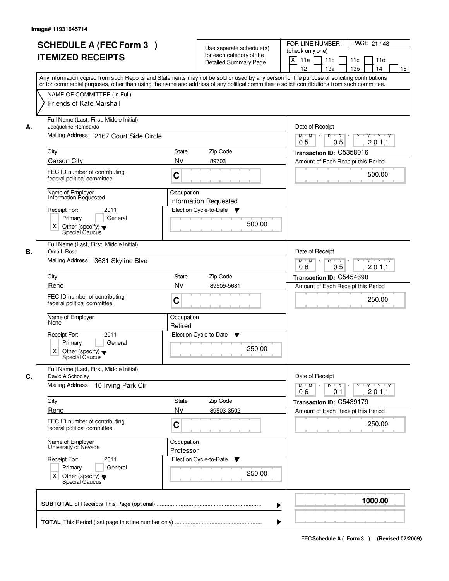| <b>SCHEDULE A (FEC Form 3)</b><br><b>ITEMIZED RECEIPTS</b>                                                       | Use separate schedule(s)<br>for each category of the<br><b>Detailed Summary Page</b><br>Any information copied from such Reports and Statements may not be sold or used by any person for the purpose of soliciting contributions | PAGE 21/48<br>FOR LINE NUMBER:<br>(check only one)<br>$\boldsymbol{\mathsf{X}}$<br>11 <sub>b</sub><br>11a<br>11 <sub>c</sub><br>11d<br>12<br>13 <sub>b</sub><br>14<br>13a<br>15 |
|------------------------------------------------------------------------------------------------------------------|-----------------------------------------------------------------------------------------------------------------------------------------------------------------------------------------------------------------------------------|---------------------------------------------------------------------------------------------------------------------------------------------------------------------------------|
| NAME OF COMMITTEE (In Full)<br>Friends of Kate Marshall                                                          | or for commercial purposes, other than using the name and address of any political committee to solicit contributions from such committee.                                                                                        |                                                                                                                                                                                 |
| Full Name (Last, First, Middle Initial)<br>Jacqueline Rombardo<br>А.<br>Mailing Address 2167 Court Side Circle   |                                                                                                                                                                                                                                   | Date of Receipt<br>$D$ $D$<br>Y<br>$Y - Y - Y - Y$<br>$M$ $M$ /                                                                                                                 |
| City                                                                                                             | <b>State</b><br>Zip Code                                                                                                                                                                                                          | 0 <sub>5</sub><br>05<br>201.1<br>Transaction ID: C5358016                                                                                                                       |
| <b>Carson City</b>                                                                                               | <b>NV</b><br>89703                                                                                                                                                                                                                | Amount of Each Receipt this Period                                                                                                                                              |
| FEC ID number of contributing<br>federal political committee.                                                    | C                                                                                                                                                                                                                                 | 500.00                                                                                                                                                                          |
| Name of Employer<br>Information Requested                                                                        | Occupation<br><b>Information Requested</b>                                                                                                                                                                                        |                                                                                                                                                                                 |
| Receipt For:<br>2011<br>Primary<br>General<br>$\times$<br>Other (specify) $\blacktriangledown$<br>Special Caucus | Election Cycle-to-Date<br>v<br>500.00                                                                                                                                                                                             |                                                                                                                                                                                 |
| Full Name (Last, First, Middle Initial)<br>Oma L Rose<br>В.<br>Mailing Address<br>3631 Skyline Blvd              |                                                                                                                                                                                                                                   | Date of Receipt<br>$M$ $M$ /<br>D<br>$\overline{D}$ /<br>$Y$ <sup><math>\top</math></sup><br>Y Y Y Y                                                                            |
|                                                                                                                  |                                                                                                                                                                                                                                   | 0 <sub>5</sub><br>201.1<br>06                                                                                                                                                   |
| City<br>Reno                                                                                                     | Zip Code<br>State<br><b>NV</b>                                                                                                                                                                                                    | Transaction ID: C5454698                                                                                                                                                        |
| FEC ID number of contributing<br>federal political committee.                                                    | 89509-5681<br>C                                                                                                                                                                                                                   | Amount of Each Receipt this Period<br>250.00                                                                                                                                    |
| Name of Employer<br>None                                                                                         | Occupation<br>Retired                                                                                                                                                                                                             |                                                                                                                                                                                 |
| Receipt For:<br>2011<br>Primary<br>General<br>Χ<br>Other (specify) $\blacktriangledown$<br>Special Caucus        | Election Cycle-to-Date<br>v<br>250.00                                                                                                                                                                                             |                                                                                                                                                                                 |
| Full Name (Last, First, Middle Initial)<br>C.<br>David A Schooley                                                |                                                                                                                                                                                                                                   | Date of Receipt                                                                                                                                                                 |
| <b>Mailing Address</b><br>10 Irving Park Cir                                                                     |                                                                                                                                                                                                                                   | $M$ $M$ /<br>$D$ $D$ $I$<br><u> Y LY LY LY</u><br>2011<br>06<br>0 <sub>1</sub>                                                                                                  |
| City                                                                                                             | Zip Code<br>State                                                                                                                                                                                                                 | Transaction ID: C5439179                                                                                                                                                        |
| Reno<br>FEC ID number of contributing<br>federal political committee.                                            | <b>NV</b><br>89503-3502<br>C                                                                                                                                                                                                      | Amount of Each Receipt this Period<br>250.00                                                                                                                                    |
| Name of Employer<br>University of Nevada                                                                         | Occupation<br>Professor                                                                                                                                                                                                           |                                                                                                                                                                                 |
| Receipt For:<br>2011<br>Primary<br>General<br>Other (specify) $\blacktriangledown$<br>X<br>Special Caucus        | Election Cycle-to-Date<br>▼<br>250.00                                                                                                                                                                                             |                                                                                                                                                                                 |
|                                                                                                                  |                                                                                                                                                                                                                                   | 1000.00                                                                                                                                                                         |
|                                                                                                                  |                                                                                                                                                                                                                                   |                                                                                                                                                                                 |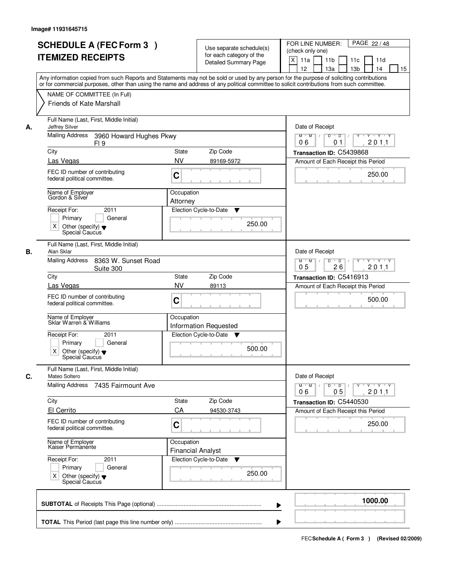|    | <b>SCHEDULE A (FEC Form 3)</b>                                                                                                             | Use separate schedule(s)                   | PAGE 22 / 48<br>FOR LINE NUMBER:<br>(check only one)                                                                                      |  |  |
|----|--------------------------------------------------------------------------------------------------------------------------------------------|--------------------------------------------|-------------------------------------------------------------------------------------------------------------------------------------------|--|--|
|    | <b>ITEMIZED RECEIPTS</b>                                                                                                                   | for each category of the                   | $\boldsymbol{\mathsf{X}}$<br>11a<br>11 <sub>b</sub><br>11c<br>11d                                                                         |  |  |
|    |                                                                                                                                            | <b>Detailed Summary Page</b>               | 12<br>13a<br>13 <sub>b</sub><br>14<br>15                                                                                                  |  |  |
|    |                                                                                                                                            |                                            | Any information copied from such Reports and Statements may not be sold or used by any person for the purpose of soliciting contributions |  |  |
|    | or for commercial purposes, other than using the name and address of any political committee to solicit contributions from such committee. |                                            |                                                                                                                                           |  |  |
|    | NAME OF COMMITTEE (In Full)                                                                                                                |                                            |                                                                                                                                           |  |  |
|    | Friends of Kate Marshall                                                                                                                   |                                            |                                                                                                                                           |  |  |
|    |                                                                                                                                            |                                            |                                                                                                                                           |  |  |
|    | Full Name (Last, First, Middle Initial)                                                                                                    | Date of Receipt                            |                                                                                                                                           |  |  |
| А. | Mailing Address                                                                                                                            | Jeffrey Silver                             |                                                                                                                                           |  |  |
|    | 3960 Howard Hughes Pkwy<br>FI <sub>9</sub>                                                                                                 |                                            | $\overline{D}$<br>$M$ $M$ /<br>D<br><u>TYTY</u><br>Y<br>201.1<br>06<br>01                                                                 |  |  |
|    | City                                                                                                                                       | <b>State</b><br>Zip Code                   | Transaction ID: C5439868                                                                                                                  |  |  |
|    | Las Vegas                                                                                                                                  | <b>NV</b><br>89169-5972                    | Amount of Each Receipt this Period                                                                                                        |  |  |
|    | FEC ID number of contributing                                                                                                              |                                            |                                                                                                                                           |  |  |
|    | federal political committee.                                                                                                               | C                                          | 250.00                                                                                                                                    |  |  |
|    |                                                                                                                                            |                                            |                                                                                                                                           |  |  |
|    | Name of Employer<br>Gordon & Silver                                                                                                        | Occupation<br>Attorney                     |                                                                                                                                           |  |  |
|    | Receipt For:<br>2011                                                                                                                       | Election Cycle-to-Date<br>v                |                                                                                                                                           |  |  |
|    | Primary<br>General                                                                                                                         |                                            |                                                                                                                                           |  |  |
|    | $\times$<br>Other (specify) $\blacktriangledown$                                                                                           | 250.00                                     |                                                                                                                                           |  |  |
|    | Special Caucus                                                                                                                             |                                            |                                                                                                                                           |  |  |
|    | Full Name (Last, First, Middle Initial)                                                                                                    |                                            |                                                                                                                                           |  |  |
| В. | Alan Sklar                                                                                                                                 |                                            | Date of Receipt                                                                                                                           |  |  |
|    | <b>Mailing Address</b><br>8363 W. Sunset Road<br>Suite 300                                                                                 |                                            | D<br>$\overline{D}$ $\overline{I}$<br>$M$ $M$ /<br>Y<br>$Y \dashv Y \dashv Y$<br>0 <sub>5</sub><br>26<br>201.1                            |  |  |
|    | City                                                                                                                                       | Zip Code<br><b>State</b>                   | Transaction ID: C5416913                                                                                                                  |  |  |
|    | Las Vegas                                                                                                                                  | <b>NV</b><br>89113                         | Amount of Each Receipt this Period                                                                                                        |  |  |
|    | FEC ID number of contributing                                                                                                              |                                            |                                                                                                                                           |  |  |
|    | federal political committee.                                                                                                               | C                                          | 500.00                                                                                                                                    |  |  |
|    |                                                                                                                                            |                                            |                                                                                                                                           |  |  |
|    | Name of Employer<br>Sklar Warren & Williams                                                                                                | Occupation<br><b>Information Requested</b> |                                                                                                                                           |  |  |
|    | Receipt For:<br>2011                                                                                                                       | Election Cycle-to-Date ▼                   |                                                                                                                                           |  |  |
|    | Primary<br>General                                                                                                                         |                                            |                                                                                                                                           |  |  |
|    | $\times$<br>Other (specify) $\blacktriangledown$                                                                                           | 500.00                                     |                                                                                                                                           |  |  |
|    | Special Caucus                                                                                                                             |                                            |                                                                                                                                           |  |  |
|    | Full Name (Last, First, Middle Initial)                                                                                                    |                                            |                                                                                                                                           |  |  |
| C. | Mateo Soltero<br>Mailing Address<br>7435 Fairmount Ave                                                                                     |                                            | Date of Receipt<br>$M^+M^-$ /<br>$D$ $D$ $I$<br>$Y$ <sup>-1</sup>                                                                         |  |  |
|    |                                                                                                                                            |                                            | $Y \rightarrow Y \rightarrow Y$<br>2011<br>06<br>05                                                                                       |  |  |
|    | City                                                                                                                                       | Zip Code<br>State                          | Transaction ID: C5440530                                                                                                                  |  |  |
|    | El Cerrito                                                                                                                                 | CA<br>94530-3743                           | Amount of Each Receipt this Period                                                                                                        |  |  |
|    | FEC ID number of contributing                                                                                                              |                                            | 250.00                                                                                                                                    |  |  |
|    | federal political committee.                                                                                                               | C                                          |                                                                                                                                           |  |  |
|    | Name of Employer<br>Kaiser Permanente                                                                                                      | Occupation                                 |                                                                                                                                           |  |  |
|    |                                                                                                                                            | <b>Financial Analyst</b>                   |                                                                                                                                           |  |  |
|    | Receipt For:<br>2011                                                                                                                       | Election Cycle-to-Date<br>v                |                                                                                                                                           |  |  |
|    | Primary<br>General                                                                                                                         |                                            |                                                                                                                                           |  |  |
|    | Other (specify) $\blacktriangledown$<br>Χ<br>Special Caucus                                                                                | 250.00                                     |                                                                                                                                           |  |  |
|    |                                                                                                                                            |                                            |                                                                                                                                           |  |  |
|    |                                                                                                                                            |                                            | 1000.00                                                                                                                                   |  |  |
|    |                                                                                                                                            |                                            |                                                                                                                                           |  |  |
|    |                                                                                                                                            |                                            |                                                                                                                                           |  |  |
|    |                                                                                                                                            |                                            |                                                                                                                                           |  |  |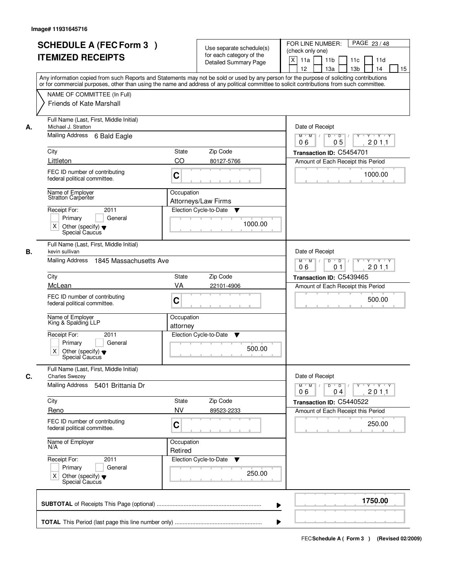| <b>SCHEDULE A (FEC Form 3)</b><br><b>ITEMIZED RECEIPTS</b>                                           |                        | Use separate schedule(s)<br>for each category of the<br><b>Detailed Summary Page</b> | PAGE 23/48<br>FOR LINE NUMBER:<br>(check only one)<br>X<br>11 <sub>b</sub><br>11a<br>11 <sub>c</sub><br>11d<br>12<br>13 <sub>b</sub><br>14<br>13a<br>15<br>Any information copied from such Reports and Statements may not be sold or used by any person for the purpose of soliciting contributions |
|------------------------------------------------------------------------------------------------------|------------------------|--------------------------------------------------------------------------------------|------------------------------------------------------------------------------------------------------------------------------------------------------------------------------------------------------------------------------------------------------------------------------------------------------|
| NAME OF COMMITTEE (In Full)<br>Friends of Kate Marshall                                              |                        |                                                                                      | or for commercial purposes, other than using the name and address of any political committee to solicit contributions from such committee.                                                                                                                                                           |
| Full Name (Last, First, Middle Initial)<br>Michael J. Stratton<br>А.<br>Mailing Address 6 Bald Eagle |                        |                                                                                      | Date of Receipt<br>$M$ $M$<br>$D$ $D$<br>Y Y Y Y<br>Y                                                                                                                                                                                                                                                |
|                                                                                                      |                        |                                                                                      | 05<br>201.1<br>06                                                                                                                                                                                                                                                                                    |
| City<br>Littleton                                                                                    | <b>State</b><br>CO     | Zip Code<br>80127-5766                                                               | Transaction ID: C5454701<br>Amount of Each Receipt this Period                                                                                                                                                                                                                                       |
| FEC ID number of contributing<br>federal political committee.                                        | C                      |                                                                                      | 1000.00                                                                                                                                                                                                                                                                                              |
| Name of Employer<br><b>Stratton Carpenter</b>                                                        |                        | Occupation<br>Attorneys/Law Firms                                                    |                                                                                                                                                                                                                                                                                                      |
| Receipt For:<br>Primary<br>$\times$<br>Other (specify) $\blacktriangledown$<br>Special Caucus        | 2011<br>General        | Election Cycle-to-Date<br>▼<br>1000.00                                               |                                                                                                                                                                                                                                                                                                      |
| Full Name (Last, First, Middle Initial)<br>kevin sullivan<br>В.<br><b>Mailing Address</b>            | 1845 Massachusetts Ave |                                                                                      | Date of Receipt<br>$M$ $M$ /<br>D<br>$\overline{D}$<br>$Y + Y + Y$                                                                                                                                                                                                                                   |
|                                                                                                      |                        |                                                                                      | 201.1<br>06<br>01                                                                                                                                                                                                                                                                                    |
| City<br>McLean                                                                                       | <b>State</b><br>VA     | Zip Code<br>22101-4906                                                               | Transaction ID: C5439465<br>Amount of Each Receipt this Period                                                                                                                                                                                                                                       |
| FEC ID number of contributing<br>federal political committee.                                        | C                      |                                                                                      | 500.00                                                                                                                                                                                                                                                                                               |
| Name of Employer<br>King & Spalding LLP                                                              |                        | Occupation<br>attorney                                                               |                                                                                                                                                                                                                                                                                                      |
| Receipt For:<br>Primary<br>Χ<br>Other (specify) $\blacktriangledown$<br>Special Caucus               | 2011<br>General        | Election Cycle-to-Date<br>▼<br>500.00                                                |                                                                                                                                                                                                                                                                                                      |
| Full Name (Last, First, Middle Initial)<br>C.<br><b>Charles Swezey</b>                               |                        |                                                                                      | Date of Receipt                                                                                                                                                                                                                                                                                      |
| Mailing Address                                                                                      | 5401 Brittania Dr      |                                                                                      | $M = M$<br>$D$ $D$ $I$<br>yuryuryury<br>2011<br>06<br>04                                                                                                                                                                                                                                             |
| City                                                                                                 | <b>State</b>           | Zip Code                                                                             | Transaction ID: C5440522                                                                                                                                                                                                                                                                             |
| Reno                                                                                                 | <b>NV</b>              | 89523-2233                                                                           | Amount of Each Receipt this Period                                                                                                                                                                                                                                                                   |
| FEC ID number of contributing<br>federal political committee.                                        | C                      |                                                                                      | 250.00                                                                                                                                                                                                                                                                                               |
| Name of Employer<br>N/A                                                                              | Retired                | Occupation                                                                           |                                                                                                                                                                                                                                                                                                      |
| Receipt For:<br>Primary<br>Other (specify) v<br>Special Caucus<br>X                                  | 2011<br>General        | Election Cycle-to-Date<br>$\blacktriangledown$<br>250.00                             |                                                                                                                                                                                                                                                                                                      |
|                                                                                                      |                        |                                                                                      | 1750.00                                                                                                                                                                                                                                                                                              |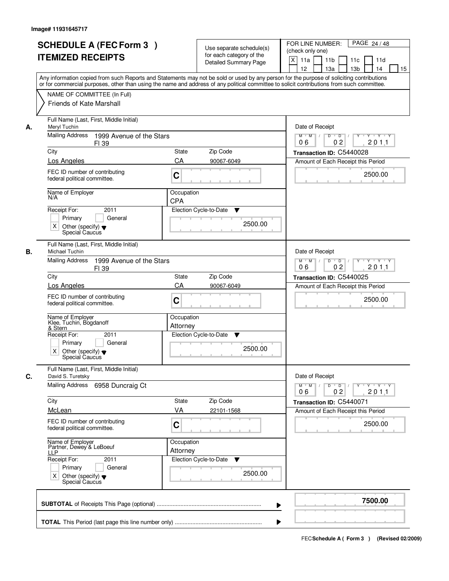|    | <b>SCHEDULE A (FEC Form 3)</b><br><b>ITEMIZED RECEIPTS</b>                               | Use separate schedule(s)<br>for each category of the<br><b>Detailed Summary Page</b>                                                                                                                                                                                                    | PAGE 24 / 48<br>FOR LINE NUMBER:<br>(check only one)<br>$\boldsymbol{\mathsf{X}}$<br>11a<br>11 <sub>b</sub><br>11c<br>11d |
|----|------------------------------------------------------------------------------------------|-----------------------------------------------------------------------------------------------------------------------------------------------------------------------------------------------------------------------------------------------------------------------------------------|---------------------------------------------------------------------------------------------------------------------------|
|    |                                                                                          | Any information copied from such Reports and Statements may not be sold or used by any person for the purpose of soliciting contributions<br>or for commercial purposes, other than using the name and address of any political committee to solicit contributions from such committee. | 12<br>13a<br>13 <sub>b</sub><br>14<br>15                                                                                  |
|    | NAME OF COMMITTEE (In Full)<br>Friends of Kate Marshall                                  |                                                                                                                                                                                                                                                                                         |                                                                                                                           |
| А. | Full Name (Last, First, Middle Initial)<br>Meryl Tuchin                                  | Date of Receipt                                                                                                                                                                                                                                                                         |                                                                                                                           |
|    | <b>Mailing Address</b><br>1999 Avenue of the Stars<br>FI 39                              |                                                                                                                                                                                                                                                                                         | $\overline{D}$<br>$M$ $M$ /<br>D<br>$Y \cup Y \cup Y$<br>201.1<br>06<br>02                                                |
|    | City                                                                                     | State<br>Zip Code                                                                                                                                                                                                                                                                       | Transaction ID: C5440028                                                                                                  |
|    | Los Angeles                                                                              | CA<br>90067-6049                                                                                                                                                                                                                                                                        | Amount of Each Receipt this Period                                                                                        |
|    | FEC ID number of contributing<br>federal political committee.                            | C                                                                                                                                                                                                                                                                                       | 2500.00                                                                                                                   |
|    | Name of Employer<br>N/A                                                                  | Occupation<br><b>CPA</b>                                                                                                                                                                                                                                                                |                                                                                                                           |
|    | Receipt For:<br>2011                                                                     | Election Cycle-to-Date<br>▼                                                                                                                                                                                                                                                             |                                                                                                                           |
|    | Primary<br>General<br>$\times$<br>Other (specify) $\blacktriangledown$<br>Special Caucus | 2500.00                                                                                                                                                                                                                                                                                 |                                                                                                                           |
| В. | Full Name (Last, First, Middle Initial)<br>Michael Tuchin                                |                                                                                                                                                                                                                                                                                         | Date of Receipt                                                                                                           |
|    | <b>Mailing Address</b><br>1999 Avenue of the Stars<br>FI 39                              |                                                                                                                                                                                                                                                                                         | $D$ $D$ $1$<br>$M$ $M$ /<br>$Y$ <sup>U</sup><br>$Y \dashv Y \dashv Y$<br>0 <sub>2</sub><br>201.1<br>06                    |
|    | City<br>Los Angeles                                                                      | Zip Code<br>State<br>CA                                                                                                                                                                                                                                                                 | Transaction ID: C5440025                                                                                                  |
|    | FEC ID number of contributing<br>federal political committee.                            | 90067-6049<br>C                                                                                                                                                                                                                                                                         | Amount of Each Receipt this Period<br>2500.00                                                                             |
|    | Name of Employer<br>Klee, Tuchin, Bogdanoff<br>& Stern                                   | Occupation<br>Attorney                                                                                                                                                                                                                                                                  |                                                                                                                           |
|    | Receipt For:<br>2011                                                                     | Election Cycle-to-Date<br>v                                                                                                                                                                                                                                                             |                                                                                                                           |
|    | Primary<br>General<br>$\times$<br>Other (specify) $\blacktriangledown$<br>Special Caucus | 2500.00                                                                                                                                                                                                                                                                                 |                                                                                                                           |
| C. | Full Name (Last, First, Middle Initial)<br>David S. Turetsky                             |                                                                                                                                                                                                                                                                                         | Date of Receipt                                                                                                           |
|    | Mailing Address<br>6958 Duncraig Ct                                                      |                                                                                                                                                                                                                                                                                         | $M$ $M$<br>$D$ $D$ $I$<br>$Y - Y - Y - Y$<br>$Y$ <sup>U</sup><br>2011<br>06<br>0 <sub>2</sub>                             |
|    | City                                                                                     | Zip Code<br>State                                                                                                                                                                                                                                                                       | Transaction ID: C5440071                                                                                                  |
|    | McLean                                                                                   | VA<br>22101-1568                                                                                                                                                                                                                                                                        | Amount of Each Receipt this Period                                                                                        |
|    | FEC ID number of contributing<br>federal political committee.                            | C                                                                                                                                                                                                                                                                                       | 2500.00                                                                                                                   |
|    | Name of Employer<br>Partner, Dewey & LeBoeuf<br><b>LLP</b>                               | Occupation<br>Attorney                                                                                                                                                                                                                                                                  |                                                                                                                           |
|    | Receipt For:<br>2011<br>Primary                                                          | Election Cycle-to-Date<br>v                                                                                                                                                                                                                                                             |                                                                                                                           |
|    | General<br>Other (specify) $\blacktriangledown$<br>Χ<br>Special Caucus                   | 2500.00                                                                                                                                                                                                                                                                                 |                                                                                                                           |
|    |                                                                                          | ▶                                                                                                                                                                                                                                                                                       | 7500.00                                                                                                                   |
|    |                                                                                          |                                                                                                                                                                                                                                                                                         |                                                                                                                           |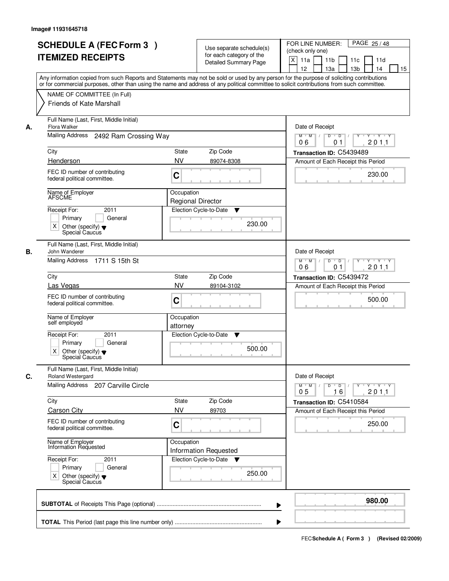| Flora Walker<br>А.<br>City<br>Henderson<br><b>AFSCME</b><br>Receipt For: | NAME OF COMMITTEE (In Full)<br>Friends of Kate Marshall<br>Full Name (Last, First, Middle Initial)<br>Mailing Address 2492 Ram Crossing Way<br>FEC ID number of contributing<br>federal political committee.<br>Name of Employer<br>2011<br>Primary<br>General | <b>State</b><br><b>NV</b><br>C<br>Occupation<br><b>Regional Director</b><br>Election Cycle-to-Date | Zip Code<br>89074-8308 | or for commercial purposes, other than using the name and address of any political committee to solicit contributions from such committee.<br>Date of Receipt<br>$D$ $D$ $I$<br>$Y$ <sup>U</sup><br>$Y - Y - Y - Y$<br>$M$ $M$ /<br>201.1<br>06<br>01<br>Transaction ID: C5439489<br>Amount of Each Receipt this Period<br>230.00 |
|--------------------------------------------------------------------------|----------------------------------------------------------------------------------------------------------------------------------------------------------------------------------------------------------------------------------------------------------------|----------------------------------------------------------------------------------------------------|------------------------|-----------------------------------------------------------------------------------------------------------------------------------------------------------------------------------------------------------------------------------------------------------------------------------------------------------------------------------|
|                                                                          |                                                                                                                                                                                                                                                                |                                                                                                    |                        |                                                                                                                                                                                                                                                                                                                                   |
|                                                                          |                                                                                                                                                                                                                                                                |                                                                                                    |                        |                                                                                                                                                                                                                                                                                                                                   |
|                                                                          |                                                                                                                                                                                                                                                                |                                                                                                    |                        |                                                                                                                                                                                                                                                                                                                                   |
|                                                                          |                                                                                                                                                                                                                                                                |                                                                                                    |                        |                                                                                                                                                                                                                                                                                                                                   |
|                                                                          |                                                                                                                                                                                                                                                                |                                                                                                    |                        |                                                                                                                                                                                                                                                                                                                                   |
|                                                                          |                                                                                                                                                                                                                                                                |                                                                                                    |                        |                                                                                                                                                                                                                                                                                                                                   |
|                                                                          |                                                                                                                                                                                                                                                                |                                                                                                    |                        |                                                                                                                                                                                                                                                                                                                                   |
|                                                                          |                                                                                                                                                                                                                                                                |                                                                                                    | ▼                      |                                                                                                                                                                                                                                                                                                                                   |
|                                                                          |                                                                                                                                                                                                                                                                |                                                                                                    |                        |                                                                                                                                                                                                                                                                                                                                   |
| $\times$                                                                 | Other (specify) $\blacktriangledown$<br>Special Caucus                                                                                                                                                                                                         |                                                                                                    | 230.00                 |                                                                                                                                                                                                                                                                                                                                   |
|                                                                          | Full Name (Last, First, Middle Initial)                                                                                                                                                                                                                        |                                                                                                    |                        |                                                                                                                                                                                                                                                                                                                                   |
| John Wanderer<br>В.                                                      | Mailing Address<br>1711 S 15th St                                                                                                                                                                                                                              |                                                                                                    |                        | Date of Receipt<br>$M$ $M$ /<br>D<br>$\overline{\phantom{0}}$ D<br>Y<br>$Y \dashv Y \dashv Y$<br>201.1<br>06<br>01                                                                                                                                                                                                                |
| City                                                                     |                                                                                                                                                                                                                                                                | State                                                                                              | Zip Code               | Transaction ID: C5439472                                                                                                                                                                                                                                                                                                          |
| Las Vegas                                                                |                                                                                                                                                                                                                                                                | <b>NV</b>                                                                                          | 89104-3102             | Amount of Each Receipt this Period                                                                                                                                                                                                                                                                                                |
|                                                                          | FEC ID number of contributing<br>federal political committee.                                                                                                                                                                                                  | C                                                                                                  |                        | 500.00                                                                                                                                                                                                                                                                                                                            |
| self employed                                                            | Name of Employer                                                                                                                                                                                                                                               | Occupation<br>attorney                                                                             |                        |                                                                                                                                                                                                                                                                                                                                   |
| Receipt For:                                                             | 2011                                                                                                                                                                                                                                                           | Election Cycle-to-Date                                                                             | ▼                      |                                                                                                                                                                                                                                                                                                                                   |
| Χ                                                                        | General<br>Primary<br>Other (specify) $\blacktriangledown$<br>Special Caucus                                                                                                                                                                                   |                                                                                                    | 500.00                 |                                                                                                                                                                                                                                                                                                                                   |
| C.                                                                       | Full Name (Last, First, Middle Initial)<br>Roland Westergard                                                                                                                                                                                                   |                                                                                                    |                        | Date of Receipt                                                                                                                                                                                                                                                                                                                   |
|                                                                          | Mailing Address 207 Carville Circle                                                                                                                                                                                                                            |                                                                                                    |                        | $M$ $M$<br>$D$ $D$ $l$<br><u> Y LY LY LY</u><br>2011<br>0 <sub>5</sub><br>16                                                                                                                                                                                                                                                      |
| City                                                                     |                                                                                                                                                                                                                                                                | State                                                                                              | Zip Code               | Transaction ID: C5410584                                                                                                                                                                                                                                                                                                          |
| <b>Carson City</b>                                                       |                                                                                                                                                                                                                                                                | <b>NV</b>                                                                                          | 89703                  | Amount of Each Receipt this Period                                                                                                                                                                                                                                                                                                |
|                                                                          | FEC ID number of contributing<br>federal political committee.                                                                                                                                                                                                  | C                                                                                                  |                        | 250.00                                                                                                                                                                                                                                                                                                                            |
|                                                                          | Name of Employer<br>Information Requested                                                                                                                                                                                                                      | Occupation<br><b>Information Requested</b>                                                         |                        |                                                                                                                                                                                                                                                                                                                                   |
| Receipt For:                                                             | 2011                                                                                                                                                                                                                                                           | Election Cycle-to-Date ▼                                                                           |                        |                                                                                                                                                                                                                                                                                                                                   |
| X                                                                        | Primary<br>General<br>Other (specify) v<br>Special Caucus                                                                                                                                                                                                      |                                                                                                    | 250.00                 |                                                                                                                                                                                                                                                                                                                                   |
|                                                                          |                                                                                                                                                                                                                                                                |                                                                                                    |                        | 980.00                                                                                                                                                                                                                                                                                                                            |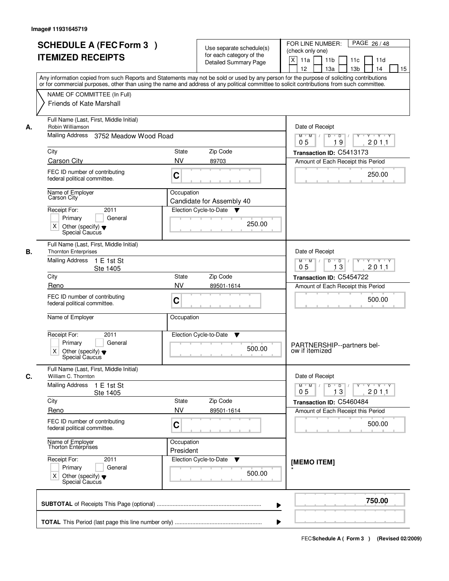|    | <b>SCHEDULE A (FEC Form 3)</b><br><b>ITEMIZED RECEIPTS</b>                                                                                          | Use separate schedule(s)<br>for each category of the<br><b>Detailed Summary Page</b><br>Any information copied from such Reports and Statements may not be sold or used by any person for the purpose of soliciting contributions | PAGE 26/48<br>FOR LINE NUMBER:<br>(check only one)<br>X<br>11 <sub>b</sub><br>11a<br>11c<br>11d<br>12<br>13 <sub>b</sub><br>14<br>13a<br>15                   |
|----|-----------------------------------------------------------------------------------------------------------------------------------------------------|-----------------------------------------------------------------------------------------------------------------------------------------------------------------------------------------------------------------------------------|---------------------------------------------------------------------------------------------------------------------------------------------------------------|
|    | NAME OF COMMITTEE (In Full)<br>Friends of Kate Marshall                                                                                             | or for commercial purposes, other than using the name and address of any political committee to solicit contributions from such committee.                                                                                        |                                                                                                                                                               |
| А. | Full Name (Last, First, Middle Initial)<br>Robin Williamson<br>Mailing Address 3752 Meadow Wood Road                                                |                                                                                                                                                                                                                                   | Date of Receipt<br>$D$ $D$ $/$<br>$Y$ <sup>U</sup><br>Y 'Y 'Y<br>$M$ $M$ /                                                                                    |
|    | City                                                                                                                                                | <b>State</b><br>Zip Code                                                                                                                                                                                                          | 0 <sub>5</sub><br>19<br>201.1<br>Transaction ID: C5413173                                                                                                     |
|    | <b>Carson City</b><br>FEC ID number of contributing<br>federal political committee.                                                                 | <b>NV</b><br>89703<br>C                                                                                                                                                                                                           | Amount of Each Receipt this Period<br>250.00                                                                                                                  |
|    | Name of Employer<br>Carson City<br>2011<br>Receipt For:<br>Primary<br>General<br>$\times$<br>Other (specify) $\blacktriangledown$<br>Special Caucus | Occupation<br>Candidate for Assembly 40<br>Election Cycle-to-Date<br>v<br>250.00                                                                                                                                                  |                                                                                                                                                               |
| В. | Full Name (Last, First, Middle Initial)<br><b>Thornton Enterprises</b><br>Mailing Address<br>1 E 1st St<br>Ste 1405<br>City                         | Zip Code<br>State                                                                                                                                                                                                                 | Date of Receipt<br>$M$ $M$ /<br>D<br>$\overline{D}$<br>$Y$ <sup>U</sup><br>$Y \dashv Y \dashv Y$<br>0 <sub>5</sub><br>13<br>201.1<br>Transaction ID: C5454722 |
|    | Reno<br>FEC ID number of contributing<br>federal political committee.                                                                               | <b>NV</b><br>89501-1614<br>C                                                                                                                                                                                                      | Amount of Each Receipt this Period<br>500.00                                                                                                                  |
|    | Name of Employer<br>Receipt For:<br>2011<br>Primary<br>General<br>X<br>Other (specify) $\blacktriangledown$<br>Special Caucus                       | Occupation<br>Election Cycle-to-Date<br>v<br>500.00                                                                                                                                                                               | PARTNERSHIP--partners bel-<br>ow if itemized                                                                                                                  |
| C. | Full Name (Last, First, Middle Initial)<br>William C. Thornton<br><b>Mailing Address</b><br>1 E 1st St                                              |                                                                                                                                                                                                                                   | Date of Receipt<br>$M$ $M$<br>$D$ $D$ $l$<br><u> Y FY FY FY </u>                                                                                              |
|    | Ste 1405<br>City                                                                                                                                    | Zip Code<br>State<br><b>NV</b>                                                                                                                                                                                                    | 2011<br>0 <sub>5</sub><br>13<br>Transaction ID: C5460484                                                                                                      |
|    | Reno<br>FEC ID number of contributing<br>federal political committee.                                                                               | 89501-1614<br>C                                                                                                                                                                                                                   | Amount of Each Receipt this Period<br>500.00                                                                                                                  |
|    | Name of Employer<br>Thorton Enterprises                                                                                                             | Occupation<br>President                                                                                                                                                                                                           |                                                                                                                                                               |
|    | Receipt For:<br>2011<br>Primary<br>General<br>Other (specify) $\blacktriangledown$<br>X<br>Special Caucus                                           | Election Cycle-to-Date<br>v<br>500.00                                                                                                                                                                                             | [MEMO ITEM]                                                                                                                                                   |
|    |                                                                                                                                                     |                                                                                                                                                                                                                                   | 750.00                                                                                                                                                        |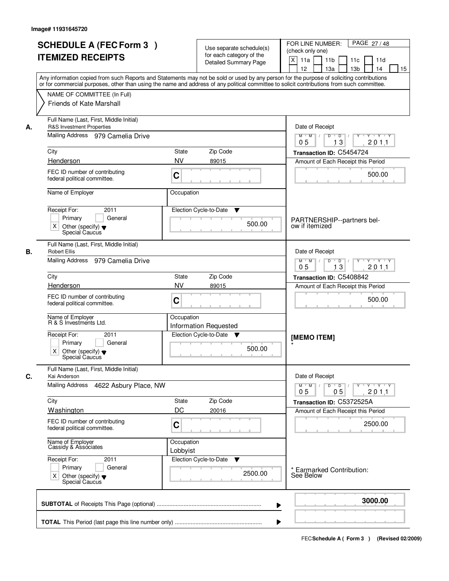|    | <b>SCHEDULE A (FEC Form 3)</b><br><b>ITEMIZED RECEIPTS</b><br>Any information copied from such Reports and Statements may not be sold or used by any person for the purpose of soliciting contributions<br>or for commercial purposes, other than using the name and address of any political committee to solicit contributions from such committee. |                        | Use separate schedule(s)<br>for each category of the<br><b>Detailed Summary Page</b> | PAGE 27/48<br>FOR LINE NUMBER:<br>(check only one)<br>$\mathsf{X}$<br>11 <sub>b</sub><br>11a<br>11c<br>11d<br>13 <sub>b</sub><br>12<br>13a<br>14<br>15                                                                                                                                                                                                                                                                                                                               |
|----|-------------------------------------------------------------------------------------------------------------------------------------------------------------------------------------------------------------------------------------------------------------------------------------------------------------------------------------------------------|------------------------|--------------------------------------------------------------------------------------|--------------------------------------------------------------------------------------------------------------------------------------------------------------------------------------------------------------------------------------------------------------------------------------------------------------------------------------------------------------------------------------------------------------------------------------------------------------------------------------|
|    | NAME OF COMMITTEE (In Full)<br>Friends of Kate Marshall                                                                                                                                                                                                                                                                                               |                        |                                                                                      |                                                                                                                                                                                                                                                                                                                                                                                                                                                                                      |
| А. | Full Name (Last, First, Middle Initial)<br>R&S Investment Properties<br>Mailing Address 979 Camelia Drive                                                                                                                                                                                                                                             |                        |                                                                                      | Date of Receipt<br>$\begin{array}{c c c c c c c c} \hline \textbf{0} & \textbf{0} & \textbf{0} & \textbf{0} & \textbf{0} & \textbf{0} & \textbf{0} & \textbf{0} & \textbf{0} & \textbf{0} & \textbf{0} & \textbf{0} & \textbf{0} & \textbf{0} & \textbf{0} & \textbf{0} & \textbf{0} & \textbf{0} & \textbf{0} & \textbf{0} & \textbf{0} & \textbf{0} & \textbf{0} & \textbf{0} & \textbf{0} & \textbf{0} & \textbf{0} & \textbf{0} &$<br>$M$ $M$ /<br>201.1<br>0 <sub>5</sub><br>13 |
|    | City                                                                                                                                                                                                                                                                                                                                                  | State                  | Zip Code                                                                             | Transaction ID: C5454724                                                                                                                                                                                                                                                                                                                                                                                                                                                             |
|    | Henderson                                                                                                                                                                                                                                                                                                                                             | <b>NV</b>              | 89015                                                                                | Amount of Each Receipt this Period                                                                                                                                                                                                                                                                                                                                                                                                                                                   |
|    | FEC ID number of contributing<br>federal political committee.                                                                                                                                                                                                                                                                                         | C                      |                                                                                      | 500.00                                                                                                                                                                                                                                                                                                                                                                                                                                                                               |
|    | Name of Employer                                                                                                                                                                                                                                                                                                                                      | Occupation             |                                                                                      |                                                                                                                                                                                                                                                                                                                                                                                                                                                                                      |
|    | Receipt For:<br>2011<br>Primary<br>General<br>$\times$<br>Other (specify) $\blacktriangledown$<br>Special Caucus                                                                                                                                                                                                                                      |                        | Election Cycle-to-Date<br>▼<br>500.00                                                | PARTNERSHIP--partners bel-<br>ow if itemized                                                                                                                                                                                                                                                                                                                                                                                                                                         |
| В. | Full Name (Last, First, Middle Initial)<br><b>Robert Ellis</b>                                                                                                                                                                                                                                                                                        |                        |                                                                                      | Date of Receipt                                                                                                                                                                                                                                                                                                                                                                                                                                                                      |
|    | Mailing Address 979 Camelia Drive                                                                                                                                                                                                                                                                                                                     |                        |                                                                                      | Y 'Y 'Y<br>$M$ $M$ /<br>D<br>$\overline{D}$<br>13<br>0 <sub>5</sub><br>201.1                                                                                                                                                                                                                                                                                                                                                                                                         |
|    | City                                                                                                                                                                                                                                                                                                                                                  | <b>State</b>           | Zip Code                                                                             | Transaction ID: C5408842                                                                                                                                                                                                                                                                                                                                                                                                                                                             |
|    | Henderson                                                                                                                                                                                                                                                                                                                                             | <b>NV</b>              | 89015                                                                                | Amount of Each Receipt this Period                                                                                                                                                                                                                                                                                                                                                                                                                                                   |
|    | FEC ID number of contributing<br>federal political committee.                                                                                                                                                                                                                                                                                         | C                      |                                                                                      | 500.00                                                                                                                                                                                                                                                                                                                                                                                                                                                                               |
|    | Name of Employer<br>R & S Investments Ltd.                                                                                                                                                                                                                                                                                                            | Occupation             | <b>Information Requested</b>                                                         |                                                                                                                                                                                                                                                                                                                                                                                                                                                                                      |
|    | Receipt For:<br>2011<br>Primary<br>General<br>X<br>Other (specify) $\blacktriangledown$<br>Special Caucus                                                                                                                                                                                                                                             |                        | Election Cycle-to-Date ▼<br>500.00                                                   | [MEMO ITEM]                                                                                                                                                                                                                                                                                                                                                                                                                                                                          |
| C. | Full Name (Last, First, Middle Initial)<br>Kai Anderson                                                                                                                                                                                                                                                                                               |                        |                                                                                      | Date of Receipt                                                                                                                                                                                                                                                                                                                                                                                                                                                                      |
|    | <b>Mailing Address</b><br>4622 Asbury Place, NW                                                                                                                                                                                                                                                                                                       |                        |                                                                                      | $D$ $D$ $/$<br>$M$ $M$ /<br>$Y$ <sup>-1</sup><br>$Y + Y + Y$<br>05<br>05<br>2011                                                                                                                                                                                                                                                                                                                                                                                                     |
|    | City                                                                                                                                                                                                                                                                                                                                                  | State                  | Zip Code                                                                             | Transaction ID: C5372525A                                                                                                                                                                                                                                                                                                                                                                                                                                                            |
|    | <b>Washington</b>                                                                                                                                                                                                                                                                                                                                     | DC                     | 20016                                                                                | Amount of Each Receipt this Period                                                                                                                                                                                                                                                                                                                                                                                                                                                   |
|    | FEC ID number of contributing<br>federal political committee.                                                                                                                                                                                                                                                                                         | C                      |                                                                                      | 2500.00                                                                                                                                                                                                                                                                                                                                                                                                                                                                              |
|    | Name of Employer<br>Cassidy & Associates                                                                                                                                                                                                                                                                                                              | Occupation<br>Lobbyist |                                                                                      |                                                                                                                                                                                                                                                                                                                                                                                                                                                                                      |
|    | Receipt For:<br>2011<br>Primary<br>General<br>Other (specify) v<br>Special Caucus<br>X.                                                                                                                                                                                                                                                               |                        | Election Cycle-to-Date<br>v<br>2500.00                                               | <b>Earmarked Contribution:</b><br>See Below                                                                                                                                                                                                                                                                                                                                                                                                                                          |
|    |                                                                                                                                                                                                                                                                                                                                                       |                        | ▶                                                                                    | 3000.00                                                                                                                                                                                                                                                                                                                                                                                                                                                                              |
|    |                                                                                                                                                                                                                                                                                                                                                       |                        |                                                                                      |                                                                                                                                                                                                                                                                                                                                                                                                                                                                                      |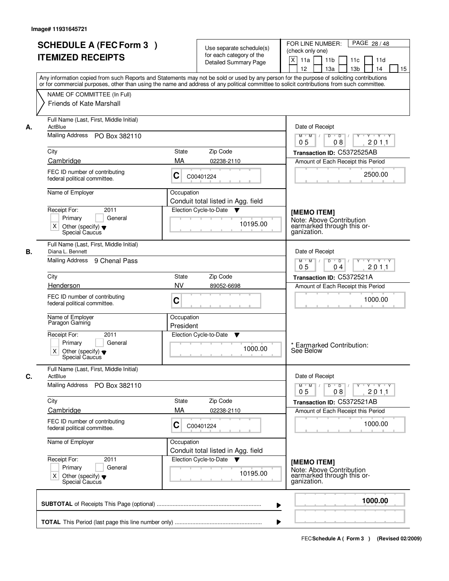| City | <b>SCHEDULE A (FEC Form 3)</b><br><b>ITEMIZED RECEIPTS</b><br>Any information copied from such Reports and Statements may not be sold or used by any person for the purpose of soliciting contributions<br>or for commercial purposes, other than using the name and address of any political committee to solicit contributions from such committee.<br>NAME OF COMMITTEE (In Full)<br>Friends of Kate Marshall<br>Full Name (Last, First, Middle Initial)<br>ActBlue<br>Mailing Address PO Box 382110<br>Cambridge |                         | Use separate schedule(s)<br>for each category of the<br>Detailed Summary Page | FOR LINE NUMBER:<br>PAGE 28/48<br>(check only one)<br>X<br>11a<br>11 <sub>b</sub><br>11c<br>11d<br>12<br>13a<br>13 <sub>b</sub><br>14<br>15<br>Date of Receipt |
|------|----------------------------------------------------------------------------------------------------------------------------------------------------------------------------------------------------------------------------------------------------------------------------------------------------------------------------------------------------------------------------------------------------------------------------------------------------------------------------------------------------------------------|-------------------------|-------------------------------------------------------------------------------|----------------------------------------------------------------------------------------------------------------------------------------------------------------|
| А.   |                                                                                                                                                                                                                                                                                                                                                                                                                                                                                                                      |                         |                                                                               |                                                                                                                                                                |
|      |                                                                                                                                                                                                                                                                                                                                                                                                                                                                                                                      |                         |                                                                               |                                                                                                                                                                |
|      |                                                                                                                                                                                                                                                                                                                                                                                                                                                                                                                      |                         |                                                                               |                                                                                                                                                                |
|      |                                                                                                                                                                                                                                                                                                                                                                                                                                                                                                                      |                         |                                                                               |                                                                                                                                                                |
|      |                                                                                                                                                                                                                                                                                                                                                                                                                                                                                                                      |                         |                                                                               |                                                                                                                                                                |
|      |                                                                                                                                                                                                                                                                                                                                                                                                                                                                                                                      |                         |                                                                               |                                                                                                                                                                |
|      |                                                                                                                                                                                                                                                                                                                                                                                                                                                                                                                      |                         |                                                                               |                                                                                                                                                                |
|      |                                                                                                                                                                                                                                                                                                                                                                                                                                                                                                                      |                         |                                                                               | $M$ $M$ /<br>$D$ $D$ $/$<br>Y Y Y Y Y Y<br>08<br>201.1<br>0 <sub>5</sub>                                                                                       |
|      |                                                                                                                                                                                                                                                                                                                                                                                                                                                                                                                      | State                   | Zip Code                                                                      | Transaction ID: C5372525AB                                                                                                                                     |
|      |                                                                                                                                                                                                                                                                                                                                                                                                                                                                                                                      | MA                      | 02238-2110                                                                    | Amount of Each Receipt this Period                                                                                                                             |
|      | FEC ID number of contributing<br>federal political committee.                                                                                                                                                                                                                                                                                                                                                                                                                                                        | C                       | C00401224                                                                     | 2500.00                                                                                                                                                        |
|      | Name of Employer                                                                                                                                                                                                                                                                                                                                                                                                                                                                                                     | Occupation              |                                                                               |                                                                                                                                                                |
|      |                                                                                                                                                                                                                                                                                                                                                                                                                                                                                                                      |                         | Conduit total listed in Agg. field                                            |                                                                                                                                                                |
|      | Receipt For:<br>2011<br>Primary<br>General                                                                                                                                                                                                                                                                                                                                                                                                                                                                           |                         | Election Cycle-to-Date ▼                                                      | [MEMO ITEM]                                                                                                                                                    |
|      | $\times$<br>Other (specify) $\blacktriangledown$                                                                                                                                                                                                                                                                                                                                                                                                                                                                     |                         | 10195.00                                                                      | Note: Above Contribution<br>earmarked through this or-                                                                                                         |
|      | Special Caucus                                                                                                                                                                                                                                                                                                                                                                                                                                                                                                       |                         |                                                                               | ganization.                                                                                                                                                    |
| В.   | Full Name (Last, First, Middle Initial)<br>Diana L. Bennett                                                                                                                                                                                                                                                                                                                                                                                                                                                          |                         |                                                                               | Date of Receipt                                                                                                                                                |
|      | Mailing Address 9 Chenal Pass                                                                                                                                                                                                                                                                                                                                                                                                                                                                                        |                         |                                                                               | D<br>$M$ $M$<br>$\overline{D}$<br>Y 'Y 'Y<br>0 <sub>5</sub><br>2011<br>04                                                                                      |
| City |                                                                                                                                                                                                                                                                                                                                                                                                                                                                                                                      | <b>State</b>            | Zip Code                                                                      | Transaction ID: C5372521A                                                                                                                                      |
|      | Henderson                                                                                                                                                                                                                                                                                                                                                                                                                                                                                                            | <b>NV</b>               | 89052-6698                                                                    | Amount of Each Receipt this Period                                                                                                                             |
|      | FEC ID number of contributing<br>federal political committee.                                                                                                                                                                                                                                                                                                                                                                                                                                                        | C                       |                                                                               | 1000.00                                                                                                                                                        |
|      | Name of Employer<br>Paragon Gaming                                                                                                                                                                                                                                                                                                                                                                                                                                                                                   | Occupation<br>President |                                                                               |                                                                                                                                                                |
|      | Receipt For:<br>2011                                                                                                                                                                                                                                                                                                                                                                                                                                                                                                 |                         | Election Cycle-to-Date<br>v                                                   |                                                                                                                                                                |
|      | General<br>Primary                                                                                                                                                                                                                                                                                                                                                                                                                                                                                                   |                         |                                                                               | * Earmarked Contribution:                                                                                                                                      |
|      | X<br>Other (specify) $\blacktriangledown$<br>Special Caucus                                                                                                                                                                                                                                                                                                                                                                                                                                                          |                         | 1000.00                                                                       | See Below                                                                                                                                                      |
| C.   | Full Name (Last, First, Middle Initial)<br>ActBlue                                                                                                                                                                                                                                                                                                                                                                                                                                                                   |                         |                                                                               | Date of Receipt                                                                                                                                                |
|      | Mailing Address PO Box 382110                                                                                                                                                                                                                                                                                                                                                                                                                                                                                        |                         |                                                                               | $Y + Y + Y$<br>$D$ $D$ $I$<br>$\Gamma Y$<br>$M$ M<br>201.1<br>05<br>08                                                                                         |
| City |                                                                                                                                                                                                                                                                                                                                                                                                                                                                                                                      | State                   | Zip Code                                                                      | Transaction ID: C5372521AB                                                                                                                                     |
|      | Cambridge                                                                                                                                                                                                                                                                                                                                                                                                                                                                                                            | МA                      | 02238-2110                                                                    | Amount of Each Receipt this Period                                                                                                                             |
|      | FEC ID number of contributing<br>federal political committee.                                                                                                                                                                                                                                                                                                                                                                                                                                                        | C                       | C00401224                                                                     | 1000.00                                                                                                                                                        |
|      | Name of Employer                                                                                                                                                                                                                                                                                                                                                                                                                                                                                                     | Occupation              | Conduit total listed in Agg. field                                            |                                                                                                                                                                |
|      | Receipt For:<br>2011                                                                                                                                                                                                                                                                                                                                                                                                                                                                                                 |                         | Election Cycle-to-Date<br>▼                                                   | [MEMO ITEM]                                                                                                                                                    |
|      | Primary<br>General                                                                                                                                                                                                                                                                                                                                                                                                                                                                                                   |                         | 10195.00                                                                      | Note: Above Contribution                                                                                                                                       |
|      | X<br>Other (specify) $\blacktriangledown$<br>Special Caucus                                                                                                                                                                                                                                                                                                                                                                                                                                                          |                         |                                                                               | earmarked through this or-<br>ganization.                                                                                                                      |
|      |                                                                                                                                                                                                                                                                                                                                                                                                                                                                                                                      |                         |                                                                               | 1000.00                                                                                                                                                        |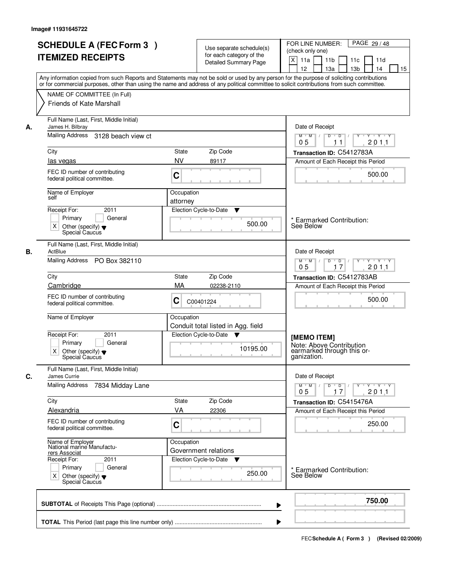|    | <b>SCHEDULE A (FEC Form 3)</b><br><b>ITEMIZED RECEIPTS</b><br>Any information copied from such Reports and Statements may not be sold or used by any person for the purpose of soliciting contributions |                                                              | Use separate schedule(s)<br>for each category of the<br><b>Detailed Summary Page</b> | PAGE 29 / 48<br>FOR LINE NUMBER:<br>(check only one)<br>$\mathsf{X}$<br>11 <sub>b</sub><br>11a<br>11c<br>11d<br>13 <sub>b</sub><br>12 <sup>2</sup><br>13a<br>14<br>15                                                                                                                                                                                                                                                                               |
|----|---------------------------------------------------------------------------------------------------------------------------------------------------------------------------------------------------------|--------------------------------------------------------------|--------------------------------------------------------------------------------------|-----------------------------------------------------------------------------------------------------------------------------------------------------------------------------------------------------------------------------------------------------------------------------------------------------------------------------------------------------------------------------------------------------------------------------------------------------|
|    | or for commercial purposes, other than using the name and address of any political committee to solicit contributions from such committee.<br>NAME OF COMMITTEE (In Full)<br>Friends of Kate Marshall   |                                                              |                                                                                      |                                                                                                                                                                                                                                                                                                                                                                                                                                                     |
| А. | Full Name (Last, First, Middle Initial)<br>James H. Bilbray<br>Mailing Address 3128 beach view ct                                                                                                       |                                                              |                                                                                      | Date of Receipt<br>$\begin{array}{c c c c c c c c} \hline \textbf{0} & \textbf{0} & \textbf{0} & \textbf{0} & \textbf{0} & \textbf{0} & \textbf{0} & \textbf{0} & \textbf{0} & \textbf{0} & \textbf{0} & \textbf{0} & \textbf{0} & \textbf{0} & \textbf{0} & \textbf{0} & \textbf{0} & \textbf{0} & \textbf{0} & \textbf{0} & \textbf{0} & \textbf{0} & \textbf{0} & \textbf{0} & \textbf{0} & \textbf{0} & \textbf{0} & \textbf{0} &$<br>$M$ $M$ / |
|    |                                                                                                                                                                                                         |                                                              |                                                                                      | 201.1<br>0 <sub>5</sub><br>11                                                                                                                                                                                                                                                                                                                                                                                                                       |
|    | City<br>las vegas                                                                                                                                                                                       | State<br><b>NV</b>                                           | Zip Code<br>89117                                                                    | Transaction ID: C5412783A<br>Amount of Each Receipt this Period                                                                                                                                                                                                                                                                                                                                                                                     |
|    | FEC ID number of contributing<br>federal political committee.                                                                                                                                           | C                                                            |                                                                                      | 500.00                                                                                                                                                                                                                                                                                                                                                                                                                                              |
|    | Name of Employer<br>self                                                                                                                                                                                | Occupation<br>attorney                                       |                                                                                      |                                                                                                                                                                                                                                                                                                                                                                                                                                                     |
|    | 2011<br>Receipt For:<br>Primary<br>General<br>$\times$<br>Other (specify) $\bullet$<br>Special Caucus                                                                                                   | Election Cycle-to-Date                                       | ▼<br>500.00                                                                          | Earmarked Contribution:<br>See Below                                                                                                                                                                                                                                                                                                                                                                                                                |
| В. | Full Name (Last, First, Middle Initial)<br>ActBlue<br>Mailing Address PO Box 382110                                                                                                                     |                                                              |                                                                                      | Date of Receipt<br>$Y - Y - Y$<br>$M$ $M$ /<br>D<br>$\Box$<br>17<br>201.1<br>0 <sub>5</sub>                                                                                                                                                                                                                                                                                                                                                         |
|    | City                                                                                                                                                                                                    | <b>State</b>                                                 | Zip Code                                                                             | Transaction ID: C5412783AB                                                                                                                                                                                                                                                                                                                                                                                                                          |
|    | Cambridge                                                                                                                                                                                               | MA                                                           | 02238-2110                                                                           | Amount of Each Receipt this Period                                                                                                                                                                                                                                                                                                                                                                                                                  |
|    | FEC ID number of contributing<br>federal political committee.                                                                                                                                           | C<br>C00401224                                               |                                                                                      | 500.00                                                                                                                                                                                                                                                                                                                                                                                                                                              |
|    | Name of Employer                                                                                                                                                                                        | Occupation                                                   | Conduit total listed in Agg. field                                                   |                                                                                                                                                                                                                                                                                                                                                                                                                                                     |
|    | Receipt For:<br>2011<br>Primary<br>General<br>X<br>Other (specify) $\blacktriangledown$<br>Special Caucus                                                                                               |                                                              | Election Cycle-to-Date ▼<br>10195.00                                                 | [MEMO ITEM]<br>Note: Above Contribution<br>earmarked through this or-<br>ganization.                                                                                                                                                                                                                                                                                                                                                                |
| C. | Full Name (Last, First, Middle Initial)<br>James Currie                                                                                                                                                 |                                                              |                                                                                      | Date of Receipt                                                                                                                                                                                                                                                                                                                                                                                                                                     |
|    | <b>Mailing Address</b><br>7834 Midday Lane                                                                                                                                                              |                                                              |                                                                                      | $D$ $D$ $l$<br>$M$ $M$ /<br>Y Y Y Y Y<br>05<br>17<br>2011                                                                                                                                                                                                                                                                                                                                                                                           |
|    | City                                                                                                                                                                                                    | <b>State</b>                                                 | Zip Code                                                                             | Transaction ID: C5415476A                                                                                                                                                                                                                                                                                                                                                                                                                           |
|    | Alexandria<br>FEC ID number of contributing<br>federal political committee.                                                                                                                             | VA<br>C                                                      | 22306                                                                                | Amount of Each Receipt this Period<br>250.00                                                                                                                                                                                                                                                                                                                                                                                                        |
|    | Name of Employer<br>National marine Manufactu-<br>rers Associat<br>Receipt For:<br>2011<br>Primary<br>General<br>Other (specify) $\blacktriangledown$<br>X.<br>Special Caucus                           | Occupation<br>Government relations<br>Election Cycle-to-Date | v<br>250.00                                                                          | * Earmarked Contribution:<br>See Below                                                                                                                                                                                                                                                                                                                                                                                                              |
|    |                                                                                                                                                                                                         |                                                              |                                                                                      | 750.00<br>▶                                                                                                                                                                                                                                                                                                                                                                                                                                         |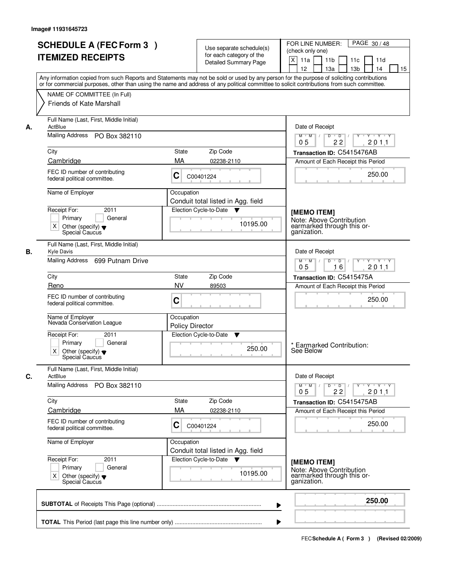|    | <b>SCHEDULE A (FEC Form 3)</b>                                                                                                             |                        |                                                      | PAGE 30/48<br>FOR LINE NUMBER:                                                               |  |  |
|----|--------------------------------------------------------------------------------------------------------------------------------------------|------------------------|------------------------------------------------------|----------------------------------------------------------------------------------------------|--|--|
|    |                                                                                                                                            |                        | Use separate schedule(s)<br>for each category of the | (check only one)                                                                             |  |  |
|    | <b>ITEMIZED RECEIPTS</b>                                                                                                                   |                        | <b>Detailed Summary Page</b>                         | $\boldsymbol{\mathsf{X}}$<br>11a<br>11 <sub>b</sub><br>11c<br>11d                            |  |  |
|    |                                                                                                                                            |                        |                                                      | 12<br>13a<br>13 <sub>b</sub><br>14<br>15                                                     |  |  |
|    | Any information copied from such Reports and Statements may not be sold or used by any person for the purpose of soliciting contributions  |                        |                                                      |                                                                                              |  |  |
|    | or for commercial purposes, other than using the name and address of any political committee to solicit contributions from such committee. |                        |                                                      |                                                                                              |  |  |
|    | NAME OF COMMITTEE (In Full)                                                                                                                |                        |                                                      |                                                                                              |  |  |
|    | Friends of Kate Marshall                                                                                                                   |                        |                                                      |                                                                                              |  |  |
|    |                                                                                                                                            |                        |                                                      |                                                                                              |  |  |
|    | Full Name (Last, First, Middle Initial)                                                                                                    |                        |                                                      |                                                                                              |  |  |
| А. | ActBlue                                                                                                                                    |                        |                                                      | Date of Receipt                                                                              |  |  |
|    | Mailing Address PO Box 382110                                                                                                              |                        |                                                      | $\overline{D}$<br>$Y - Y - Y$<br>$M$ $M$ /<br>D<br>Y                                         |  |  |
|    |                                                                                                                                            |                        |                                                      | 0 <sub>5</sub><br>22<br>201.1                                                                |  |  |
|    | City                                                                                                                                       | State                  | Zip Code                                             | Transaction ID: C5415476AB                                                                   |  |  |
|    | Cambridge                                                                                                                                  | MA                     | 02238-2110                                           | Amount of Each Receipt this Period                                                           |  |  |
|    | FEC ID number of contributing                                                                                                              |                        |                                                      | 250.00                                                                                       |  |  |
|    | federal political committee.                                                                                                               | C                      | C00401224                                            |                                                                                              |  |  |
|    |                                                                                                                                            |                        |                                                      |                                                                                              |  |  |
|    | Name of Employer                                                                                                                           | Occupation             |                                                      |                                                                                              |  |  |
|    |                                                                                                                                            |                        | Conduit total listed in Agg. field                   |                                                                                              |  |  |
|    | Receipt For:<br>2011                                                                                                                       |                        | Election Cycle-to-Date                               | [MEMO ITEM]                                                                                  |  |  |
|    | Primary<br>General                                                                                                                         |                        | 10195.00                                             | Note: Above Contribution                                                                     |  |  |
|    | $\times$<br>Other (specify) $\blacktriangledown$<br>Special Caucus                                                                         |                        |                                                      | earmarked through this or-<br>ganization.                                                    |  |  |
|    |                                                                                                                                            |                        |                                                      |                                                                                              |  |  |
|    | Full Name (Last, First, Middle Initial)                                                                                                    |                        |                                                      |                                                                                              |  |  |
| В. | <b>Kyle Davis</b>                                                                                                                          |                        |                                                      | Date of Receipt                                                                              |  |  |
|    | Mailing Address 699 Putnam Drive                                                                                                           |                        |                                                      | $D$ $D$ $/$<br>$Y$ <sup>U</sup><br>$M$ $M$ /<br>$Y + Y + Y$<br>0 <sub>5</sub><br>16<br>201.1 |  |  |
|    |                                                                                                                                            |                        |                                                      |                                                                                              |  |  |
|    | City                                                                                                                                       | State                  | Zip Code                                             | Transaction ID: C5415475A                                                                    |  |  |
|    | Reno                                                                                                                                       | <b>NV</b>              | 89503                                                | Amount of Each Receipt this Period                                                           |  |  |
|    | FEC ID number of contributing                                                                                                              | C                      |                                                      | 250.00                                                                                       |  |  |
|    | federal political committee.                                                                                                               |                        |                                                      |                                                                                              |  |  |
|    | Name of Employer                                                                                                                           | Occupation             |                                                      |                                                                                              |  |  |
|    | Nevada Conservation League                                                                                                                 | <b>Policy Director</b> |                                                      |                                                                                              |  |  |
|    | Receipt For:<br>2011                                                                                                                       |                        | Election Cycle-to-Date<br>v                          |                                                                                              |  |  |
|    | Primary<br>General                                                                                                                         |                        |                                                      |                                                                                              |  |  |
|    | $\times$<br>Other (specify) $\blacktriangledown$                                                                                           |                        | 250.00                                               | * Earmarked Contribution:<br>See Below                                                       |  |  |
|    | Special Caucus                                                                                                                             |                        |                                                      |                                                                                              |  |  |
|    | Full Name (Last, First, Middle Initial)                                                                                                    |                        |                                                      |                                                                                              |  |  |
| C. | ActBlue                                                                                                                                    |                        |                                                      | Date of Receipt                                                                              |  |  |
|    | Mailing Address PO Box 382110                                                                                                              |                        |                                                      | $M$ $M$<br>$D$ $D$ $/$<br>$Y$ <sup>U</sup><br>$Y - Y - Y - Y$<br>$\top$ /                    |  |  |
|    |                                                                                                                                            |                        |                                                      | 201.1<br>0 <sub>5</sub><br>22                                                                |  |  |
|    | City                                                                                                                                       | State                  | Zip Code                                             | Transaction ID: C5415475AB                                                                   |  |  |
|    | Cambridge                                                                                                                                  | MA                     | 02238-2110                                           | Amount of Each Receipt this Period                                                           |  |  |
|    | FEC ID number of contributing                                                                                                              |                        |                                                      |                                                                                              |  |  |
|    | federal political committee.                                                                                                               | C                      | C00401224                                            | 250.00                                                                                       |  |  |
|    |                                                                                                                                            |                        |                                                      |                                                                                              |  |  |
|    | Name of Employer                                                                                                                           | Occupation             |                                                      |                                                                                              |  |  |
|    |                                                                                                                                            |                        | Conduit total listed in Agg. field                   |                                                                                              |  |  |
|    | Receipt For:<br>2011                                                                                                                       |                        | Election Cycle-to-Date<br>v                          | [MEMO ITEM]                                                                                  |  |  |
|    | Primary<br>General                                                                                                                         |                        |                                                      | Note: Above Contribution                                                                     |  |  |
|    | Other (specify) $\blacktriangledown$<br>Χ                                                                                                  |                        | 10195.00                                             | earmarked through this or-                                                                   |  |  |
|    | Special Caucus                                                                                                                             |                        |                                                      | ganization.                                                                                  |  |  |
|    |                                                                                                                                            |                        |                                                      |                                                                                              |  |  |
|    |                                                                                                                                            |                        | ▶                                                    | 250.00                                                                                       |  |  |
|    |                                                                                                                                            |                        |                                                      |                                                                                              |  |  |
|    |                                                                                                                                            |                        |                                                      |                                                                                              |  |  |
|    |                                                                                                                                            |                        |                                                      |                                                                                              |  |  |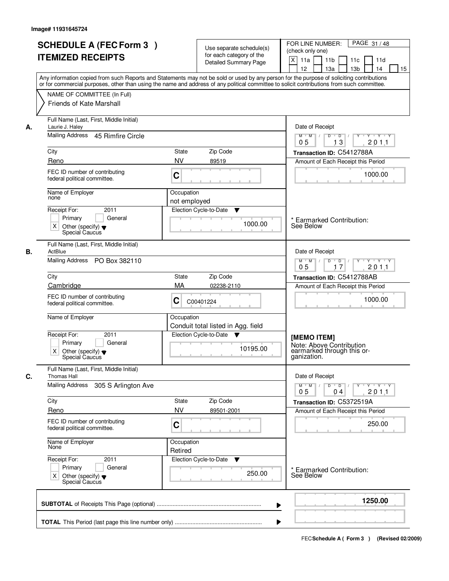|    | <b>SCHEDULE A (FEC Form 3)</b><br><b>ITEMIZED RECEIPTS</b><br>Any information copied from such Reports and Statements may not be sold or used by any person for the purpose of soliciting contributions |                            | Use separate schedule(s)<br>for each category of the<br><b>Detailed Summary Page</b> | PAGE 31/48<br>FOR LINE NUMBER:<br>(check only one)<br>$\mathsf{X}$<br>11 <sub>b</sub><br>11a<br>11c<br>11d<br>13 <sub>b</sub><br>12 <sup>2</sup><br>13a<br>14<br>15                                                                                                                                                                                                                                                                                 |
|----|---------------------------------------------------------------------------------------------------------------------------------------------------------------------------------------------------------|----------------------------|--------------------------------------------------------------------------------------|-----------------------------------------------------------------------------------------------------------------------------------------------------------------------------------------------------------------------------------------------------------------------------------------------------------------------------------------------------------------------------------------------------------------------------------------------------|
|    | or for commercial purposes, other than using the name and address of any political committee to solicit contributions from such committee.<br>NAME OF COMMITTEE (In Full)<br>Friends of Kate Marshall   |                            |                                                                                      |                                                                                                                                                                                                                                                                                                                                                                                                                                                     |
| А. | Full Name (Last, First, Middle Initial)<br>Laurie J. Haley<br>Mailing Address 45 Rimfire Circle                                                                                                         |                            |                                                                                      | Date of Receipt<br>$\begin{array}{c c c c c c c c} \hline \textbf{0} & \textbf{0} & \textbf{0} & \textbf{0} & \textbf{0} & \textbf{0} & \textbf{0} & \textbf{0} & \textbf{0} & \textbf{0} & \textbf{0} & \textbf{0} & \textbf{0} & \textbf{0} & \textbf{0} & \textbf{0} & \textbf{0} & \textbf{0} & \textbf{0} & \textbf{0} & \textbf{0} & \textbf{0} & \textbf{0} & \textbf{0} & \textbf{0} & \textbf{0} & \textbf{0} & \textbf{0} &$<br>$M$ $M$ / |
|    | City                                                                                                                                                                                                    | State                      | Zip Code                                                                             | 201.1<br>0 <sub>5</sub><br>13<br>Transaction ID: C5412788A                                                                                                                                                                                                                                                                                                                                                                                          |
|    | Reno                                                                                                                                                                                                    | <b>NV</b>                  | 89519                                                                                | Amount of Each Receipt this Period                                                                                                                                                                                                                                                                                                                                                                                                                  |
|    | FEC ID number of contributing<br>federal political committee.                                                                                                                                           | C                          |                                                                                      | 1000.00                                                                                                                                                                                                                                                                                                                                                                                                                                             |
|    | Name of Employer<br>none                                                                                                                                                                                | Occupation<br>not employed |                                                                                      |                                                                                                                                                                                                                                                                                                                                                                                                                                                     |
|    | 2011<br>Receipt For:<br>Primary<br>General<br>$\times$<br>Other (specify) $\bullet$<br>Special Caucus                                                                                                   |                            | Election Cycle-to-Date<br>▼<br>1000.00                                               | Earmarked Contribution:<br>See Below                                                                                                                                                                                                                                                                                                                                                                                                                |
| В. | Full Name (Last, First, Middle Initial)<br>ActBlue<br>Mailing Address PO Box 382110                                                                                                                     |                            |                                                                                      | Date of Receipt<br>$Y - Y - Y$<br>$M$ $M$ /<br>D<br>$\Box$                                                                                                                                                                                                                                                                                                                                                                                          |
|    |                                                                                                                                                                                                         |                            |                                                                                      | 17<br>201.1<br>0 <sub>5</sub>                                                                                                                                                                                                                                                                                                                                                                                                                       |
|    | City<br>Cambridge                                                                                                                                                                                       | <b>State</b><br>MA         | Zip Code<br>02238-2110                                                               | Transaction ID: C5412788AB<br>Amount of Each Receipt this Period                                                                                                                                                                                                                                                                                                                                                                                    |
|    | FEC ID number of contributing<br>federal political committee.                                                                                                                                           | C                          | C00401224                                                                            | 1000.00                                                                                                                                                                                                                                                                                                                                                                                                                                             |
|    | Name of Employer                                                                                                                                                                                        | Occupation                 | Conduit total listed in Agg. field                                                   |                                                                                                                                                                                                                                                                                                                                                                                                                                                     |
|    | Receipt For:<br>2011<br>Primary<br>General<br>X<br>Other (specify) $\blacktriangledown$<br>Special Caucus                                                                                               |                            | Election Cycle-to-Date<br>$\overline{\mathbf{v}}$<br>10195.00                        | [MEMO ITEM]<br>Note: Above Contribution<br>earmarked through this or-<br>ganization.                                                                                                                                                                                                                                                                                                                                                                |
| C. | Full Name (Last, First, Middle Initial)<br><b>Thomas Hall</b>                                                                                                                                           |                            |                                                                                      | Date of Receipt                                                                                                                                                                                                                                                                                                                                                                                                                                     |
|    | <b>Mailing Address</b><br>305 S Arlington Ave                                                                                                                                                           |                            |                                                                                      | $D$ $D$ $/$<br>$M$ $M$ /<br>Y * Y * Y * Y<br>0 <sub>5</sub><br>201.1<br>04                                                                                                                                                                                                                                                                                                                                                                          |
|    | City                                                                                                                                                                                                    | <b>State</b>               | Zip Code                                                                             | Transaction ID: C5372519A                                                                                                                                                                                                                                                                                                                                                                                                                           |
|    | Reno<br>FEC ID number of contributing<br>federal political committee.                                                                                                                                   | <b>NV</b><br>C             | 89501-2001                                                                           | Amount of Each Receipt this Period<br>250.00                                                                                                                                                                                                                                                                                                                                                                                                        |
|    | Name of Employer<br>None                                                                                                                                                                                | Occupation<br>Retired      |                                                                                      |                                                                                                                                                                                                                                                                                                                                                                                                                                                     |
|    | Receipt For:<br>2011<br>Primary<br>General<br>Other (specify) v<br>Special Caucus<br>X.                                                                                                                 |                            | Election Cycle-to-Date<br>v<br>250.00                                                | <b>Earmarked Contribution:</b><br>See Below                                                                                                                                                                                                                                                                                                                                                                                                         |
|    |                                                                                                                                                                                                         |                            |                                                                                      | 1250.00                                                                                                                                                                                                                                                                                                                                                                                                                                             |
|    |                                                                                                                                                                                                         |                            | ▶                                                                                    |                                                                                                                                                                                                                                                                                                                                                                                                                                                     |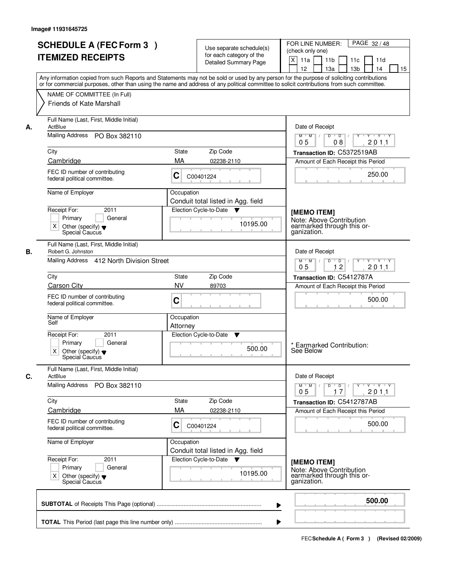| <b>SCHEDULE A (FEC Form 3)</b><br><b>ITEMIZED RECEIPTS</b><br>NAME OF COMMITTEE (In Full)<br>Friends of Kate Marshall<br>Full Name (Last, First, Middle Initial)<br>ActBlue<br>Mailing Address PO Box 382110<br>City<br>Cambridge | Use separate schedule(s)<br>for each category of the<br><b>Detailed Summary Page</b><br>Any information copied from such Reports and Statements may not be sold or used by any person for the purpose of soliciting contributions<br>or for commercial purposes, other than using the name and address of any political committee to solicit contributions from such committee. | PAGE 32/48<br>FOR LINE NUMBER:<br>(check only one)<br>$\boldsymbol{\mathsf{X}}$<br>11a<br>11 <sub>b</sub><br>11c<br>11d<br>12<br>13a<br>13 <sub>b</sub><br>14<br>15<br>Date of Receipt<br>Y |
|-----------------------------------------------------------------------------------------------------------------------------------------------------------------------------------------------------------------------------------|---------------------------------------------------------------------------------------------------------------------------------------------------------------------------------------------------------------------------------------------------------------------------------------------------------------------------------------------------------------------------------|---------------------------------------------------------------------------------------------------------------------------------------------------------------------------------------------|
|                                                                                                                                                                                                                                   |                                                                                                                                                                                                                                                                                                                                                                                 |                                                                                                                                                                                             |
|                                                                                                                                                                                                                                   |                                                                                                                                                                                                                                                                                                                                                                                 |                                                                                                                                                                                             |
|                                                                                                                                                                                                                                   |                                                                                                                                                                                                                                                                                                                                                                                 |                                                                                                                                                                                             |
|                                                                                                                                                                                                                                   |                                                                                                                                                                                                                                                                                                                                                                                 |                                                                                                                                                                                             |
|                                                                                                                                                                                                                                   |                                                                                                                                                                                                                                                                                                                                                                                 |                                                                                                                                                                                             |
|                                                                                                                                                                                                                                   |                                                                                                                                                                                                                                                                                                                                                                                 |                                                                                                                                                                                             |
|                                                                                                                                                                                                                                   |                                                                                                                                                                                                                                                                                                                                                                                 |                                                                                                                                                                                             |
|                                                                                                                                                                                                                                   |                                                                                                                                                                                                                                                                                                                                                                                 |                                                                                                                                                                                             |
|                                                                                                                                                                                                                                   |                                                                                                                                                                                                                                                                                                                                                                                 |                                                                                                                                                                                             |
|                                                                                                                                                                                                                                   |                                                                                                                                                                                                                                                                                                                                                                                 | $\overline{D}$ /<br>Y Y Y Y<br>$M$ $M$ /<br>D<br>0 <sub>5</sub><br>08<br>201.1                                                                                                              |
|                                                                                                                                                                                                                                   | State<br>Zip Code                                                                                                                                                                                                                                                                                                                                                               | Transaction ID: C5372519AB                                                                                                                                                                  |
|                                                                                                                                                                                                                                   | MA<br>02238-2110                                                                                                                                                                                                                                                                                                                                                                | Amount of Each Receipt this Period                                                                                                                                                          |
| FEC ID number of contributing                                                                                                                                                                                                     |                                                                                                                                                                                                                                                                                                                                                                                 |                                                                                                                                                                                             |
| federal political committee.                                                                                                                                                                                                      | C00401224                                                                                                                                                                                                                                                                                                                                                                       | 250.00                                                                                                                                                                                      |
| Name of Employer                                                                                                                                                                                                                  | Occupation                                                                                                                                                                                                                                                                                                                                                                      |                                                                                                                                                                                             |
|                                                                                                                                                                                                                                   | Conduit total listed in Agg. field                                                                                                                                                                                                                                                                                                                                              |                                                                                                                                                                                             |
|                                                                                                                                                                                                                                   |                                                                                                                                                                                                                                                                                                                                                                                 | [MEMO ITEM]                                                                                                                                                                                 |
|                                                                                                                                                                                                                                   |                                                                                                                                                                                                                                                                                                                                                                                 | Note: Above Contribution<br>earmarked through this or-                                                                                                                                      |
| Special Caucus                                                                                                                                                                                                                    |                                                                                                                                                                                                                                                                                                                                                                                 | ganization.                                                                                                                                                                                 |
| Full Name (Last, First, Middle Initial)<br>Robert G. Johnston                                                                                                                                                                     |                                                                                                                                                                                                                                                                                                                                                                                 | Date of Receipt                                                                                                                                                                             |
|                                                                                                                                                                                                                                   |                                                                                                                                                                                                                                                                                                                                                                                 | $D$ $D$ $/$<br>Y FY FY FY<br>$M$ $M$ /<br>12<br>0 <sub>5</sub><br>201.1                                                                                                                     |
| City                                                                                                                                                                                                                              | Zip Code<br>State                                                                                                                                                                                                                                                                                                                                                               | Transaction ID: C5412787A                                                                                                                                                                   |
| <b>Carson City</b>                                                                                                                                                                                                                | <b>NV</b><br>89703                                                                                                                                                                                                                                                                                                                                                              | Amount of Each Receipt this Period                                                                                                                                                          |
| FEC ID number of contributing<br>federal political committee.                                                                                                                                                                     | C                                                                                                                                                                                                                                                                                                                                                                               | 500.00                                                                                                                                                                                      |
| Name of Employer                                                                                                                                                                                                                  | Occupation                                                                                                                                                                                                                                                                                                                                                                      |                                                                                                                                                                                             |
|                                                                                                                                                                                                                                   | Attorney                                                                                                                                                                                                                                                                                                                                                                        |                                                                                                                                                                                             |
| Receipt For:<br>2011                                                                                                                                                                                                              | Election Cycle-to-Date<br>▼                                                                                                                                                                                                                                                                                                                                                     |                                                                                                                                                                                             |
| General                                                                                                                                                                                                                           |                                                                                                                                                                                                                                                                                                                                                                                 | * Earmarked Contribution:                                                                                                                                                                   |
| Special Caucus                                                                                                                                                                                                                    |                                                                                                                                                                                                                                                                                                                                                                                 | See Below                                                                                                                                                                                   |
| Full Name (Last, First, Middle Initial)                                                                                                                                                                                           |                                                                                                                                                                                                                                                                                                                                                                                 | Date of Receipt                                                                                                                                                                             |
| Mailing Address PO Box 382110                                                                                                                                                                                                     |                                                                                                                                                                                                                                                                                                                                                                                 | $M$ $M$<br>$D$ $D$ $/$<br>$\overline{Y}$<br>$Y - Y - Y - Y$                                                                                                                                 |
|                                                                                                                                                                                                                                   |                                                                                                                                                                                                                                                                                                                                                                                 | 201.1<br>05<br>17                                                                                                                                                                           |
| City                                                                                                                                                                                                                              | State                                                                                                                                                                                                                                                                                                                                                                           | Transaction ID: C5412787AB                                                                                                                                                                  |
|                                                                                                                                                                                                                                   | 02238-2110                                                                                                                                                                                                                                                                                                                                                                      | Amount of Each Receipt this Period                                                                                                                                                          |
| FEC ID number of contributing<br>federal political committee.                                                                                                                                                                     | C<br>C00401224                                                                                                                                                                                                                                                                                                                                                                  | 500.00                                                                                                                                                                                      |
| Name of Employer                                                                                                                                                                                                                  | Occupation<br>Conduit total listed in Agg. field                                                                                                                                                                                                                                                                                                                                |                                                                                                                                                                                             |
| Receipt For:<br>2011                                                                                                                                                                                                              | Election Cycle-to-Date<br>v                                                                                                                                                                                                                                                                                                                                                     | [MEMO ITEM]                                                                                                                                                                                 |
| Primary<br>General                                                                                                                                                                                                                |                                                                                                                                                                                                                                                                                                                                                                                 | Note: Above Contribution                                                                                                                                                                    |
| Other (specify) $\blacktriangledown$<br>Χ<br>Special Caucus                                                                                                                                                                       |                                                                                                                                                                                                                                                                                                                                                                                 | earmarked through this or-<br>ganization.                                                                                                                                                   |
|                                                                                                                                                                                                                                   |                                                                                                                                                                                                                                                                                                                                                                                 | 500.00                                                                                                                                                                                      |
|                                                                                                                                                                                                                                   | 2011<br>Receipt For:<br>Primary<br>General<br>$\times$<br>Other (specify) $\blacktriangledown$<br>Self<br>Primary<br>$\times$<br>Other (specify) $\blacktriangledown$<br>ActBlue<br>Cambridge                                                                                                                                                                                   | C<br>Election Cycle-to-Date<br>10195.00<br>Mailing Address 412 North Division Street<br>500.00<br>Zip Code<br>MA<br>10195.00<br>▶                                                           |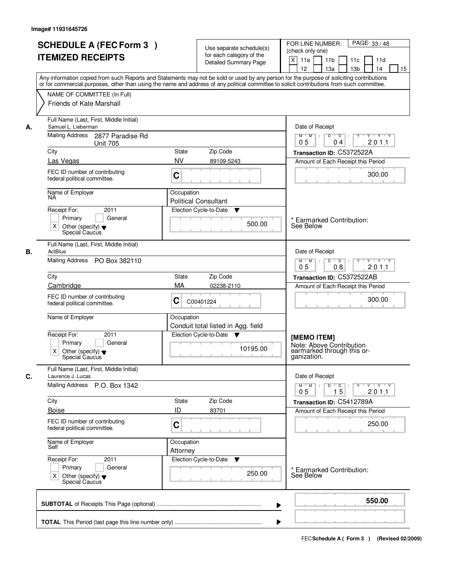|    | <b>SCHEDULE A (FEC Form 3)</b><br><b>ITEMIZED RECEIPTS</b>                                                               | Use separate schedule(s)<br>for each category of the<br><b>Detailed Summary Page</b><br>Any information copied from such Reports and Statements may not be sold or used by any person for the purpose of soliciting contributions | PAGE 33/48<br>FOR LINE NUMBER:<br>(check only one)<br>$\boldsymbol{\mathsf{X}}$<br>11 <sub>b</sub><br>11a<br>11c<br>11d<br>12<br>13 <sub>b</sub><br>14<br>13a<br>15 |
|----|--------------------------------------------------------------------------------------------------------------------------|-----------------------------------------------------------------------------------------------------------------------------------------------------------------------------------------------------------------------------------|---------------------------------------------------------------------------------------------------------------------------------------------------------------------|
|    | NAME OF COMMITTEE (In Full)<br>Friends of Kate Marshall                                                                  | or for commercial purposes, other than using the name and address of any political committee to solicit contributions from such committee.                                                                                        |                                                                                                                                                                     |
| А. | Full Name (Last, First, Middle Initial)<br>Samuel L. Lieberman<br>Mailing Address<br>2877 Paradise Rd<br><b>Unit 705</b> |                                                                                                                                                                                                                                   | Date of Receipt<br>$D$ $D$ $1$<br>$Y^+$<br>Y 'Y 'Y<br>$M$ $M$ /<br>0 <sub>5</sub><br>201.1<br>04                                                                    |
|    | City                                                                                                                     | <b>State</b><br>Zip Code                                                                                                                                                                                                          | Transaction ID: C5372522A                                                                                                                                           |
|    | Las Vegas                                                                                                                | <b>NV</b><br>89109-5243                                                                                                                                                                                                           | Amount of Each Receipt this Period                                                                                                                                  |
|    | FEC ID number of contributing<br>federal political committee.                                                            | C                                                                                                                                                                                                                                 | 300.00                                                                                                                                                              |
|    | Name of Employer<br>NA                                                                                                   | Occupation<br><b>Political Consultant</b>                                                                                                                                                                                         |                                                                                                                                                                     |
|    | 2011<br>Receipt For:<br>Primary<br>General<br>$\times$<br>Other (specify) $\blacktriangledown$<br>Special Caucus         | Election Cycle-to-Date<br>▼<br>500.00                                                                                                                                                                                             | Earmarked Contribution:<br>See Below                                                                                                                                |
| В. | Full Name (Last, First, Middle Initial)<br>ActBlue                                                                       |                                                                                                                                                                                                                                   | Date of Receipt                                                                                                                                                     |
|    | Mailing Address PO Box 382110                                                                                            |                                                                                                                                                                                                                                   | $Y$ <sup>U</sup><br>Y 'Y 'Y<br>$M$ $M$ /<br>D<br>$\overline{D}$<br>2011<br>08<br>05                                                                                 |
|    | City                                                                                                                     | Zip Code<br>State                                                                                                                                                                                                                 | Transaction ID: C5372522AB                                                                                                                                          |
|    | Cambridge<br>FEC ID number of contributing<br>federal political committee.                                               | МA<br>02238-2110<br>С<br>C00401224                                                                                                                                                                                                | Amount of Each Receipt this Period<br>300.00                                                                                                                        |
|    | Name of Employer                                                                                                         | Occupation<br>Conduit total listed in Agg. field                                                                                                                                                                                  |                                                                                                                                                                     |
|    | Receipt For:<br>2011<br>Primary<br>General<br>X<br>Other (specify) $\blacktriangledown$<br>Special Caucus                | Election Cycle-to-Date<br>▼<br>10195.00                                                                                                                                                                                           | [MEMO ITEM]<br>Note: Above Contribution<br>earmarked through this or-<br>ganization.                                                                                |
| C. | Full Name (Last, First, Middle Initial)<br>Laurence J. Lucas                                                             |                                                                                                                                                                                                                                   | Date of Receipt                                                                                                                                                     |
|    | Mailing Address<br>P.O. Box 1342                                                                                         |                                                                                                                                                                                                                                   | $M$ $M$ $M$<br>$D$ $D$ $I$<br>201.1<br>05<br>15                                                                                                                     |
|    | City                                                                                                                     | Zip Code<br>State                                                                                                                                                                                                                 | Transaction ID: C5412789A                                                                                                                                           |
|    | <b>Boise</b><br>FEC ID number of contributing<br>federal political committee.                                            | ID<br>83701<br>C                                                                                                                                                                                                                  | Amount of Each Receipt this Period<br>250.00                                                                                                                        |
|    | Name of Employer<br>Self                                                                                                 | Occupation<br>Attorney                                                                                                                                                                                                            |                                                                                                                                                                     |
|    | Receipt For:<br>2011<br>Primary<br>General<br>Other (specify) $\blacktriangledown$<br>$\times$<br>Special Caucus         | Election Cycle-to-Date<br>▼<br>250.00                                                                                                                                                                                             | * Earmarked Contribution:<br>See Below                                                                                                                              |
|    |                                                                                                                          | ▶                                                                                                                                                                                                                                 | 550.00                                                                                                                                                              |
|    |                                                                                                                          |                                                                                                                                                                                                                                   |                                                                                                                                                                     |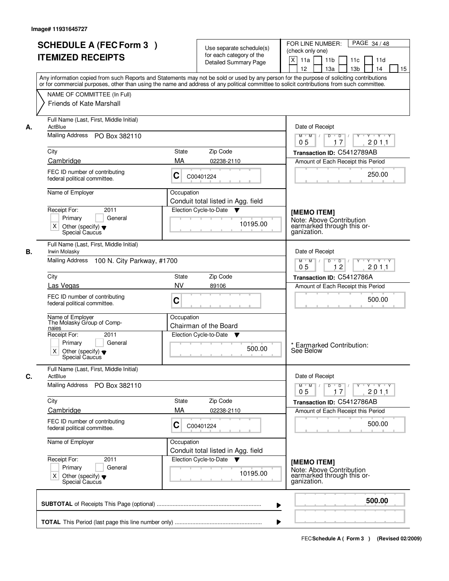|    | <b>SCHEDULE A (FEC Form 3)</b>                                                                                                             |                                                  |                                                      | PAGE 34 / 48<br>FOR LINE NUMBER:                                                                                                                                           |
|----|--------------------------------------------------------------------------------------------------------------------------------------------|--------------------------------------------------|------------------------------------------------------|----------------------------------------------------------------------------------------------------------------------------------------------------------------------------|
|    |                                                                                                                                            |                                                  | Use separate schedule(s)<br>for each category of the | (check only one)                                                                                                                                                           |
|    | <b>ITEMIZED RECEIPTS</b>                                                                                                                   |                                                  | <b>Detailed Summary Page</b>                         | $\boldsymbol{\mathsf{X}}$<br>11a<br>11 <sub>b</sub><br>11c<br>11d                                                                                                          |
|    |                                                                                                                                            |                                                  |                                                      | 12<br>13a<br>13 <sub>b</sub><br>14<br>15                                                                                                                                   |
|    | Any information copied from such Reports and Statements may not be sold or used by any person for the purpose of soliciting contributions  |                                                  |                                                      |                                                                                                                                                                            |
|    | or for commercial purposes, other than using the name and address of any political committee to solicit contributions from such committee. |                                                  |                                                      |                                                                                                                                                                            |
|    | NAME OF COMMITTEE (In Full)                                                                                                                |                                                  |                                                      |                                                                                                                                                                            |
|    | Friends of Kate Marshall                                                                                                                   |                                                  |                                                      |                                                                                                                                                                            |
| А. | Full Name (Last, First, Middle Initial)<br>ActBlue                                                                                         |                                                  |                                                      | Date of Receipt                                                                                                                                                            |
|    | Mailing Address PO Box 382110                                                                                                              |                                                  |                                                      | Y Y Y Y<br>$M$ $M$ /<br>D<br>$\overline{D}$<br>17<br>201.1<br>05                                                                                                           |
|    | City                                                                                                                                       | State                                            | Zip Code                                             | Transaction ID: C5412789AB                                                                                                                                                 |
|    | Cambridge                                                                                                                                  | MA                                               | 02238-2110                                           | Amount of Each Receipt this Period                                                                                                                                         |
|    | FEC ID number of contributing                                                                                                              |                                                  |                                                      |                                                                                                                                                                            |
|    | federal political committee.                                                                                                               | C<br>C00401224                                   |                                                      | 250.00                                                                                                                                                                     |
|    | Name of Employer                                                                                                                           | Occupation                                       |                                                      |                                                                                                                                                                            |
|    |                                                                                                                                            | Conduit total listed in Agg. field               |                                                      |                                                                                                                                                                            |
|    | Receipt For:<br>2011                                                                                                                       | Election Cycle-to-Date                           |                                                      | [MEMO ITEM]                                                                                                                                                                |
|    | Primary<br>General                                                                                                                         |                                                  | 10195.00                                             | Note: Above Contribution                                                                                                                                                   |
|    | $\times$<br>Other (specify) $\blacktriangledown$<br>Special Caucus                                                                         |                                                  |                                                      | earmarked through this or-<br>ganization.                                                                                                                                  |
| В. | Full Name (Last, First, Middle Initial)<br>Irwin Molasky                                                                                   |                                                  |                                                      | Date of Receipt                                                                                                                                                            |
|    | Mailing Address 100 N. City Parkway, #1700                                                                                                 |                                                  |                                                      | D<br>$\blacksquare$ $\blacksquare$ $\blacksquare$ $\blacksquare$ $\blacksquare$<br>$M$ $M$ /<br>$Y$ <sup>U</sup><br>$Y \dashv Y \dashv Y$<br>12<br>0 <sub>5</sub><br>201.1 |
|    | City                                                                                                                                       | State                                            | Zip Code                                             | Transaction ID: C5412786A                                                                                                                                                  |
|    | Las Vegas                                                                                                                                  | <b>NV</b>                                        | 89106                                                | Amount of Each Receipt this Period                                                                                                                                         |
|    |                                                                                                                                            |                                                  |                                                      |                                                                                                                                                                            |
|    | FEC ID number of contributing<br>federal political committee.                                                                              | C                                                |                                                      | 500.00                                                                                                                                                                     |
|    | Name of Employer                                                                                                                           | Occupation                                       |                                                      |                                                                                                                                                                            |
|    | The Molasky Group of Comp-<br>naies                                                                                                        | Chairman of the Board                            |                                                      |                                                                                                                                                                            |
|    | Receipt For:<br>2011                                                                                                                       | Election Cycle-to-Date ▼                         |                                                      |                                                                                                                                                                            |
|    | Primary<br>General                                                                                                                         |                                                  | 500.00                                               | * Earmarked Contribution:                                                                                                                                                  |
|    | $\times$<br>Other (specify) $\blacktriangledown$<br>Special Caucus                                                                         |                                                  |                                                      | See Below                                                                                                                                                                  |
| C. | Full Name (Last, First, Middle Initial)<br>ActBlue                                                                                         |                                                  |                                                      | Date of Receipt                                                                                                                                                            |
|    | Mailing Address PO Box 382110                                                                                                              |                                                  |                                                      | $M$ $M$<br>$D$ $D$ $/$<br>$Y^+$<br>$Y - Y - Y - Y$                                                                                                                         |
|    |                                                                                                                                            |                                                  |                                                      | 201.1<br>05<br>17                                                                                                                                                          |
|    | City                                                                                                                                       | State                                            | Zip Code                                             | Transaction ID: C5412786AB                                                                                                                                                 |
|    | Cambridge                                                                                                                                  | MA                                               | 02238-2110                                           | Amount of Each Receipt this Period                                                                                                                                         |
|    | FEC ID number of contributing<br>federal political committee.                                                                              | C<br>C00401224                                   |                                                      | 500.00                                                                                                                                                                     |
|    |                                                                                                                                            |                                                  |                                                      |                                                                                                                                                                            |
|    | Name of Employer                                                                                                                           | Occupation<br>Conduit total listed in Agg. field |                                                      |                                                                                                                                                                            |
|    | Receipt For:<br>2011                                                                                                                       | Election Cycle-to-Date                           | v                                                    | [MEMO ITEM]                                                                                                                                                                |
|    | Primary<br>General                                                                                                                         |                                                  |                                                      | Note: Above Contribution                                                                                                                                                   |
|    | Other (specify) $\blacktriangledown$<br>Χ<br>Special Caucus                                                                                |                                                  | 10195.00                                             | earmarked through this or-<br>ganization.                                                                                                                                  |
|    |                                                                                                                                            |                                                  |                                                      | 500.00                                                                                                                                                                     |
|    |                                                                                                                                            |                                                  | ▶                                                    |                                                                                                                                                                            |
|    |                                                                                                                                            |                                                  |                                                      |                                                                                                                                                                            |
|    |                                                                                                                                            |                                                  |                                                      |                                                                                                                                                                            |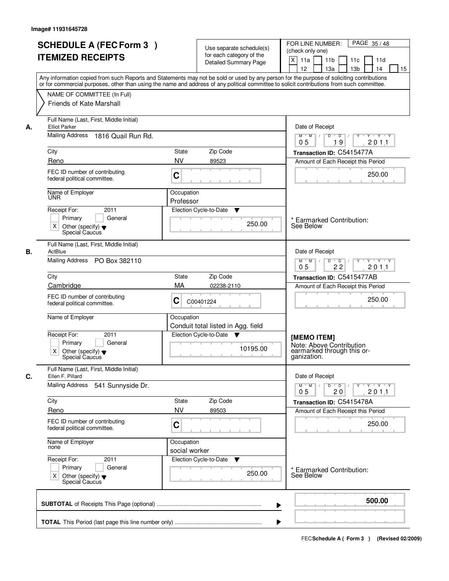|    | <b>SCHEDULE A (FEC Form 3)</b><br><b>ITEMIZED RECEIPTS</b><br>Any information copied from such Reports and Statements may not be sold or used by any person for the purpose of soliciting contributions | Use separate schedule(s)<br>for each category of the<br><b>Detailed Summary Page</b> | PAGE 35/48<br>FOR LINE NUMBER:<br>(check only one)<br>X<br>11a<br>11 <sub>b</sub><br>11c<br>11d<br>12<br>13a<br>13 <sub>b</sub><br>14<br>15                                                                                                                                                                                                                                                                                                                                          |
|----|---------------------------------------------------------------------------------------------------------------------------------------------------------------------------------------------------------|--------------------------------------------------------------------------------------|--------------------------------------------------------------------------------------------------------------------------------------------------------------------------------------------------------------------------------------------------------------------------------------------------------------------------------------------------------------------------------------------------------------------------------------------------------------------------------------|
|    | or for commercial purposes, other than using the name and address of any political committee to solicit contributions from such committee.<br>NAME OF COMMITTEE (In Full)<br>Friends of Kate Marshall   |                                                                                      |                                                                                                                                                                                                                                                                                                                                                                                                                                                                                      |
| А. | Full Name (Last, First, Middle Initial)<br><b>Elliot Parker</b><br>Mailing Address 1816 Quail Run Rd.                                                                                                   |                                                                                      | Date of Receipt<br>$\begin{array}{c c c c c c c c} \hline \textbf{C} & \textbf{C} & \textbf{C} & \textbf{C} & \textbf{C} & \textbf{C} & \textbf{C} & \textbf{C} & \textbf{C} & \textbf{C} & \textbf{C} & \textbf{C} & \textbf{C} & \textbf{C} & \textbf{C} & \textbf{C} & \textbf{C} & \textbf{C} & \textbf{C} & \textbf{C} & \textbf{C} & \textbf{C} & \textbf{C} & \textbf{C} & \textbf{C} & \textbf{C} & \textbf{C} & \textbf{C} &$<br>$M$ $M$ /<br>0 <sub>5</sub><br>19<br>201.1 |
|    | City<br>Reno                                                                                                                                                                                            | State<br>Zip Code<br><b>NV</b><br>89523                                              | Transaction ID: C5415477A<br>Amount of Each Receipt this Period                                                                                                                                                                                                                                                                                                                                                                                                                      |
|    | FEC ID number of contributing<br>federal political committee.                                                                                                                                           | C                                                                                    | 250.00                                                                                                                                                                                                                                                                                                                                                                                                                                                                               |
|    | Name of Employer<br><b>UNR</b><br>2011<br>Receipt For:                                                                                                                                                  | Occupation<br>Professor<br>Election Cycle-to-Date<br>▼                               |                                                                                                                                                                                                                                                                                                                                                                                                                                                                                      |
|    | Primary<br>General<br>$\times$<br>Other (specify) $\blacktriangledown$<br>Special Caucus                                                                                                                | 250.00                                                                               | Earmarked Contribution:<br>See Below                                                                                                                                                                                                                                                                                                                                                                                                                                                 |
| В. | Full Name (Last, First, Middle Initial)<br>ActBlue<br>Mailing Address PO Box 382110                                                                                                                     |                                                                                      | Date of Receipt<br>$Y$ <sup>U</sup><br>$Y \vdash Y \vdash Y$<br>$M$ $M$ /<br>D<br>$\overline{D}$<br>201.1<br>0 <sub>5</sub><br>22                                                                                                                                                                                                                                                                                                                                                    |
|    | City                                                                                                                                                                                                    | Zip Code<br>State                                                                    | Transaction ID: C5415477AB                                                                                                                                                                                                                                                                                                                                                                                                                                                           |
|    | Cambridge<br>FEC ID number of contributing<br>federal political committee.                                                                                                                              | MA<br>02238-2110<br>C<br>C00401224                                                   | Amount of Each Receipt this Period<br>250.00                                                                                                                                                                                                                                                                                                                                                                                                                                         |
|    | Name of Employer                                                                                                                                                                                        | Occupation<br>Conduit total listed in Agg. field                                     |                                                                                                                                                                                                                                                                                                                                                                                                                                                                                      |
|    | Receipt For:<br>2011<br>Primary<br>General<br>X<br>Other (specify) $\blacktriangledown$<br>Special Caucus                                                                                               | Election Cycle-to-Date<br>$\overline{\mathbf{v}}$<br>10195.00                        | [MEMO ITEM]<br>Note: Above Contribution<br>earmarked through this or-<br>ganization.                                                                                                                                                                                                                                                                                                                                                                                                 |
| C. | Full Name (Last, First, Middle Initial)<br>Ellen F. Pillard<br>Mailing Address<br>541 Sunnyside Dr.                                                                                                     |                                                                                      | Date of Receipt<br>$D$ $D$ $/$<br>$M$ $M$ /<br>$Y$ <sup>-1</sup><br>$Y + Y + Y$                                                                                                                                                                                                                                                                                                                                                                                                      |
|    | City                                                                                                                                                                                                    | Zip Code<br>State                                                                    | 201.1<br>05<br>20<br>Transaction ID: C5415478A                                                                                                                                                                                                                                                                                                                                                                                                                                       |
|    | Reno<br>FEC ID number of contributing<br>federal political committee.                                                                                                                                   | <b>NV</b><br>89503<br>C                                                              | Amount of Each Receipt this Period<br>250.00                                                                                                                                                                                                                                                                                                                                                                                                                                         |
|    | Name of Employer<br>none                                                                                                                                                                                | Occupation<br>social worker                                                          |                                                                                                                                                                                                                                                                                                                                                                                                                                                                                      |
|    | Receipt For:<br>2011<br>Primary<br>General<br>Other (specify) v<br>Special Caucus<br>X                                                                                                                  | Election Cycle-to-Date<br>v<br>250.00                                                | * Earmarked Contribution:<br>See Below                                                                                                                                                                                                                                                                                                                                                                                                                                               |
|    |                                                                                                                                                                                                         | ▶                                                                                    | 500.00                                                                                                                                                                                                                                                                                                                                                                                                                                                                               |
|    |                                                                                                                                                                                                         |                                                                                      |                                                                                                                                                                                                                                                                                                                                                                                                                                                                                      |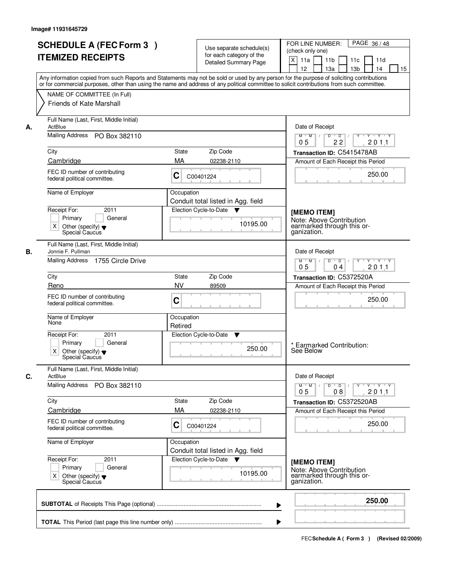|    | <b>SCHEDULE A (FEC Form 3)</b><br><b>ITEMIZED RECEIPTS</b>                               | Use separate schedule(s)<br>for each category of the<br><b>Detailed Summary Page</b>                                                                                                                                                                                                    | PAGE 36/48<br>FOR LINE NUMBER:<br>(check only one)<br>X<br>11a<br>11 <sub>b</sub><br>11d<br>11c<br>12<br>13a<br>13 <sub>b</sub><br>14<br>15 |
|----|------------------------------------------------------------------------------------------|-----------------------------------------------------------------------------------------------------------------------------------------------------------------------------------------------------------------------------------------------------------------------------------------|---------------------------------------------------------------------------------------------------------------------------------------------|
|    | NAME OF COMMITTEE (In Full)                                                              | Any information copied from such Reports and Statements may not be sold or used by any person for the purpose of soliciting contributions<br>or for commercial purposes, other than using the name and address of any political committee to solicit contributions from such committee. |                                                                                                                                             |
|    | Friends of Kate Marshall                                                                 |                                                                                                                                                                                                                                                                                         |                                                                                                                                             |
| А. | Full Name (Last, First, Middle Initial)<br>ActBlue                                       |                                                                                                                                                                                                                                                                                         | Date of Receipt                                                                                                                             |
|    | Mailing Address PO Box 382110                                                            |                                                                                                                                                                                                                                                                                         | $\blacksquare$ $\blacksquare$ $\blacksquare$ $\blacksquare$ $\blacksquare$<br>$Y + Y + Y$<br>$M$ $M$ /<br>D<br>$Y^+$<br>22<br>201.1<br>05   |
|    | City                                                                                     | Zip Code<br>State                                                                                                                                                                                                                                                                       | Transaction ID: C5415478AB                                                                                                                  |
|    | Cambridge                                                                                | MA<br>02238-2110                                                                                                                                                                                                                                                                        | Amount of Each Receipt this Period                                                                                                          |
|    | FEC ID number of contributing<br>federal political committee.                            | С<br>C00401224                                                                                                                                                                                                                                                                          | 250.00                                                                                                                                      |
|    | Name of Employer                                                                         | Occupation<br>Conduit total listed in Agg. field                                                                                                                                                                                                                                        |                                                                                                                                             |
|    | Receipt For:<br>2011                                                                     | Election Cycle-to-Date<br>v                                                                                                                                                                                                                                                             | [MEMO ITEM]                                                                                                                                 |
|    | Primary<br>General                                                                       | 10195.00                                                                                                                                                                                                                                                                                | Note: Above Contribution                                                                                                                    |
|    | $\times$<br>Other (specify) $\blacktriangledown$<br>Special Caucus                       |                                                                                                                                                                                                                                                                                         | earmarked through this or-<br>ganization.                                                                                                   |
| В. | Full Name (Last, First, Middle Initial)<br>Jonnie F. Pullman                             |                                                                                                                                                                                                                                                                                         | Date of Receipt                                                                                                                             |
|    | Mailing Address<br>1755 Circle Drive                                                     |                                                                                                                                                                                                                                                                                         | D<br>$M$ $M$ /<br>$\overline{D}$ /<br>$Y + Y + Y$<br>0 <sub>5</sub><br>201.1<br>04                                                          |
|    | City                                                                                     | Zip Code<br>State                                                                                                                                                                                                                                                                       | Transaction ID: C5372520A                                                                                                                   |
|    | Reno                                                                                     | <b>NV</b><br>89509                                                                                                                                                                                                                                                                      | Amount of Each Receipt this Period                                                                                                          |
|    | FEC ID number of contributing<br>federal political committee.                            | C                                                                                                                                                                                                                                                                                       | 250.00                                                                                                                                      |
|    | Name of Employer<br>None                                                                 | Occupation<br>Retired                                                                                                                                                                                                                                                                   |                                                                                                                                             |
|    | Receipt For:<br>2011                                                                     | Election Cycle-to-Date<br>v                                                                                                                                                                                                                                                             |                                                                                                                                             |
|    | Primary<br>General<br>$\times$<br>Other (specify) $\blacktriangledown$<br>Special Caucus | 250.00                                                                                                                                                                                                                                                                                  | * Earmarked Contribution:<br>See Below                                                                                                      |
| С. | Full Name (Last, First, Middle Initial)<br>ActBlue                                       |                                                                                                                                                                                                                                                                                         | Date of Receipt                                                                                                                             |
|    | Mailing Address PO Box 382110                                                            |                                                                                                                                                                                                                                                                                         | $D$ $D$ $/$<br>$Y$ <sup>U</sup><br>$Y = Y + Y$<br>$M^+$ M<br>201.1<br>05<br>08                                                              |
|    | City                                                                                     | Zip Code<br>State                                                                                                                                                                                                                                                                       | Transaction ID: C5372520AB                                                                                                                  |
|    | Cambridge                                                                                | MA<br>02238-2110                                                                                                                                                                                                                                                                        | Amount of Each Receipt this Period                                                                                                          |
|    | FEC ID number of contributing<br>federal political committee.                            | C<br>C00401224                                                                                                                                                                                                                                                                          | 250.00                                                                                                                                      |
|    | Name of Employer                                                                         | Occupation<br>Conduit total listed in Agg. field                                                                                                                                                                                                                                        |                                                                                                                                             |
|    | Receipt For:<br>2011                                                                     | Election Cycle-to-Date<br>v                                                                                                                                                                                                                                                             | [MEMO ITEM]                                                                                                                                 |
|    | General<br>Primary<br>Other (specify) $\blacktriangledown$<br>Χ<br>Special Caucus        | 10195.00                                                                                                                                                                                                                                                                                | Note: Above Contribution<br>earmarked through this or-<br>ganization.                                                                       |
|    |                                                                                          |                                                                                                                                                                                                                                                                                         | 250.00                                                                                                                                      |
|    |                                                                                          |                                                                                                                                                                                                                                                                                         |                                                                                                                                             |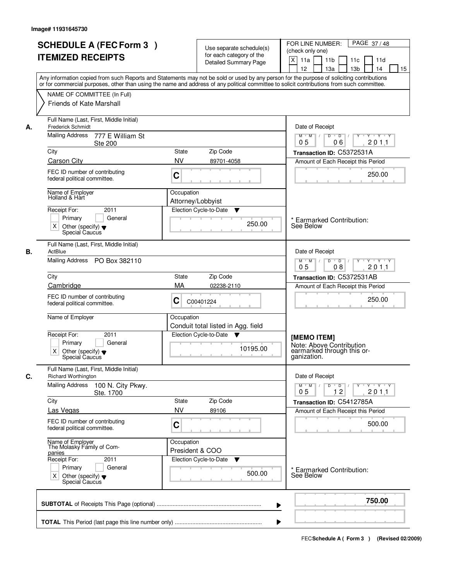|    | <b>SCHEDULE A (FEC Form 3)</b><br><b>ITEMIZED RECEIPTS</b>                                                | Use separate schedule(s)<br>for each category of the<br><b>Detailed Summary Page</b> | PAGE 37/48<br>FOR LINE NUMBER:<br>(check only one)<br>$\mathsf{X}$<br>11 <sub>b</sub><br>11a<br>11c<br>11d<br>12<br>13 <sub>b</sub><br>14<br>13a<br>15<br>Any information copied from such Reports and Statements may not be sold or used by any person for the purpose of soliciting contributions |
|----|-----------------------------------------------------------------------------------------------------------|--------------------------------------------------------------------------------------|-----------------------------------------------------------------------------------------------------------------------------------------------------------------------------------------------------------------------------------------------------------------------------------------------------|
|    | NAME OF COMMITTEE (In Full)<br>Friends of Kate Marshall                                                   |                                                                                      | or for commercial purposes, other than using the name and address of any political committee to solicit contributions from such committee.                                                                                                                                                          |
| А. | Full Name (Last, First, Middle Initial)<br>Frederick Schmidt<br>Mailing Address<br>777 E William St       |                                                                                      | Date of Receipt<br>$\overline{\mathbf{Y}}$<br>$Y + Y + Y$                                                                                                                                                                                                                                           |
|    | <b>Ste 200</b>                                                                                            |                                                                                      | $D$ $D$ $/$<br>$M$ $M$ /<br>0 <sub>5</sub><br>201.1<br>06                                                                                                                                                                                                                                           |
|    | City                                                                                                      | State<br>Zip Code                                                                    | Transaction ID: C5372531A                                                                                                                                                                                                                                                                           |
|    | <b>Carson City</b>                                                                                        | <b>NV</b><br>89701-4058                                                              | Amount of Each Receipt this Period                                                                                                                                                                                                                                                                  |
|    | FEC ID number of contributing<br>federal political committee.                                             | C                                                                                    | 250.00                                                                                                                                                                                                                                                                                              |
|    | Name of Employer<br>Holland & Hart                                                                        | Occupation                                                                           |                                                                                                                                                                                                                                                                                                     |
|    | 2011<br>Receipt For:                                                                                      | Attorney/Lobbyist<br>Election Cycle-to-Date<br>▼                                     |                                                                                                                                                                                                                                                                                                     |
|    | Primary<br>General                                                                                        |                                                                                      | Earmarked Contribution:                                                                                                                                                                                                                                                                             |
|    | $\times$<br>Other (specify) $\blacktriangledown$<br>Special Caucus                                        | 250.00                                                                               | See Below                                                                                                                                                                                                                                                                                           |
| В. | Full Name (Last, First, Middle Initial)<br>ActBlue                                                        |                                                                                      |                                                                                                                                                                                                                                                                                                     |
|    | Mailing Address PO Box 382110                                                                             |                                                                                      | Date of Receipt<br>$Y$ <sup>U</sup><br>$Y \vdash Y \vdash Y$<br>$M$ $M$ /<br>D<br>$\overline{D}$<br>08<br>201.1<br>05                                                                                                                                                                               |
|    | City                                                                                                      | Zip Code<br><b>State</b>                                                             | Transaction ID: C5372531AB                                                                                                                                                                                                                                                                          |
|    | Cambridge                                                                                                 | MA<br>02238-2110                                                                     | Amount of Each Receipt this Period                                                                                                                                                                                                                                                                  |
|    | FEC ID number of contributing<br>federal political committee.                                             | С<br>C00401224                                                                       | 250.00                                                                                                                                                                                                                                                                                              |
|    | Name of Employer                                                                                          | Occupation<br>Conduit total listed in Agg. field                                     |                                                                                                                                                                                                                                                                                                     |
|    | Receipt For:<br>2011<br>Primary<br>General<br>X<br>Other (specify) $\blacktriangledown$<br>Special Caucus | Election Cycle-to-Date<br>v<br>10195.00                                              | [MEMO ITEM]<br>Note: Above Contribution<br>earmarked through this or-<br>ganization.                                                                                                                                                                                                                |
| C. | Full Name (Last, First, Middle Initial)<br>Richard Worthington                                            |                                                                                      | Date of Receipt                                                                                                                                                                                                                                                                                     |
|    | <b>Mailing Address</b><br>100 N. City Pkwy.<br>Ste. 1700                                                  |                                                                                      | $D$ $D$ $/$<br>$M$ $M$<br>0 <sub>5</sub><br>12<br>2011                                                                                                                                                                                                                                              |
|    | City                                                                                                      | State<br>Zip Code                                                                    | Transaction ID: C5412785A                                                                                                                                                                                                                                                                           |
|    | Las Vegas                                                                                                 | <b>NV</b><br>89106                                                                   | Amount of Each Receipt this Period                                                                                                                                                                                                                                                                  |
|    | FEC ID number of contributing<br>federal political committee.                                             | C                                                                                    | 500.00                                                                                                                                                                                                                                                                                              |
|    | Name of Employer<br>The Molasky Family of Com-<br>panies<br>Receipt For:<br>2011                          | Occupation<br>President & COO<br>Election Cycle-to-Date<br>▼                         |                                                                                                                                                                                                                                                                                                     |
|    | Primary<br>General<br>Other (specify) $\blacktriangledown$<br>X<br>Special Caucus                         | 500.00                                                                               | <b>Earmarked Contribution:</b><br>See Below                                                                                                                                                                                                                                                         |
|    |                                                                                                           |                                                                                      | 750.00                                                                                                                                                                                                                                                                                              |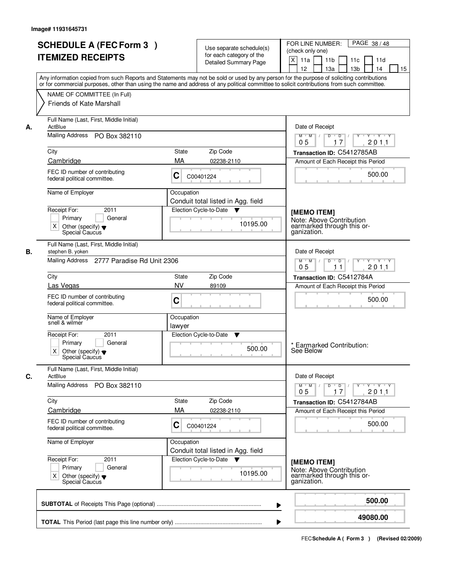|    | <b>SCHEDULE A (FEC Form 3)</b><br><b>ITEMIZED RECEIPTS</b>                                                       | Use separate schedule(s)<br>for each category of the<br><b>Detailed Summary Page</b>                                                                                                                                                                                                    | PAGE 38 / 48<br>FOR LINE NUMBER:<br>(check only one)<br>X<br>11a<br>11 <sub>b</sub><br>11c<br>11d<br>12<br>13a<br>13 <sub>b</sub><br>14<br>15 |
|----|------------------------------------------------------------------------------------------------------------------|-----------------------------------------------------------------------------------------------------------------------------------------------------------------------------------------------------------------------------------------------------------------------------------------|-----------------------------------------------------------------------------------------------------------------------------------------------|
|    | NAME OF COMMITTEE (In Full)<br>Friends of Kate Marshall                                                          | Any information copied from such Reports and Statements may not be sold or used by any person for the purpose of soliciting contributions<br>or for commercial purposes, other than using the name and address of any political committee to solicit contributions from such committee. |                                                                                                                                               |
| А. | Full Name (Last, First, Middle Initial)<br>ActBlue<br>Mailing Address PO Box 382110                              |                                                                                                                                                                                                                                                                                         | Date of Receipt<br>Y Y Y Y<br>$M$ $M$ /<br>$\overline{D}$<br>$\overline{D}$<br>Y                                                              |
|    | City                                                                                                             | Zip Code<br><b>State</b>                                                                                                                                                                                                                                                                | 17<br>201.1<br>05                                                                                                                             |
|    | Cambridge                                                                                                        | МA<br>02238-2110                                                                                                                                                                                                                                                                        | Transaction ID: C5412785AB<br>Amount of Each Receipt this Period                                                                              |
|    | FEC ID number of contributing<br>federal political committee.                                                    | C<br>C00401224                                                                                                                                                                                                                                                                          | 500.00                                                                                                                                        |
|    | Name of Employer                                                                                                 | Occupation<br>Conduit total listed in Agg. field                                                                                                                                                                                                                                        |                                                                                                                                               |
|    | Receipt For:<br>2011<br>Primary<br>General                                                                       | Election Cycle-to-Date<br>v<br>10195.00                                                                                                                                                                                                                                                 | [MEMO ITEM]<br>Note: Above Contribution                                                                                                       |
|    | $\times$<br>Other (specify) $\blacktriangledown$<br>Special Caucus                                               |                                                                                                                                                                                                                                                                                         | earmarked through this or-<br>ganization.                                                                                                     |
| В. | Full Name (Last, First, Middle Initial)<br>stephen B. yoken<br>Mailing Address 2777 Paradise Rd Unit 2306        |                                                                                                                                                                                                                                                                                         | Date of Receipt<br>$M$ $M$ /<br>D<br>$\blacksquare$ D $\blacksquare$ /<br>$Y$ <sup>U</sup><br>$Y - Y - Y$                                     |
|    |                                                                                                                  |                                                                                                                                                                                                                                                                                         | 201.1<br>05<br>11                                                                                                                             |
|    | City<br>Las Vegas                                                                                                | Zip Code<br><b>State</b><br><b>NV</b><br>89109                                                                                                                                                                                                                                          | Transaction ID: C5412784A<br>Amount of Each Receipt this Period                                                                               |
|    | FEC ID number of contributing<br>federal political committee.                                                    | C                                                                                                                                                                                                                                                                                       | 500.00                                                                                                                                        |
|    | Name of Employer<br>snell & wilmer                                                                               | Occupation<br>lawyer                                                                                                                                                                                                                                                                    |                                                                                                                                               |
|    | Receipt For:<br>2011<br>Primary<br>General<br>$\times$<br>Other (specify) $\blacktriangledown$<br>Special Caucus | Election Cycle-to-Date<br>v<br>500.00                                                                                                                                                                                                                                                   | Earmarked Contribution:<br>See Below                                                                                                          |
| С. | Full Name (Last, First, Middle Initial)<br>ActBlue                                                               |                                                                                                                                                                                                                                                                                         | Date of Receipt                                                                                                                               |
|    | Mailing Address<br>PO Box 382110                                                                                 |                                                                                                                                                                                                                                                                                         | $D$ $D$ $/$<br>$Y + Y + Y$<br>$M^+$ M<br>$\top$<br>$Y^+$<br>201.1<br>05<br>17                                                                 |
|    | City                                                                                                             | Zip Code<br>State                                                                                                                                                                                                                                                                       | Transaction ID: C5412784AB                                                                                                                    |
|    | Cambridge<br>FEC ID number of contributing<br>federal political committee.                                       | MA<br>02238-2110<br>C<br>C00401224                                                                                                                                                                                                                                                      | Amount of Each Receipt this Period<br>500.00                                                                                                  |
|    | Name of Employer                                                                                                 | Occupation<br>Conduit total listed in Agg. field                                                                                                                                                                                                                                        |                                                                                                                                               |
|    | Receipt For:<br>2011<br>Primary<br>General<br>Other (specify) $\blacktriangledown$<br>Χ<br>Special Caucus        | Election Cycle-to-Date<br>▼<br>10195.00                                                                                                                                                                                                                                                 | [MEMO ITEM]<br>Note: Above Contribution<br>earmarked through this or-<br>ganization.                                                          |
|    |                                                                                                                  |                                                                                                                                                                                                                                                                                         | 500.00                                                                                                                                        |
|    |                                                                                                                  |                                                                                                                                                                                                                                                                                         | 49080.00                                                                                                                                      |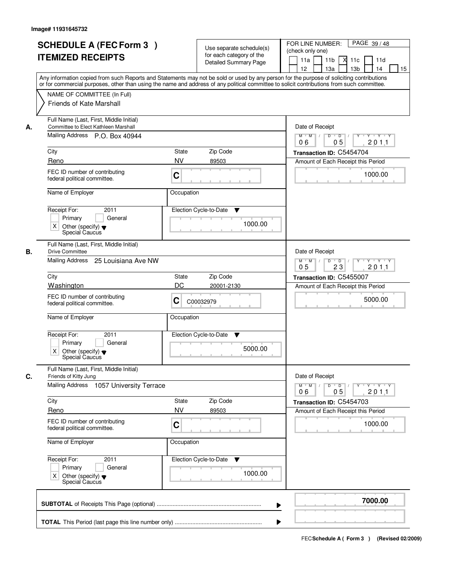|    | <b>SCHEDULE A (FEC Form 3)</b><br><b>ITEMIZED RECEIPTS</b><br>Any information copied from such Reports and Statements may not be sold or used by any person for the purpose of soliciting contributions<br>or for commercial purposes, other than using the name and address of any political committee to solicit contributions from such committee. | Use separate schedule(s)<br>for each category of the<br><b>Detailed Summary Page</b> | PAGE 39/48<br>FOR LINE NUMBER:<br>(check only one)<br>11 <sub>b</sub><br>11a<br>м<br>11c<br>11d<br>13 <sub>b</sub><br>12<br>13a<br>14<br>15 |
|----|-------------------------------------------------------------------------------------------------------------------------------------------------------------------------------------------------------------------------------------------------------------------------------------------------------------------------------------------------------|--------------------------------------------------------------------------------------|---------------------------------------------------------------------------------------------------------------------------------------------|
|    | NAME OF COMMITTEE (In Full)<br>Friends of Kate Marshall                                                                                                                                                                                                                                                                                               |                                                                                      |                                                                                                                                             |
| А. | Full Name (Last, First, Middle Initial)<br>Committee to Elect Kathleen Marshall<br>Mailing Address P.O. Box 40944                                                                                                                                                                                                                                     |                                                                                      | Date of Receipt<br>$M$ $M$ $/$<br>$D$ $D$ $I$<br>$Y$ <sup>U</sup><br>Y 'Y 'Y<br>05<br>2011<br>06                                            |
|    | City                                                                                                                                                                                                                                                                                                                                                  | <b>State</b><br>Zip Code                                                             | Transaction ID: C5454704                                                                                                                    |
|    | Reno                                                                                                                                                                                                                                                                                                                                                  | <b>NV</b><br>89503                                                                   | Amount of Each Receipt this Period                                                                                                          |
|    | FEC ID number of contributing<br>federal political committee.                                                                                                                                                                                                                                                                                         | C                                                                                    | 1000.00                                                                                                                                     |
|    | Name of Employer                                                                                                                                                                                                                                                                                                                                      | Occupation                                                                           |                                                                                                                                             |
|    | Receipt For:<br>2011<br>Primary<br>General<br>$\times$<br>Other (specify) $\blacktriangledown$<br>Special Caucus                                                                                                                                                                                                                                      | Election Cycle-to-Date<br>▼<br>1000.00                                               |                                                                                                                                             |
| В. | Full Name (Last, First, Middle Initial)<br><b>Drive Committee</b><br>Mailing Address<br>25 Louisiana Ave NW                                                                                                                                                                                                                                           |                                                                                      | Date of Receipt<br>$Y \vdash Y \vdash Y$<br>$M$ $M$ /<br>D<br>$\overline{D}$<br>$Y$ <sup>U</sup>                                            |
|    |                                                                                                                                                                                                                                                                                                                                                       | 23<br>201.1<br>05                                                                    |                                                                                                                                             |
|    | City                                                                                                                                                                                                                                                                                                                                                  | Zip Code<br><b>State</b>                                                             | Transaction ID: C5455007                                                                                                                    |
|    | Washington<br>FEC ID number of contributing<br>federal political committee.                                                                                                                                                                                                                                                                           | DC<br>20001-2130<br>C<br>C00032979                                                   | Amount of Each Receipt this Period<br>5000.00                                                                                               |
|    | Name of Employer                                                                                                                                                                                                                                                                                                                                      | Occupation                                                                           |                                                                                                                                             |
|    | Receipt For:<br>2011<br>Primary<br>General<br>Χ<br>Other (specify) $\blacktriangledown$<br>Special Caucus                                                                                                                                                                                                                                             | Election Cycle-to-Date<br>▼<br>5000.00                                               |                                                                                                                                             |
| C. | Full Name (Last, First, Middle Initial)<br>Friends of Kitty Jung                                                                                                                                                                                                                                                                                      |                                                                                      | Date of Receipt                                                                                                                             |
|    | <b>Mailing Address</b><br>1057 University Terrace                                                                                                                                                                                                                                                                                                     |                                                                                      | $M = M$<br>$D$ $D$ $I$<br>Y 'Y 'Y 'Y<br>201.1<br>06<br>05                                                                                   |
|    | City                                                                                                                                                                                                                                                                                                                                                  | Zip Code<br><b>State</b>                                                             | Transaction ID: C5454703                                                                                                                    |
|    | Reno<br>FEC ID number of contributing<br>federal political committee.                                                                                                                                                                                                                                                                                 | <b>NV</b><br>89503<br>C                                                              | Amount of Each Receipt this Period<br>1000.00                                                                                               |
|    | Name of Employer                                                                                                                                                                                                                                                                                                                                      | Occupation                                                                           |                                                                                                                                             |
|    | Receipt For:<br>2011<br>Primary<br>General<br>Other (specify) v<br>Special Caucus<br>X                                                                                                                                                                                                                                                                | Election Cycle-to-Date<br>v<br>1000.00                                               |                                                                                                                                             |
|    |                                                                                                                                                                                                                                                                                                                                                       |                                                                                      | 7000.00                                                                                                                                     |
|    |                                                                                                                                                                                                                                                                                                                                                       |                                                                                      |                                                                                                                                             |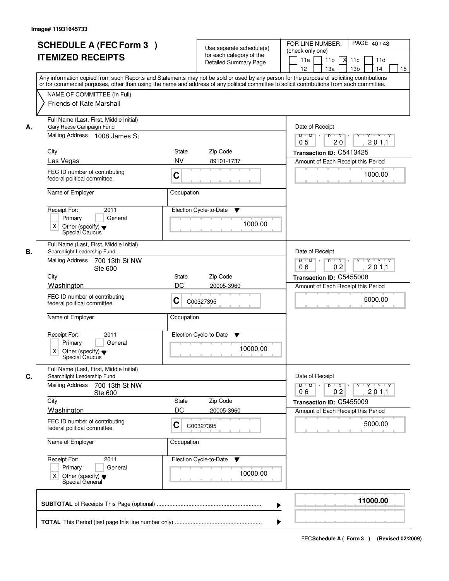|                          | <b>SCHEDULE A (FEC Form 3)</b><br><b>ITEMIZED RECEIPTS</b><br>Any information copied from such Reports and Statements may not be sold or used by any person for the purpose of soliciting contributions |                    | Use separate schedule(s)<br>for each category of the<br><b>Detailed Summary Page</b> | FOR LINE NUMBER:<br>(check only one)<br>11a<br>12 <sup>2</sup> | PAGE 40/48<br>11 <sub>b</sub><br>м<br>11c<br>11d<br>13 <sub>b</sub><br>14<br>13a<br>15 |
|--------------------------|---------------------------------------------------------------------------------------------------------------------------------------------------------------------------------------------------------|--------------------|--------------------------------------------------------------------------------------|----------------------------------------------------------------|----------------------------------------------------------------------------------------|
|                          | or for commercial purposes, other than using the name and address of any political committee to solicit contributions from such committee.<br>NAME OF COMMITTEE (In Full)<br>Friends of Kate Marshall   |                    |                                                                                      |                                                                |                                                                                        |
| А.                       | Full Name (Last, First, Middle Initial)<br>Gary Reese Campaign Fund<br>Mailing Address 1008 James St                                                                                                    |                    |                                                                                      | Date of Receipt<br>$M$ $M$                                     | $D$ $D$<br>Y Y Y Y<br>Y                                                                |
| City                     |                                                                                                                                                                                                         | <b>State</b>       | Zip Code                                                                             | 0 <sub>5</sub>                                                 | 20<br>201.1<br>Transaction ID: C5413425                                                |
| Las Vegas                |                                                                                                                                                                                                         | <b>NV</b>          | 89101-1737                                                                           |                                                                | Amount of Each Receipt this Period                                                     |
|                          | FEC ID number of contributing<br>federal political committee.                                                                                                                                           | C                  |                                                                                      |                                                                | 1000.00                                                                                |
|                          | Name of Employer                                                                                                                                                                                        | Occupation         |                                                                                      |                                                                |                                                                                        |
| Receipt For:<br>$\times$ | 2011<br>Primary<br>General<br>Other (specify) $\blacktriangledown$<br>Special Caucus                                                                                                                    |                    | Election Cycle-to-Date<br>▼<br>1000.00                                               |                                                                |                                                                                        |
| В.<br>Mailing Address    | Full Name (Last, First, Middle Initial)<br>Searchlight Leadership Fund<br>700 13th St NW                                                                                                                |                    |                                                                                      | Date of Receipt<br>$M$ $M$ /                                   | D<br>$\overline{D}$ /<br>Y Y Y Y                                                       |
|                          | Ste 600                                                                                                                                                                                                 |                    |                                                                                      | 06                                                             | 0 <sub>2</sub><br>201.1                                                                |
| City<br>Washington       |                                                                                                                                                                                                         | <b>State</b><br>DC | Zip Code                                                                             |                                                                | Transaction ID: C5455008                                                               |
|                          | FEC ID number of contributing<br>federal political committee.                                                                                                                                           | С                  | 20005-3960<br>C00327395                                                              |                                                                | Amount of Each Receipt this Period<br>5000.00                                          |
|                          | Name of Employer                                                                                                                                                                                        | Occupation         |                                                                                      |                                                                |                                                                                        |
| Receipt For:<br>X        | 2011<br>Primary<br>General<br>Other (specify) $\blacktriangledown$<br>Special Caucus                                                                                                                    |                    | Election Cycle-to-Date<br>▼<br>10000.00                                              |                                                                |                                                                                        |
| C.                       | Full Name (Last, First, Middle Initial)<br>Searchlight Leadership Fund                                                                                                                                  |                    |                                                                                      | Date of Receipt                                                |                                                                                        |
| <b>Mailing Address</b>   | 700 13th St NW<br>Ste 600                                                                                                                                                                               |                    |                                                                                      | $M = M$<br>06                                                  | $D$ $D$ $/$<br>יץ די אַ די אַ די אַ<br>2011<br>0 <sub>2</sub>                          |
| City                     |                                                                                                                                                                                                         | <b>State</b>       | Zip Code                                                                             |                                                                | Transaction ID: C5455009                                                               |
| Washington               | FEC ID number of contributing<br>federal political committee.                                                                                                                                           | DC<br>C            | 20005-3960<br>C00327395                                                              |                                                                | Amount of Each Receipt this Period<br>5000.00                                          |
|                          | Name of Employer                                                                                                                                                                                        | Occupation         |                                                                                      |                                                                |                                                                                        |
| Receipt For:<br>Χ        | 2011<br>Primary<br>General<br>Other (specify) v<br>Special General                                                                                                                                      |                    | Election Cycle-to-Date<br>v<br>10000.00                                              |                                                                |                                                                                        |
|                          |                                                                                                                                                                                                         |                    |                                                                                      |                                                                | 11000.00                                                                               |
|                          |                                                                                                                                                                                                         |                    |                                                                                      |                                                                |                                                                                        |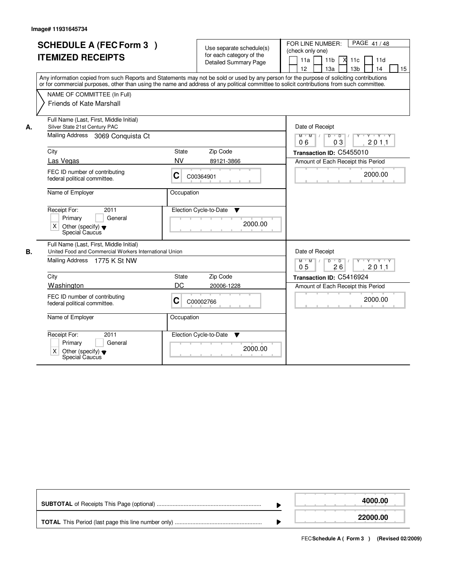|    | <b>SCHEDULE A (FEC Form 3)</b><br><b>ITEMIZED RECEIPTS</b>                                                                                                                                                                                                                              |            | Use separate schedule(s)<br>for each category of the<br>Detailed Summary Page | PAGE 41/48<br>FOR LINE NUMBER:<br>(check only one)<br>X<br>11a<br>11 <sub>b</sub><br>11c<br>11d<br>12<br>13a<br>13 <sub>b</sub><br>14<br>15 |
|----|-----------------------------------------------------------------------------------------------------------------------------------------------------------------------------------------------------------------------------------------------------------------------------------------|------------|-------------------------------------------------------------------------------|---------------------------------------------------------------------------------------------------------------------------------------------|
|    | Any information copied from such Reports and Statements may not be sold or used by any person for the purpose of soliciting contributions<br>or for commercial purposes, other than using the name and address of any political committee to solicit contributions from such committee. |            |                                                                               |                                                                                                                                             |
|    | NAME OF COMMITTEE (In Full)<br>Friends of Kate Marshall                                                                                                                                                                                                                                 |            |                                                                               |                                                                                                                                             |
| Α. | Full Name (Last, First, Middle Initial)<br>Silver State 21st Century PAC                                                                                                                                                                                                                |            |                                                                               | Date of Receipt                                                                                                                             |
|    | Mailing Address 3069 Conquista Ct                                                                                                                                                                                                                                                       |            |                                                                               | $M$ $M$ /<br>D<br>$\overline{D}$ /<br>$Y - Y - Y$<br>03<br>201.1<br>06                                                                      |
|    | City                                                                                                                                                                                                                                                                                    | State      | Zip Code                                                                      | Transaction ID: C5455010                                                                                                                    |
|    | Las Vegas                                                                                                                                                                                                                                                                               | <b>NV</b>  | 89121-3866                                                                    | Amount of Each Receipt this Period                                                                                                          |
|    | FEC ID number of contributing<br>federal political committee.                                                                                                                                                                                                                           | C          | C00364901                                                                     | 2000.00                                                                                                                                     |
|    | Name of Employer                                                                                                                                                                                                                                                                        | Occupation |                                                                               |                                                                                                                                             |
|    | Receipt For:<br>2011<br>Primary<br>General<br>X.<br>Other (specify) $\blacktriangledown$<br>Special Caucus                                                                                                                                                                              |            | Election Cycle-to-Date<br>v<br>2000.00                                        |                                                                                                                                             |
| В. | Full Name (Last, First, Middle Initial)<br>United Food and Commercial Workers International Union                                                                                                                                                                                       |            |                                                                               | Date of Receipt                                                                                                                             |
|    | Mailing Address 1775 K St NW                                                                                                                                                                                                                                                            |            |                                                                               | $Y + Y + Y$<br>$M$ <sup>U</sup><br>D<br>$\overline{D}$<br>Y<br>M<br>26<br>201.1<br>05                                                       |
|    | City                                                                                                                                                                                                                                                                                    | State      | Zip Code                                                                      | Transaction ID: C5416924                                                                                                                    |
|    | Washington                                                                                                                                                                                                                                                                              | DC         | 20006-1228                                                                    | Amount of Each Receipt this Period                                                                                                          |
|    | FEC ID number of contributing<br>federal political committee.                                                                                                                                                                                                                           | C          | C00002766                                                                     | 2000.00                                                                                                                                     |
|    | Name of Employer                                                                                                                                                                                                                                                                        | Occupation |                                                                               |                                                                                                                                             |
|    | Receipt For:<br>2011<br>Primary<br>General<br>X<br>Other (specify) $\blacktriangledown$<br>Special Caucus                                                                                                                                                                               |            | Election Cycle-to-Date<br>▼<br>2000.00                                        |                                                                                                                                             |

|  | 4000.00  |
|--|----------|
|  | 22000.00 |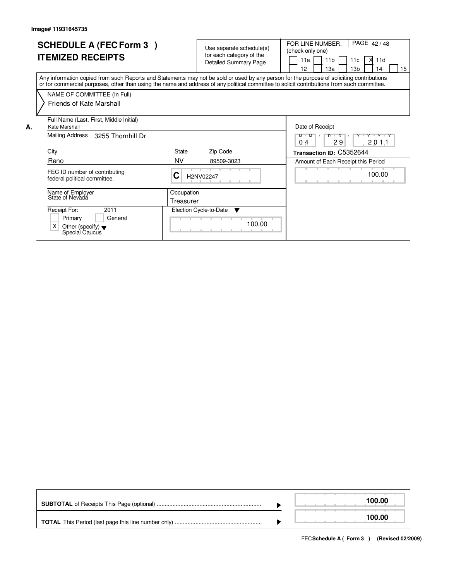|    | <b>SCHEDULE A (FEC Form 3)</b><br><b>ITEMIZED RECEIPTS</b>                                                                                                                                                                                                                              |                         | Use separate schedule(s)<br>for each category of the<br><b>Detailed Summary Page</b> | PAGE 42/48<br>FOR LINE NUMBER:<br>(check only one)<br>11 <sub>b</sub><br>11a<br>11d<br>11c<br>X.<br>12<br>13a<br>13 <sub>b</sub><br>15<br>14 |
|----|-----------------------------------------------------------------------------------------------------------------------------------------------------------------------------------------------------------------------------------------------------------------------------------------|-------------------------|--------------------------------------------------------------------------------------|----------------------------------------------------------------------------------------------------------------------------------------------|
|    | Any information copied from such Reports and Statements may not be sold or used by any person for the purpose of soliciting contributions<br>or for commercial purposes, other than using the name and address of any political committee to solicit contributions from such committee. |                         |                                                                                      |                                                                                                                                              |
|    | NAME OF COMMITTEE (In Full)<br><b>Friends of Kate Marshall</b>                                                                                                                                                                                                                          |                         |                                                                                      |                                                                                                                                              |
| А. | Full Name (Last, First, Middle Initial)<br>Kate Marshall                                                                                                                                                                                                                                |                         |                                                                                      | Date of Receipt                                                                                                                              |
|    | Mailing Address<br>3255 Thornhill Dr                                                                                                                                                                                                                                                    |                         |                                                                                      | M M<br>D<br>D<br>29<br>201.1<br>04                                                                                                           |
|    | City                                                                                                                                                                                                                                                                                    | State                   | Zip Code                                                                             | Transaction ID: C5352644                                                                                                                     |
|    | Reno                                                                                                                                                                                                                                                                                    | <b>NV</b>               | 89509-3023                                                                           | Amount of Each Receipt this Period                                                                                                           |
|    | FEC ID number of contributing<br>federal political committee.                                                                                                                                                                                                                           | C                       | H2NV02247                                                                            | 100.00                                                                                                                                       |
|    | Name of Employer<br>State of Nevada                                                                                                                                                                                                                                                     | Occupation<br>Treasurer |                                                                                      |                                                                                                                                              |
|    | Receipt For:<br>2011<br>Primary<br>General<br>X<br>Other (specify) $\blacktriangledown$<br>Special Caucus                                                                                                                                                                               |                         | Election Cycle-to-Date ▼<br>100.00                                                   |                                                                                                                                              |

|  | 100.00 |
|--|--------|
|  | 100.00 |

FECSchedule A (Form 3) (Revised 02/2009)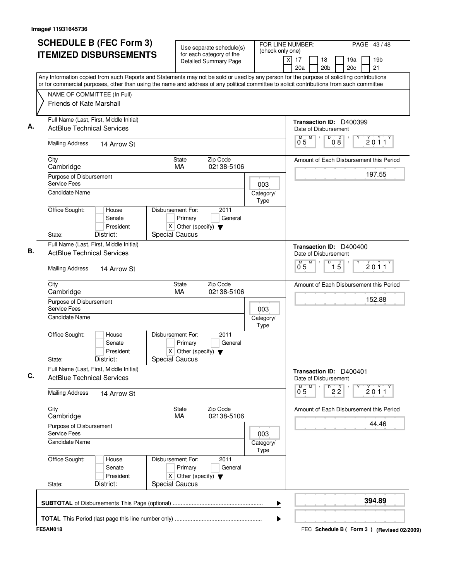| <b>SCHEDULE B (FEC Form 3)</b><br><b>ITEMIZED DISBURSEMENTS</b>                                     | Use separate schedule(s)<br>for each category of the<br><b>Detailed Summary Page</b>                                 | FOR LINE NUMBER:<br>PAGE 43/48<br>(check only one)<br>X<br>19 <sub>b</sub><br>17<br>18<br>19a<br>21<br>20a<br>20 <sub>b</sub><br>20c<br>Any Information copied from such Reports and Statements may not be sold or used by any person for the purpose of soliciting contributions |  |
|-----------------------------------------------------------------------------------------------------|----------------------------------------------------------------------------------------------------------------------|-----------------------------------------------------------------------------------------------------------------------------------------------------------------------------------------------------------------------------------------------------------------------------------|--|
| NAME OF COMMITTEE (In Full)<br>Friends of Kate Marshall                                             |                                                                                                                      | or for commercial purposes, other than using the name and address of any political committee to solicit contributions from such committee                                                                                                                                         |  |
| Full Name (Last, First, Middle Initial)<br><b>ActBlue Technical Services</b>                        |                                                                                                                      | Transaction ID: D400399<br>Date of Disbursement                                                                                                                                                                                                                                   |  |
| <b>Mailing Address</b><br>14 Arrow St                                                               |                                                                                                                      | $\overline{D}$<br>$\mathsf D$<br>M<br>M<br>$\sqrt{2}$<br>2011<br>ő 5<br>08                                                                                                                                                                                                        |  |
| City<br>Cambridge                                                                                   | <b>State</b><br>Zip Code<br>02138-5106<br>MA                                                                         | Amount of Each Disbursement this Period                                                                                                                                                                                                                                           |  |
| Purpose of Disbursement<br>Service Fees                                                             |                                                                                                                      | 197.55<br>003                                                                                                                                                                                                                                                                     |  |
| Candidate Name                                                                                      |                                                                                                                      | Category/<br>Type                                                                                                                                                                                                                                                                 |  |
| Office Sought:<br>House<br>Senate<br>President                                                      | Disbursement For:<br>2011<br>Primary<br>General<br>X Other (specify) $\blacktriangledown$                            |                                                                                                                                                                                                                                                                                   |  |
| District:<br>State:<br>Full Name (Last, First, Middle Initial)<br><b>ActBlue Technical Services</b> | Special Caucus                                                                                                       | Transaction ID: D400400<br>Date of Disbursement                                                                                                                                                                                                                                   |  |
| <b>Mailing Address</b><br>14 Arrow St                                                               |                                                                                                                      | M<br>D<br>$\overline{1}$ $\overline{5}$<br>$\overline{0}^M$ 5<br>2011                                                                                                                                                                                                             |  |
| City<br>Cambridge                                                                                   | Zip Code<br><b>State</b><br>MA<br>02138-5106                                                                         | Amount of Each Disbursement this Period                                                                                                                                                                                                                                           |  |
| Purpose of Disbursement<br>Service Fees                                                             |                                                                                                                      | 152.88<br>003                                                                                                                                                                                                                                                                     |  |
| <b>Candidate Name</b>                                                                               |                                                                                                                      | Category/<br>Type                                                                                                                                                                                                                                                                 |  |
| Office Sought:<br>House<br>Senate<br>President<br>District:<br>State:                               | Disbursement For:<br>2011<br>Primary<br>General<br>$X$ Other (specify) $\blacktriangledown$<br><b>Special Caucus</b> |                                                                                                                                                                                                                                                                                   |  |
| Full Name (Last, First, Middle Initial)<br><b>ActBlue Technical Services</b>                        |                                                                                                                      | Transaction ID: D400401<br>Date of Disbursement                                                                                                                                                                                                                                   |  |
| <b>Mailing Address</b><br>14 Arrow St                                                               |                                                                                                                      | M<br>$\overline{2\,2}$<br>$\overline{0}^{\overline{M}}$ 5<br>2011                                                                                                                                                                                                                 |  |
| City<br>Cambridge                                                                                   | Zip Code<br><b>State</b><br>MA<br>02138-5106                                                                         | Amount of Each Disbursement this Period                                                                                                                                                                                                                                           |  |
| Purpose of Disbursement<br>Service Fees                                                             |                                                                                                                      | 44.46<br>003                                                                                                                                                                                                                                                                      |  |
| Candidate Name                                                                                      |                                                                                                                      | Category/<br>Type                                                                                                                                                                                                                                                                 |  |
| Office Sought:<br>House<br>Senate<br>President                                                      | Disbursement For:<br>2011<br>Primary<br>General<br>X Other (specify) $\blacktriangledown$                            |                                                                                                                                                                                                                                                                                   |  |
| District:<br>State:                                                                                 | Special Caucus                                                                                                       |                                                                                                                                                                                                                                                                                   |  |
|                                                                                                     |                                                                                                                      | 394.89<br>▶                                                                                                                                                                                                                                                                       |  |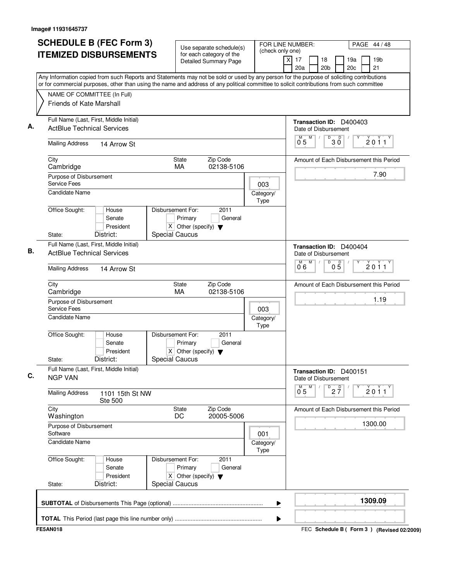| <b>ITEMIZED DISBURSEMENTS</b>                                                                                                                                                                                                                                                          | Use separate schedule(s)<br>for each category of the                                                                     | (check only one)  |                                                                                       |
|----------------------------------------------------------------------------------------------------------------------------------------------------------------------------------------------------------------------------------------------------------------------------------------|--------------------------------------------------------------------------------------------------------------------------|-------------------|---------------------------------------------------------------------------------------|
|                                                                                                                                                                                                                                                                                        | <b>Detailed Summary Page</b>                                                                                             | X                 | 19 <sub>b</sub><br>17<br>19a<br>18<br>20 <sub>c</sub><br>21<br>20a<br>20 <sub>b</sub> |
| Any Information copied from such Reports and Statements may not be sold or used by any person for the purpose of soliciting contributions<br>or for commercial purposes, other than using the name and address of any political committee to solicit contributions from such committee |                                                                                                                          |                   |                                                                                       |
| NAME OF COMMITTEE (In Full)                                                                                                                                                                                                                                                            |                                                                                                                          |                   |                                                                                       |
| <b>Friends of Kate Marshall</b>                                                                                                                                                                                                                                                        |                                                                                                                          |                   |                                                                                       |
| Full Name (Last, First, Middle Initial)<br><b>ActBlue Technical Services</b>                                                                                                                                                                                                           |                                                                                                                          |                   | Transaction ID: D400403<br>Date of Disbursement                                       |
| <b>Mailing Address</b><br>14 Arrow St                                                                                                                                                                                                                                                  |                                                                                                                          |                   | M<br>D<br>$30^{\circ}$<br>2011<br>0 <sub>5</sub>                                      |
| City                                                                                                                                                                                                                                                                                   | Zip Code<br>State                                                                                                        |                   | Amount of Each Disbursement this Period                                               |
| Cambridge                                                                                                                                                                                                                                                                              | 02138-5106<br>MA                                                                                                         |                   | 7.90                                                                                  |
| Purpose of Disbursement<br>Service Fees                                                                                                                                                                                                                                                |                                                                                                                          | 003               |                                                                                       |
| <b>Candidate Name</b>                                                                                                                                                                                                                                                                  |                                                                                                                          | Category/<br>Type |                                                                                       |
| Office Sought:<br>House<br>Senate<br>President                                                                                                                                                                                                                                         | Disbursement For:<br>2011<br>Primary<br>General<br>X Other (specify) $\blacktriangledown$                                |                   |                                                                                       |
| District:<br>State:                                                                                                                                                                                                                                                                    | <b>Special Caucus</b>                                                                                                    |                   |                                                                                       |
| Full Name (Last, First, Middle Initial)<br><b>ActBlue Technical Services</b>                                                                                                                                                                                                           |                                                                                                                          |                   | Transaction ID: D400404<br>Date of Disbursement                                       |
| <b>Mailing Address</b><br>14 Arrow St                                                                                                                                                                                                                                                  |                                                                                                                          |                   | M<br>$0\overline{5}$<br>D<br>2011<br>0.6                                              |
| City<br>Cambridge                                                                                                                                                                                                                                                                      | Zip Code<br>State<br>MA<br>02138-5106                                                                                    |                   | Amount of Each Disbursement this Period                                               |
| Purpose of Disbursement<br>Service Fees                                                                                                                                                                                                                                                |                                                                                                                          | 003               | 1.19                                                                                  |
| <b>Candidate Name</b>                                                                                                                                                                                                                                                                  |                                                                                                                          | Category/<br>Type |                                                                                       |
| Office Sought:<br>House<br>Senate<br>President<br>District:<br>State:                                                                                                                                                                                                                  | Disbursement For:<br>2011<br>General<br>Primary<br>$\overline{X}$ Other (specify) $\blacktriangledown$<br>Special Caucus |                   |                                                                                       |
| Full Name (Last, First, Middle Initial)<br><b>NGP VAN</b>                                                                                                                                                                                                                              |                                                                                                                          |                   | Transaction ID: D400151<br>Date of Disbursement                                       |
| <b>Mailing Address</b><br>1101 15th St NW<br><b>Ste 500</b>                                                                                                                                                                                                                            |                                                                                                                          |                   | M<br>$\overline{P}$ 2 $\overline{7}$<br>$\mathsf{M}$<br>2011<br>0.5                   |
| City<br>Washington                                                                                                                                                                                                                                                                     | Zip Code<br>State<br>DC<br>20005-5006                                                                                    |                   | Amount of Each Disbursement this Period                                               |
| Purpose of Disbursement<br>Software                                                                                                                                                                                                                                                    |                                                                                                                          | 001               | 1300.00                                                                               |
| <b>Candidate Name</b>                                                                                                                                                                                                                                                                  |                                                                                                                          | Category/<br>Type |                                                                                       |
| Office Sought:<br>House<br>Senate<br>President                                                                                                                                                                                                                                         | Disbursement For:<br>2011<br>Primary<br>General<br>X Other (specify) $\blacktriangledown$                                |                   |                                                                                       |
| District:<br>State:                                                                                                                                                                                                                                                                    | Special Caucus                                                                                                           |                   |                                                                                       |
|                                                                                                                                                                                                                                                                                        |                                                                                                                          | ▶                 | 1309.09                                                                               |
|                                                                                                                                                                                                                                                                                        |                                                                                                                          |                   |                                                                                       |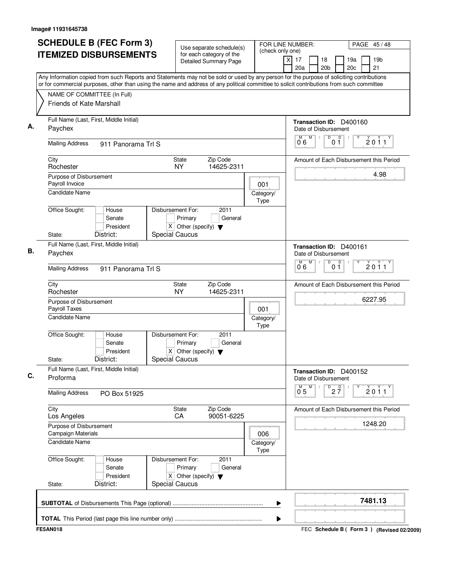|                                                    | <b>SCHEDULE B (FEC Form 3)</b>            |                                                                                                   | Use separate schedule(s)                                 | FOR LINE NUMBER:<br>(check only one) | PAGE 45/48                                                                                                                                                                                                                                                                             |
|----------------------------------------------------|-------------------------------------------|---------------------------------------------------------------------------------------------------|----------------------------------------------------------|--------------------------------------|----------------------------------------------------------------------------------------------------------------------------------------------------------------------------------------------------------------------------------------------------------------------------------------|
|                                                    | <b>ITEMIZED DISBURSEMENTS</b>             |                                                                                                   | for each category of the<br><b>Detailed Summary Page</b> |                                      | 19 <sub>b</sub><br>17<br>18<br>19a<br>X<br>20a<br>20 <sub>b</sub><br>20c<br>21                                                                                                                                                                                                         |
|                                                    |                                           |                                                                                                   |                                                          |                                      | Any Information copied from such Reports and Statements may not be sold or used by any person for the purpose of soliciting contributions<br>or for commercial purposes, other than using the name and address of any political committee to solicit contributions from such committee |
| NAME OF COMMITTEE (In Full)                        |                                           |                                                                                                   |                                                          |                                      |                                                                                                                                                                                                                                                                                        |
| Friends of Kate Marshall                           |                                           |                                                                                                   |                                                          |                                      |                                                                                                                                                                                                                                                                                        |
| Full Name (Last, First, Middle Initial)<br>Paychex |                                           |                                                                                                   |                                                          |                                      | Transaction ID: D400160<br>Date of Disbursement                                                                                                                                                                                                                                        |
| <b>Mailing Address</b>                             | 911 Panorama Trl S                        |                                                                                                   |                                                          |                                      | $\mathsf D$<br>M<br>D<br>M<br>2011<br>06<br>01                                                                                                                                                                                                                                         |
| City<br>Rochester                                  |                                           | State<br><b>NY</b>                                                                                | Zip Code<br>14625-2311                                   |                                      | Amount of Each Disbursement this Period                                                                                                                                                                                                                                                |
| Purpose of Disbursement<br>Payroll Invoice         |                                           |                                                                                                   |                                                          | 001                                  | 4.98                                                                                                                                                                                                                                                                                   |
| <b>Candidate Name</b>                              |                                           |                                                                                                   |                                                          | Category/<br>Type                    |                                                                                                                                                                                                                                                                                        |
| Office Sought:                                     | House<br>Senate<br>President              | Disbursement For:<br>Primary<br>$X$ Other (specify) $\blacktriangledown$                          | 2011<br>General                                          |                                      |                                                                                                                                                                                                                                                                                        |
| State:                                             | District:                                 | <b>Special Caucus</b>                                                                             |                                                          |                                      |                                                                                                                                                                                                                                                                                        |
| Full Name (Last, First, Middle Initial)<br>Paychex |                                           |                                                                                                   |                                                          |                                      | Transaction ID: D400161<br>Date of Disbursement                                                                                                                                                                                                                                        |
| <b>Mailing Address</b><br>911 Panorama Trl S       |                                           |                                                                                                   |                                                          |                                      | M<br>D<br>0 <sup>0</sup><br>М<br>2011<br>06                                                                                                                                                                                                                                            |
| City<br>Rochester                                  |                                           | State<br><b>NY</b>                                                                                | Zip Code<br>14625-2311                                   |                                      | Amount of Each Disbursement this Period                                                                                                                                                                                                                                                |
| Purpose of Disbursement<br>Payroll Taxes           |                                           |                                                                                                   |                                                          | 001                                  | 6227.95                                                                                                                                                                                                                                                                                |
| Candidate Name                                     |                                           |                                                                                                   |                                                          | Category/<br>Type                    |                                                                                                                                                                                                                                                                                        |
| Office Sought:<br>State:                           | House<br>Senate<br>President<br>District: | Disbursement For:<br>Primary<br>$X$ Other (specify) $\blacktriangledown$<br><b>Special Caucus</b> | 2011<br>General                                          |                                      |                                                                                                                                                                                                                                                                                        |
| Full Name (Last, First, Middle Initial)            |                                           |                                                                                                   |                                                          |                                      |                                                                                                                                                                                                                                                                                        |
| Proforma                                           |                                           |                                                                                                   |                                                          |                                      | Transaction ID: D400152<br>Date of Disbursement<br>M                                                                                                                                                                                                                                   |
| <b>Mailing Address</b>                             | PO Box 51925                              |                                                                                                   |                                                          |                                      | $D^D$ <sub>2</sub> $\overline{7}$<br>$\overline{0}^{\overline{M}}$ 5<br>2011                                                                                                                                                                                                           |
| City<br>Los Angeles                                |                                           | State<br>CA                                                                                       | Zip Code<br>90051-6225                                   |                                      | Amount of Each Disbursement this Period                                                                                                                                                                                                                                                |
| Purpose of Disbursement<br>Campaign Materials      |                                           |                                                                                                   |                                                          | 006                                  | 1248.20                                                                                                                                                                                                                                                                                |
| <b>Candidate Name</b>                              |                                           |                                                                                                   |                                                          | Category/<br>Type                    |                                                                                                                                                                                                                                                                                        |
| Office Sought:                                     | House<br>Senate<br>President              | Disbursement For:<br>Primary<br>X Other (specify) $\blacktriangledown$                            | 2011<br>General                                          |                                      |                                                                                                                                                                                                                                                                                        |
| State:                                             | District:                                 | <b>Special Caucus</b>                                                                             |                                                          |                                      |                                                                                                                                                                                                                                                                                        |
|                                                    |                                           |                                                                                                   |                                                          | ▶                                    | 7481.13                                                                                                                                                                                                                                                                                |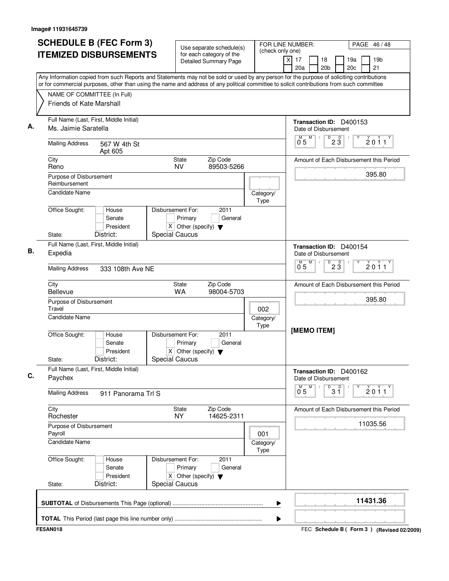| <b>SCHEDULE B (FEC Form 3)</b><br><b>ITEMIZED DISBURSEMENTS</b><br>Any Information copied from such Reports and Statements may not be sold or used by any person for the purpose of soliciting contributions | Use separate schedule(s)<br>for each category of the<br><b>Detailed Summary Page</b>                                 | FOR LINE NUMBER:<br>PAGE 46/48<br>(check only one)<br>$\boldsymbol{\mathsf{X}}$<br>17<br>19 <sub>b</sub><br>18<br>19a<br>21<br>20a<br>20 <sub>b</sub><br>20c |
|--------------------------------------------------------------------------------------------------------------------------------------------------------------------------------------------------------------|----------------------------------------------------------------------------------------------------------------------|--------------------------------------------------------------------------------------------------------------------------------------------------------------|
| or for commercial purposes, other than using the name and address of any political committee to solicit contributions from such committee<br>NAME OF COMMITTEE (In Full)<br>Friends of Kate Marshall         |                                                                                                                      |                                                                                                                                                              |
| Full Name (Last, First, Middle Initial)<br>Ms. Jaimie Saratella                                                                                                                                              |                                                                                                                      | Transaction ID: D400153<br>Date of Disbursement                                                                                                              |
| <b>Mailing Address</b><br>567 W 4th St<br>Apt 605                                                                                                                                                            |                                                                                                                      | $D$ <sub>2</sub> $\overline{3}$<br>M<br>М<br>2011<br>ő 5                                                                                                     |
| City<br>Reno                                                                                                                                                                                                 | <b>State</b><br>Zip Code<br><b>NV</b><br>89503-5266                                                                  | Amount of Each Disbursement this Period                                                                                                                      |
| Purpose of Disbursement<br>Reimbursement                                                                                                                                                                     |                                                                                                                      | 395.80                                                                                                                                                       |
| Candidate Name                                                                                                                                                                                               |                                                                                                                      | Category/<br>Type                                                                                                                                            |
| Office Sought:<br>House<br>Senate<br>President<br>District:<br>State:                                                                                                                                        | Disbursement For:<br>2011<br>Primary<br>General<br>X Other (specify) $\blacktriangledown$<br><b>Special Caucus</b>   |                                                                                                                                                              |
| Full Name (Last, First, Middle Initial)<br>Expedia                                                                                                                                                           |                                                                                                                      | Transaction ID: D400154<br>Date of Disbursement                                                                                                              |
| <b>Mailing Address</b><br>333 108th Ave NE                                                                                                                                                                   |                                                                                                                      | M<br>D<br>$\overline{0}^M$ 5<br>$2\overline{3}$<br>2011                                                                                                      |
| City<br><b>Bellevue</b>                                                                                                                                                                                      | Zip Code<br><b>State</b><br>WA<br>98004-5703                                                                         | Amount of Each Disbursement this Period                                                                                                                      |
| Purpose of Disbursement<br>Travel                                                                                                                                                                            |                                                                                                                      | 395.80<br>002                                                                                                                                                |
| Candidate Name                                                                                                                                                                                               |                                                                                                                      | Category/<br>Type<br>[MEMO ITEM]                                                                                                                             |
| Office Sought:<br>House<br>Senate<br>President<br>District:<br>State:                                                                                                                                        | Disbursement For:<br>2011<br>Primary<br>General<br>$X$ Other (specify) $\blacktriangledown$<br><b>Special Caucus</b> |                                                                                                                                                              |
| Full Name (Last, First, Middle Initial)<br>Paychex                                                                                                                                                           |                                                                                                                      | Transaction ID: D400162<br>Date of Disbursement                                                                                                              |
| <b>Mailing Address</b><br>911 Panorama Trl S                                                                                                                                                                 |                                                                                                                      | M<br>D<br>3 <sup>0</sup><br>2011<br>ő 5                                                                                                                      |
| City<br>Rochester                                                                                                                                                                                            | Zip Code<br>State<br><b>NY</b><br>14625-2311                                                                         | Amount of Each Disbursement this Period                                                                                                                      |
| Purpose of Disbursement<br>Payroll                                                                                                                                                                           |                                                                                                                      | 11035.56<br>001                                                                                                                                              |
| <b>Candidate Name</b>                                                                                                                                                                                        |                                                                                                                      | Category/<br>Type                                                                                                                                            |
| Office Sought:<br>House<br>Senate<br>President                                                                                                                                                               | Disbursement For:<br>2011<br>Primary<br>General<br>X Other (specify) $\blacktriangledown$                            |                                                                                                                                                              |
| District:<br>State:                                                                                                                                                                                          | Special Caucus                                                                                                       |                                                                                                                                                              |
|                                                                                                                                                                                                              |                                                                                                                      | 11431.36<br>▶                                                                                                                                                |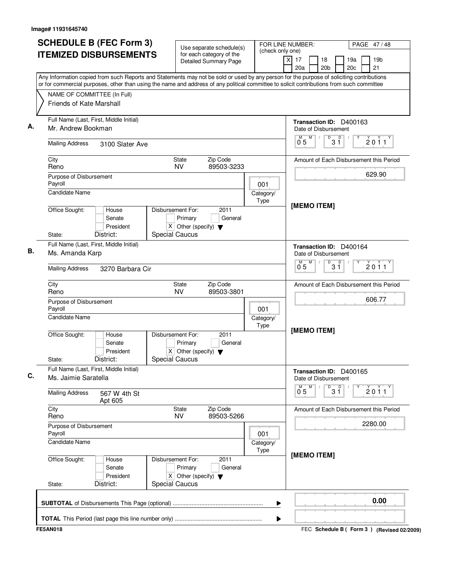|              |                                           | <b>SCHEDULE B (FEC Form 3)</b><br><b>ITEMIZED DISBURSEMENTS</b> |                                            |                                                   | Use separate schedule(s)<br>for each category of the | (check only one)  | FOR LINE NUMBER:<br>xl<br>17         | PAGE 47/48<br>18<br>19a<br>19 <sub>b</sub>                                                                                                                                |
|--------------|-------------------------------------------|-----------------------------------------------------------------|--------------------------------------------|---------------------------------------------------|------------------------------------------------------|-------------------|--------------------------------------|---------------------------------------------------------------------------------------------------------------------------------------------------------------------------|
|              |                                           |                                                                 |                                            |                                                   | <b>Detailed Summary Page</b>                         |                   | 20a                                  | 20 <sub>b</sub><br>20c<br>21<br>Any Information copied from such Reports and Statements may not be sold or used by any person for the purpose of soliciting contributions |
|              |                                           |                                                                 |                                            |                                                   |                                                      |                   |                                      | or for commercial purposes, other than using the name and address of any political committee to solicit contributions from such committee                                 |
|              | Friends of Kate Marshall                  | NAME OF COMMITTEE (In Full)                                     |                                            |                                                   |                                                      |                   |                                      |                                                                                                                                                                           |
|              | Mr. Andrew Bookman                        | Full Name (Last, First, Middle Initial)                         |                                            |                                                   |                                                      |                   |                                      | Transaction ID: D400163<br>Date of Disbursement                                                                                                                           |
|              | <b>Mailing Address</b>                    | 3100 Slater Ave                                                 |                                            |                                                   |                                                      |                   | М<br>M<br>05                         | D<br>$3^{\circ}$<br>2011                                                                                                                                                  |
| City<br>Reno |                                           |                                                                 | <b>State</b><br><b>NV</b>                  |                                                   | Zip Code<br>89503-3233                               |                   |                                      | Amount of Each Disbursement this Period                                                                                                                                   |
| Payroll      | Purpose of Disbursement                   |                                                                 |                                            |                                                   |                                                      | 001               |                                      | 629.90                                                                                                                                                                    |
|              | Candidate Name                            |                                                                 |                                            |                                                   |                                                      | Category/<br>Type | [MEMO ITEM]                          |                                                                                                                                                                           |
|              | Office Sought:                            | House<br>Senate<br>President                                    | Disbursement For:                          | Primary<br>X Other (specify) $\blacktriangledown$ | 2011<br>General                                      |                   |                                      |                                                                                                                                                                           |
| State:       |                                           | District:                                                       | Special Caucus                             |                                                   |                                                      |                   |                                      |                                                                                                                                                                           |
|              | Ms. Amanda Karp                           | Full Name (Last, First, Middle Initial)                         |                                            |                                                   |                                                      |                   | M<br>м                               | Transaction ID: D400164<br>Date of Disbursement<br>D                                                                                                                      |
|              | <b>Mailing Address</b>                    | 3270 Barbara Cir                                                |                                            |                                                   |                                                      |                   | 0 <sub>5</sub>                       | $3^{\circ}$<br>2011                                                                                                                                                       |
| City<br>Reno |                                           |                                                                 | State<br><b>NV</b>                         |                                                   | Zip Code<br>89503-3801                               |                   |                                      | Amount of Each Disbursement this Period<br>606.77                                                                                                                         |
| Payroll      | Purpose of Disbursement<br>Candidate Name |                                                                 |                                            |                                                   |                                                      | 001<br>Category/  |                                      |                                                                                                                                                                           |
|              |                                           |                                                                 |                                            |                                                   |                                                      | Type              |                                      |                                                                                                                                                                           |
| State:       | Office Sought:                            | House<br>Senate<br>President<br>District:                       | Disbursement For:<br><b>Special Caucus</b> | Primary<br>X Other (specify) $\blacktriangledown$ | 2011<br>General                                      |                   | [MEMO ITEM]                          |                                                                                                                                                                           |
|              | Ms. Jaimie Saratella                      | Full Name (Last, First, Middle Initial)                         |                                            |                                                   |                                                      |                   |                                      | Transaction ID: D400165<br>Date of Disbursement                                                                                                                           |
|              | <b>Mailing Address</b>                    | 567 W 4th St<br>Apt 605                                         |                                            |                                                   |                                                      |                   | $\overline{0}^{\overline{M}}$ 5<br>M | $\overline{31}$<br>Υ<br>2011                                                                                                                                              |
| City<br>Reno |                                           |                                                                 | State<br><b>NV</b>                         |                                                   | Zip Code<br>89503-5266                               |                   |                                      | Amount of Each Disbursement this Period                                                                                                                                   |
| Payroll      | Purpose of Disbursement                   |                                                                 |                                            |                                                   |                                                      | 001               |                                      | 2280.00                                                                                                                                                                   |
|              | Candidate Name                            |                                                                 |                                            |                                                   |                                                      | Category/<br>Type |                                      |                                                                                                                                                                           |
|              | Office Sought:                            | House<br>Senate<br>President                                    | Disbursement For:                          | Primary<br>X Other (specify) $\blacktriangledown$ | 2011<br>General                                      |                   | [MEMO ITEM]                          |                                                                                                                                                                           |
| State:       |                                           | District:                                                       | <b>Special Caucus</b>                      |                                                   |                                                      |                   |                                      |                                                                                                                                                                           |
|              |                                           |                                                                 |                                            |                                                   |                                                      | ▶                 |                                      | 0.00                                                                                                                                                                      |